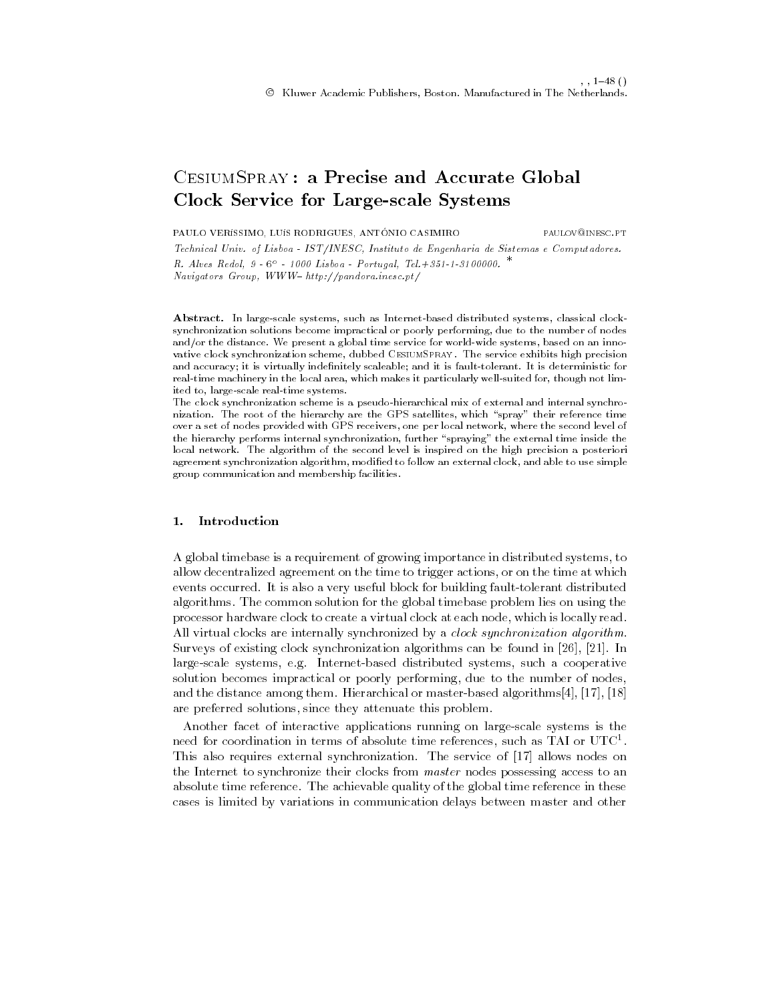# CESIUMSPRAY: a Precise and Accurate Global Clock Service for Large-scale Systems

PAULO VERÍSSIMO, LUÍS RODRIGUES, ANTÓNIO CASIMIRO PAULOV@INESC.PT

Technical Univ. of Lisboa - IST/INESC, Instituto de Engenharia de Sistemas e Computadores.  $R.$  Alves Redol, 9 -  $6^\circ$  - 1000 Lisboa - Portugal, 1el. $+$ 351-1-3100000.  $Navigators$  Group,  $WWW$ -  $http://pandora.inesc.r/t/$ 

Abstract. In large-scale systems, such as Internet-based distributed systems, classical clocksynchronization solutions become impractical or poorly performing, due to the number of nodes and/or the distance. We present a global time service for world-wide systems, based on an innovative clock synchronization scheme, dubbed CesiumSpray . The service exhibits high precision and accuracy; it is virtually indefinitely scaleable; and it is fault-tolerant. It is deterministic for real-time machinery in the local area, which makes it particularly well-suited for, though not limited to, large-scale real-time systems.

The clock synchronization scheme is a pseudo-hierarchical mix of external and internal synchronization. The root of the hierarchy are the GPS satellites, which "spray" their reference time over a set of nodes provided with GPS receivers, one per local network, where the second level of the hierarchy performs internal synchronization, further "spraying" the external time inside the local network. The algorithm of the second level is inspired on the high precision a posteriori agreement synchronization algorithm, modied to follow an external clock, and able to use simple group communication and membership facilities.

A global timebase is a requirement of growing importance in distributed systems, to allow decentralized agreement on the time to trigger actions, or on the time at which events occurred. It is also a very useful block for building fault-tolerant distributed algorithms. The common solution for the global timebase problem lies on using the processor hardware clock to create a virtual clock at each node, which is locally read. All virtual clocks are internally synchronized by a clock synchronization algorithm. Surveys of existing clock synchronization algorithms can be found in [26], [21]. In large-scale systems, e.g. Internet-based distributed systems, such a cooperative solution becomes impractical or poorly performing, due to the number of nodes, and the distance among them. Hierarchical or master-based algorithms[4], [17], [18] are preferred solutions, since they attenuate this problem.

Another facet of interactive applications running on large-scale systems is the  $\,\mathrm{near}$  for coordination in terms of absolute time references, such as TAI or UTC1. This also requires external synchronization. The service of [17] allows nodes on the Internet to synchronize their clocks from master nodes possessing access to an absolute time reference. The achievable quality of the global time reference in these cases is limited by variations in communication delays between master and other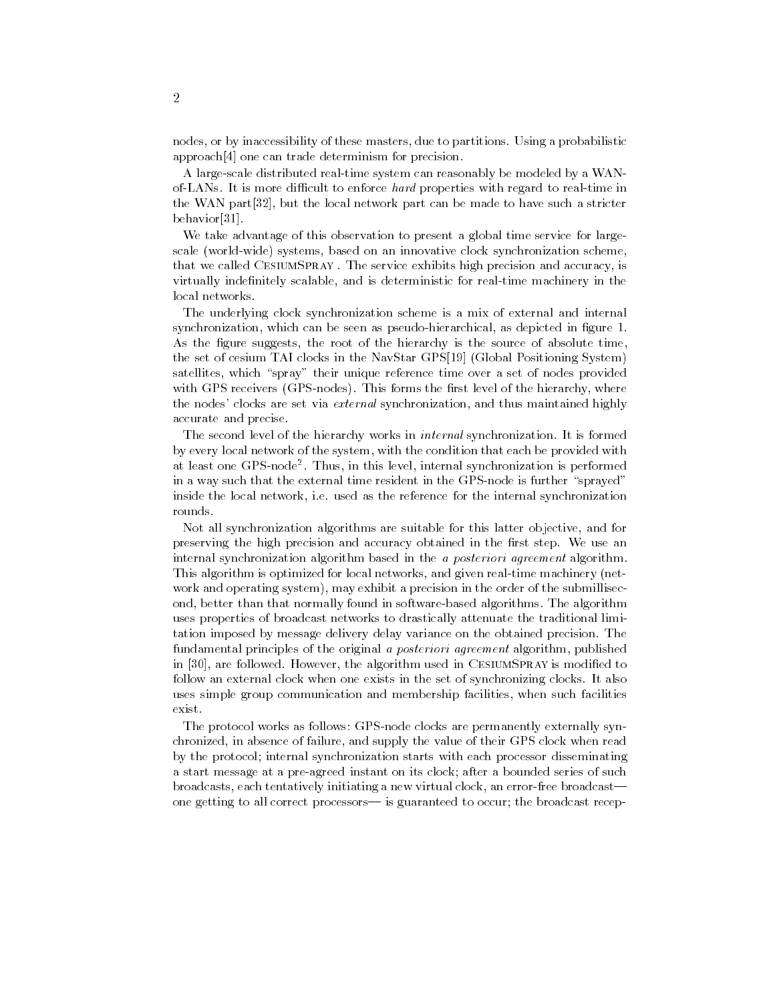nodes, or by inaccessibility of these masters, due to partitions. Using a probabilistic approach[4] one can trade determinism for precision.

A large-scale distributed real-time system can reasonably be modeled byaWANof-LANs. It is more difficult to enforce *hard* properties with regard to real-time in the WAN part[32], but the local network part can be made to have such a stricter behavior[31].

We take advantage of this observation to present a global time service for largescale (world-wide) systems, based on an innovative clock synchronization scheme, that we called CesiumSpray . The service exhibits high precision and accuracy, is virtually indenitely scalable, and is deterministic for real-time machinery in the local networks.

The underlying clock synchronization scheme is a mix of external and internal synchronization, which can be seen as pseudo-hierarchical, as depicted in figure 1. As the figure suggests, the root of the hierarchy is the source of absolute time, the set of cesium TAI clocks in the NavStar GPS[19] (Global Positioning System) satellites, which "spray" their unique reference time over a set of nodes provided with GPS receivers (GPS-nodes). This forms the first level of the hierarchy, where the nodes' clocks are set via external synchronization, and thus maintained highly accurate and precise.

The second level of the hierarchy works in internal synchronization. It is formed by every local network of the system, with the condition that each be provided with at least one GPS-node<sup>-</sup>. Thus, in this level, internal synchronization is performed in a way such that the external time resident in the GPS-node is further "sprayed" inside the local network, i.e. used as the reference for the internal synchronization rounds.

Not all synchronization algorithms are suitable for this latter objective, and for preserving the high precision and accuracy obtained in the first step. We use an internal synchronization algorithm based in the *a posteriori agreement* algorithm. This algorithm is optimized for local networks, and given real-time machinery (net work and operating system), may exhibit a precision in the order of the submillisecond, better than that normally found in software-based algorithms. The algorithm uses properties of broadcast networks to drastically attenuate the traditional limitation imposed by message delivery delay variance on the obtained precision. The fundamental principles of the original a posteriori agreement algorithm, published in [30], are followed. However, the algorithm used in CESIUMSPRAY is modified to follow an external clock when one exists in the set of synchronizing clocks. It also uses simple group communication and membership facilities, when such facilities exist.

The protocol works as follows: GPS-node clocks are permanently externally synchronized, in absence of failure, and supply the value of their GPS clock when read by the protocol; internal synchronization starts with each processor disseminating a start message at a pre-agreed instant on its clock; after a bounded series of such broadcasts, each tentatively initiating a new virtual clock, an error-free broadcast| one getting to all correct processors— is guaranteed to occur; the broadcast recep-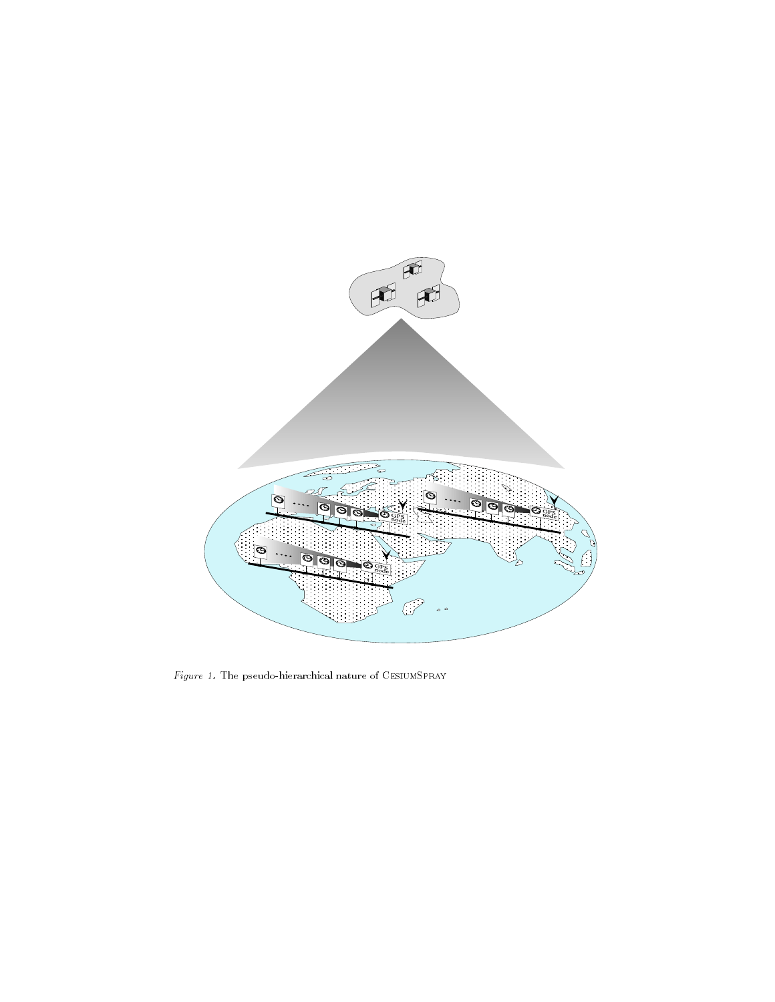

Figure 1. The pseudo-hierarchical nature of CESIUMSPRAY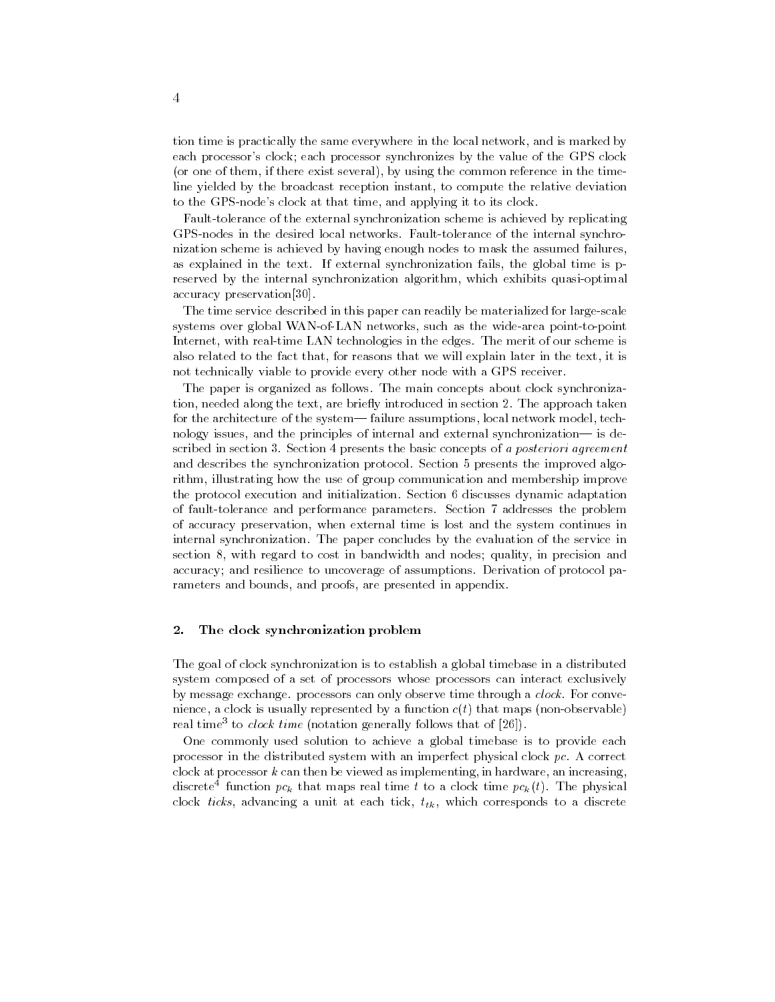tion time is practically the same everywhere in the local network, and is marked by each processor's clock; each processor synchronizes by the value of the GPS clock (or one of them, if there exist several), by using the common reference in the timeline yielded by the broadcast reception instant, to compute the relative deviation to the GPS-node's clock at that time, and applying it to its clock.

Fault-tolerance of the external synchronization scheme is achieved by replicating GPS-nodes in the desired local networks. Fault-tolerance of the internal synchronization scheme is achieved by having enough nodes to mask the assumed failures, as explained in the text. If external synchronization fails, the global time is preserved by the internal synchronization algorithm, which exhibits quasi-optimal accuracy preservation[30].

The time service described in this paper can readily be materialized for large-scale systems over global WAN-of-LAN networks, such as the wide-area point-to-point Internet, with real-time LAN technologies in the edges. The merit of our scheme is also related to the fact that, for reasons that we will explain later in the text, it is not technically viable to provide every other node with a GPS receiver.

The paper is organized as follows. The main concepts about clock synchronization, needed along the text, are briefly introduced in section 2. The approach taken for the architecture of the system— failure assumptions, local network model, technology issues, and the principles of internal and external synchronization— is described in section 3. Section 4 presents the basic concepts of a posteriori agreement and describes the synchronization protocol. Section 5 presents the improved algorithm, illustrating how the use of group communication and membership improve the protocol execution and initialization. Section 6 discusses dynamic adaptation of fault-tolerance and performance parameters. Section 7 addresses the problem of accuracy preservation, when external time is lost and the system continues in internal synchronization. The paper concludes by the evaluation of the service in section 8, with regard to cost in bandwidth and nodes; quality, in precision and accuracy; and resilience to uncoverage of assumptions. Derivation of protocol parameters and bounds, and proofs, are presented in appendix.

#### 2. The clock synchronization problem

The goal of clock synchronization is to establish a global timebase in a distributed system composed of a set of processors whose processors can interact exclusively by message exchange. processors can only observe time through a clock. For convenience, a clock is usually represented by a function  $c(t)$  that maps (non-observable) real time<sup>3</sup> to *clock time* (notation generally follows that of  $[20]$ ).

One commonly used solution to achieve a global timebase is to provide each processor in the distributed system with an imperfect physical clock pc. A correct clock at processor  $k$  can then be viewed as implementing, in hardware, an increasing, discrete tunction  $pc_k$  that maps real time t to a clock time  $pc_k(t)$ . The physical clock ticks, advancing a unit at each tick,  $t_{tk}$ , which corresponds to a discrete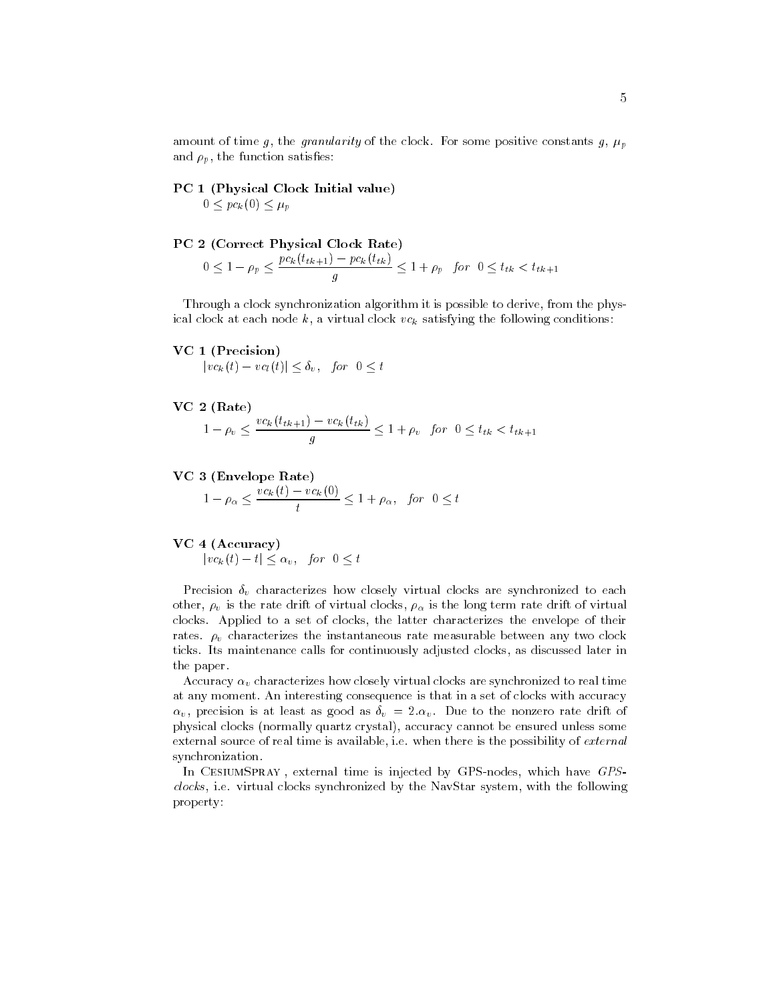amount of time g, the granularity of the clock. For some positive constants g,  $\mu_p$  $\alpha$ is  $\mu$ <sub>i</sub>, the function satisfies.

PC 1 (Physical Clock Initial value)  $0 \leq pc_k(0) \leq \mu_p$ 

$$
\begin{aligned} \textbf{PC 2 (Correct Physical Clock Rate)}\\ 0 \le 1 - \rho_p &\le \frac{p c_k(t_{tk+1}) - p c_k(t_{tk})}{g} \le 1 + \rho_p \quad \textit{for} \ \ 0 \le t_{tk} < t_{tk+1} \end{aligned}
$$

Through a clock synchronization algorithm it is possible to derive, from the physical clock at each node k, a virtual clock vck satisfying the following conditions:

- VC 1 (Precision)  $j \circ r$  ,  $j \circ r$  ,  $j \circ r$  ,  $j \circ r$  ,  $j \circ r$  ,  $j \circ r$  ,  $j \circ r$  ,  $j \circ r$  ,  $j \circ r$  ,  $j \circ r$  ,  $j \circ r$  ,  $j \circ r$  ,  $j \circ r$  ,  $j \circ r$  ,  $j \circ r$  ,  $j \circ r$  ,  $j \circ r$  ,  $j \circ r$  ,  $j \circ r$  ,  $j \circ r$  ,  $j \circ r$  ,  $j \circ r$  ,  $j \circ r$  ,  $j \circ r$  ,  $j \circ r$
- VC 2 (Rate)  $1 - \rho_v \leq \frac{\sum_{k=1}^{n} \sum_{k=1}^{n} \sum_{l=1}^{n} \sum_{l=1}^{n} \sum_{l=1}^{n} l}{2} \leq 1 + \rho_v$  for  $0 \leq t_{tk} < t_{tk+1}$ g

#### VC 3 (Envelope Rate)

$$
1 - \rho_{\alpha} \le \frac{vc_k(t) - vc_k(0)}{t} \le 1 + \rho_{\alpha}, \quad \text{for } 0 \le t
$$

VC 4 (Accuracy) jvck (t)  $\sim$  1  $\sim$  0  $\sim$  0  $\sim$  0  $\sim$  0  $\sim$ 

Precision v characterizes how closely virtual clocks are synchronized to each other, v is the rate drift of virtual clocks, is the long term rate drift of virtual clocks. Applied to a set of clocks, the latter characterizes the envelope of their rates. v characterizes the instantaneous rate measurable between any two clock ticks. Its maintenance calls for continuously adjusted clocks, as discussed later in the paper.

 $A$  control virtual controls how closely virtual clocks are sympathesis to real time at any moment. An interesting consequence is that in a set of clocks with accuracy  $\alpha$  , precision is at least as good as  $\alpha$   $\beta$   $\beta$   $\gamma$   $\beta$  as to the indicate rate drift of physical clocks (normally quartz crystal), accuracy cannot be ensured unless some external source of real time is available, i.e. when there is the possibility of external synchronization.

In CesiumSpray , external time is injected by GPS-nodes, which have GPSclocks , i.e. virtual clocks synchronized by the NavStar system, with the following property: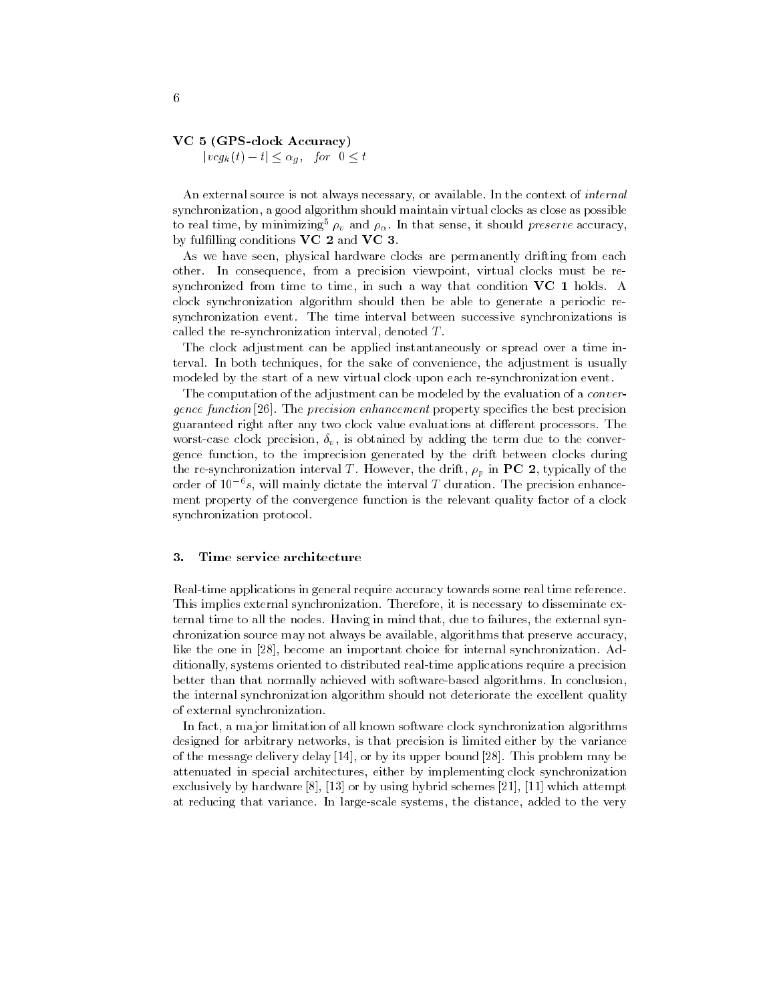## VC 5 (GPS-clock Accuracy)

 $j \circ \sigma$ 

An external source is not always necessary, or available. In the context of internal synchronization, a good algorithm should maintain virtual clocks as close as possible to real time, by minimizing  $\rho_v$  and  $\rho_\alpha$  . In that sense, it should *preserve* accuracy, by fulfilling conditions VC 2 and VC 3.

As we have seen, physical hardware clocks are permanently drifting from each other. In consequence, from a precision viewpoint, virtual clocks must be resynchronized from time to time, in such a way that condition  $VC$  1 holds. A clock synchronization algorithm should then be able to generate a periodic resynchronization event. The time interval between successive synchronizations is called the re-synchronization interval, denoted <sup>T</sup> .

The clock adjustment can be applied instantaneously or spread over a time interval. In both techniques, for the sake of convenience, the adjustment is usually modeled by the start of a new virtual clock upon each re-synchronization event.

The computation of the adjustment can be modeled by the evaluation of a *conver*gence function [26]. The precision enhancement property specifies the best precision guaranteed right after any two clock value evaluations at dierent processors. The worst-case crock precision, v<sub>il</sub> is obtained by adding the term due to the convergence function, to the imprecision generated by the drift between clocks during the re-synchronization interval T . However, the drive, p is  $\bullet$   $\bullet$   $\bullet$   $\bullet$  is present, or the order of  $10^{-6}s$ , will mainly dictate the interval T duration. The precision enhancement property of the convergence function is the relevant quality factor of a clock synchronization protocol.

#### 3. Time service architecture

Real-time applications in general require accuracy towards some real time reference. This implies external synchronization. Therefore, it is necessary to disseminate external time to all the nodes. Having in mind that, due to failures, the external synchronization source may not always be available, algorithms that preserve accuracy, like the one in [28], become an important choice for internal synchronization. Additionally, systems oriented to distributed real-time applications require a precision better than that normally achieved with software-based algorithms. In conclusion, the internal synchronization algorithm should not deteriorate the excellent quality of external synchronization.

In fact, a major limitation of all known software clock synchronization algorithms designed for arbitrary networks, is that precision is limited either by the variance of the message delivery delay [14], or by its upper bound [28]. This problem may be attenuated in special architectures, either by implementing clock synchronization exclusively by hardware [8], [13] or by using hybrid schemes [21], [11] which attempt at reducing that variance. In large-scale systems, the distance, added to the very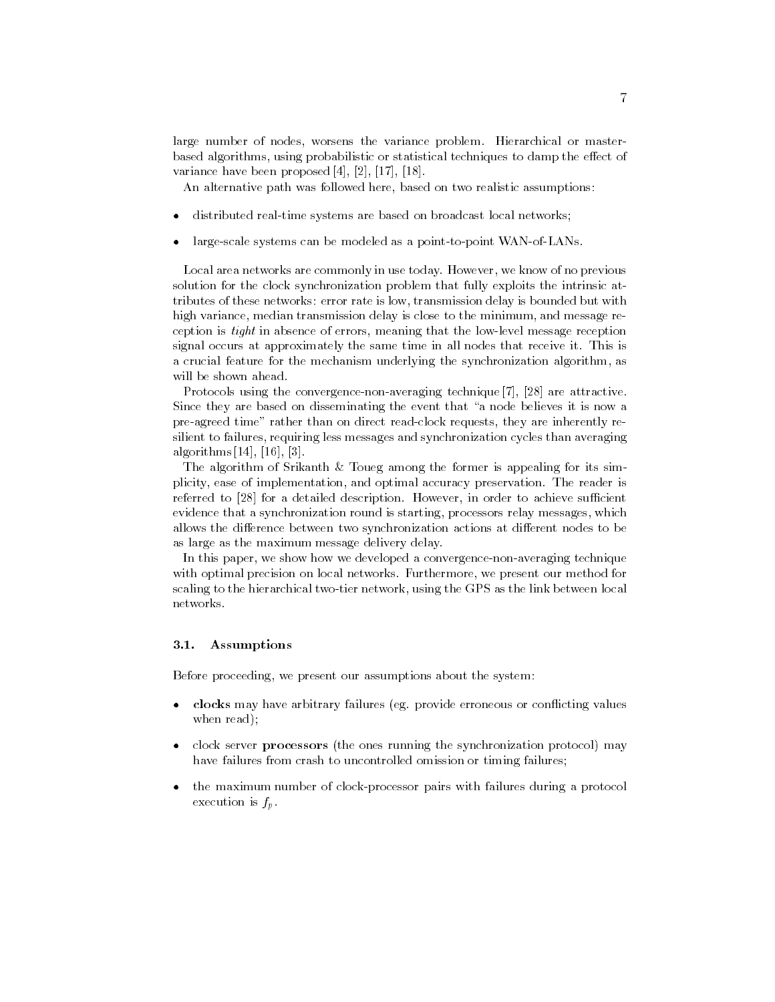large number of nodes, worsens the variance problem. Hierarchical or masterbased algorithms, using probabilistic or statistical techniques to damp the effect of variance have been proposed [4], [2], [17], [18].

An alternative path was followed here, based on two realistic assumptions:

- distributed real-time systems are based on broadcast local networks;
- large-scale systems can be modeled as a point-to-point WAN-of-LANs.

Local area networks are commonly in use today. However, we know of no previous solution for the clock synchronization problem that fully exploits the intrinsic attributes of these networks: error rate is low, transmission delay is bounded but with high variance, median transmission delay is close to the minimum, and message reception is tight in absence of errors, meaning that the low-level message reception signal occurs at approximately the same time in all nodes that receive it. This is a crucial feature for the mechanism underlying the synchronization algorithm, as will be shown ahead.

Protocols using the convergence-non-averaging technique [7], [28] are attractive. Since they are based on disseminating the event that "a node believes it is now a pre-agreed time" rather than on direct read-clock requests, they are inherently resilient to failures, requiring less messages and synchronization cycles than averaging algorithms [14], [16], [3].

The algorithm of Srikanth & Toueg among the former is appealing for its simplicity, ease of implementation, and optimal accuracy preservation. The reader is referred to [28] for a detailed description. However, in order to achieve sufficient evidence that a synchronization round is starting, processors relay messages, which allows the difference between two synchronization actions at different nodes to be as large as the maximum message delivery delay.

In this paper, we show how we developed a convergence-non-averaging technique with optimal precision on local networks. Furthermore, we present our method for scaling to the hierarchical two-tier network, using the GPS as the link between local networks.

### 3.1. Assumptions

Before proceeding, we present our assumptions about the system:

- clocks may have arbitrary failures (eg. provide erroneous or con
icting values when read):  $\cdots$  and read in read  $\cdots$  readily  $\cdots$
- clock server processors (the ones running the synchronization protocol) may have failures from crash to uncontrolled omission or timing failures;
- the maximum number of clock-processor pairs with failures during a protocol  $\mathcal{L}$  execution is fp .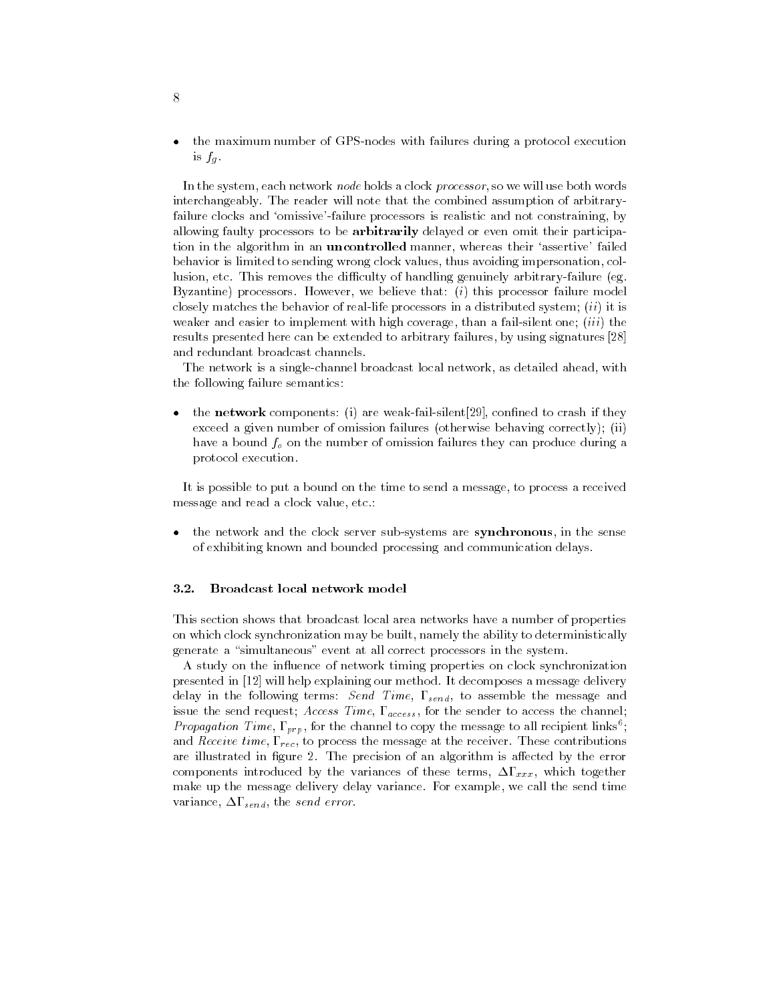the maximum number of GPS-nodes with failures during a protocol execution  $\bullet$  $\sim$   $\frac{1}{2}$  .

In the system, each network node holds a clock processor, so we will use both words interchangeably. The reader will note that the combined assumption of arbitraryfailure clocks and 'omissive'-failure processors is realistic and not constraining, by allowing faulty processors to be arbitrarily delayed or even omit their participation in the algorithm in an **uncontrolled** manner, whereas their 'assertive' failed behavior is limited to sending wrong clock values, thus avoiding impersonation, collusion, etc. This removes the difficulty of handling genuinely arbitrary-failure (eg. Byzantine) processors. However, we believe that:  $(i)$  this processor failure model closely matches the behavior of real-life processors in a distributed system; *(ii)* it is weaker and easier to implement with high coverage, than a fail-silent one; *(iii)* the results presented here can be extended to arbitrary failures, by using signatures [28] and redundant broadcast channels.

The network is a single-channel broadcast local network, as detailed ahead, with the following failure semantics:

the **network** components: (i) are weak-fail-silent [29], confined to crash if they exceed a given number of omission failures (otherwise behaving correctly); (ii) have a bound fo on the number of omission failures they can produce during a protocol execution.

It is possible to put a bound on the time to send a message, to process a received message and read a clock value, etc.:

 the network and the clock server sub-systems are synchronous, in the sense of exhibiting known and bounded processing and communication delays.

#### 3.2. Broadcast local network model

This section shows that broadcast local area networks have a number of properties on which clock synchronization may be built, namely the ability to deterministically generate a "simultaneous" event at all correct processors in the system.

A study on the in
uence of network timing properties on clock synchronization presented in [12] will help explaining our method. It decomposes a message delivery delay in the following terms: Send Time,  $\Gamma_{send}$ , to assemble the message and issue the send request; Access Time,  $\Gamma_{access}$ , for the sender to access the channel; *Propagation Time*,  $1_{prp}$ , for the channel to copy the message to all recipient links<sup>-</sup>; and Receive time,  $\Gamma_{rec}$ , to process the message at the receiver. These contributions are illustrated in figure 2. The precision of an algorithm is affected by the error components introduced by the variances of these terms,  $\Delta \Gamma_{xxx}$ , which together make up the message delivery delay variance. For example, we call the send time variance,  $\Delta\Gamma_{send}$ , the send error.

<sup>8</sup>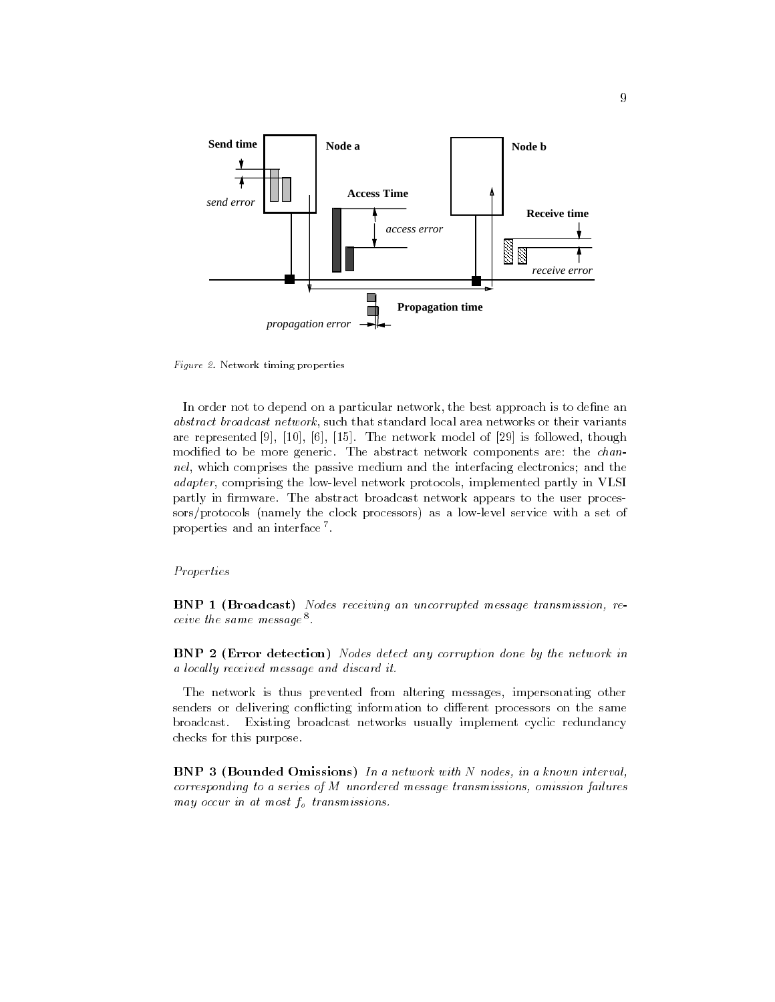

Figure 2. Network timing properties

In order not to depend on a particular network, the best approach is to define an abstract broadcast network, such that standard local area networks or their variants are represented [9], [10], [6], [15]. The network model of [29] is followed, though modied to be more generic. The abstract network components are: the channel, which comprises the passive medium and the interfacing electronics; and the adapter, comprising the low-level network protocols, implemented partly in VLSI partly in firmware. The abstract broadcast network appears to the user processors/protocols (namely the clock processors) as a low-level service with a set of properties and an interface  $\blacksquare$ 

#### Properties

BNP 1 (Broadcast) Nodes receiving an uncorrupted message transmission, receive ine same message -.

**BNP 2 (Error detection)** Nodes detect any corruption done by the network in a locally received message and discard it.

The network is thus prevented from altering messages, impersonating other senders or delivering conflicting information to different processors on the same broadcast. Existing broadcast networks usually implement cyclic redundancy checks for this purpose.

BNP 3 (Bounded Omissions) In a network with N nodes, in a known interval, corresponding to a series of <sup>M</sup> unordered message transmissions, omission failures may occur in at most fo transmissions.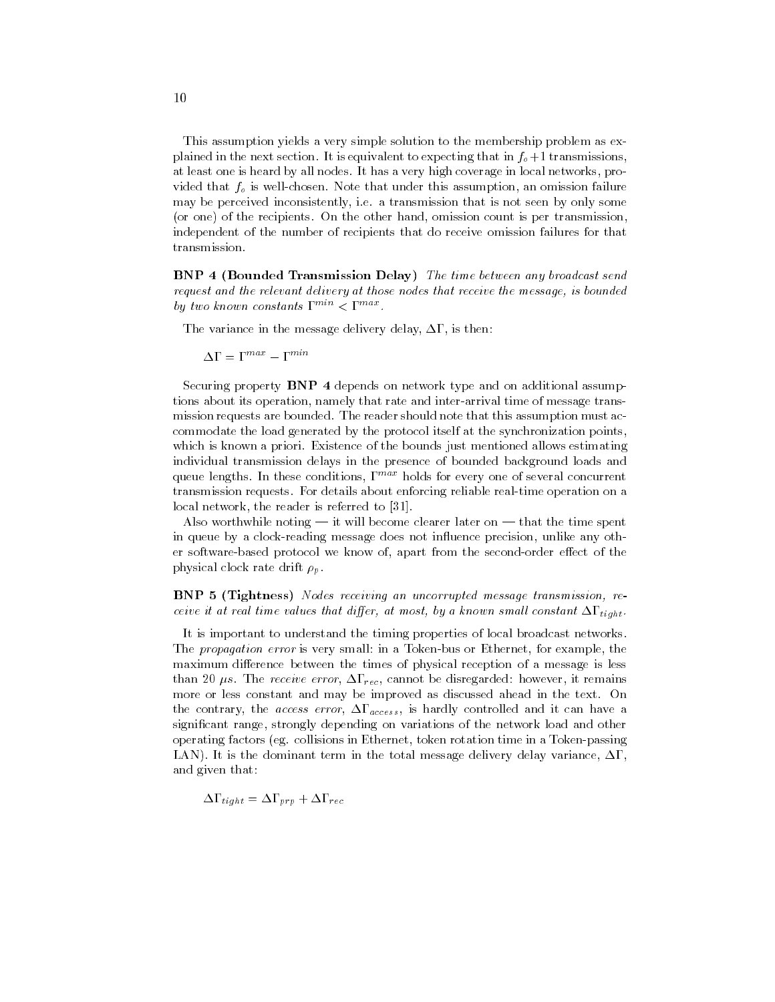This assumption yields a very simple solution to the membership problem as explained in the next section. It is equivalent to expecting that in  $f_o+1$  transmissions, at least one is heard by all nodes. It has a very high coverage in local networks, provided that fo is well-chosen. Note that under this assumption, an omission failure may be perceived inconsistently, i.e. a transmission that is not seen by only some (or one) of the recipients. On the other hand, omission count is per transmission, independent of the number of recipients that do receive omission failures for that transmission.

**BNP 4 (Bounded Transmission Delay)** The time between any broadcast send request and the relevant delivery at those nodes that receive the message, is bounded by two known constants  $1^{mm} < 1^{mm}$ .

The variance in the message delivery delay,  $\Delta\Gamma$ , is then:

 $\Delta\Gamma = \Gamma^{max} - \Gamma^{min}$ 

Securing property BNP 4 depends on network type and on additional assumptions about its operation, namely that rate and inter-arrival time of message transmission requests are bounded. The reader should note that this assumption must accommodate the load generated by the protocol itself at the synchronization points, which is known a priori. Existence of the bounds just mentioned allows estimating individual transmission delays in the presence of bounded background loads and queue lengths. In these conditions,  $\Gamma^{max}$  holds for every one of several concurrent transmission requests. For details about enforcing reliable real-time operation on a local network, the reader is referred to [31].

Also worthwhile noting  $-$  it will become clearer later on  $-$  that the time spent in queue by a clock-reading message does not influence precision, unlike any other software-based protocol we know of, apart from the second-order effect of the physical clock rate drift  $\rho_p$ .

BNP 5 (Tightness) Nodes receiving an uncorrupted message transmission, receive it at real time values that differ, at most, by a known small constant  $\Delta\Gamma_{tight}$ .

It is important to understand the timing properties of local broadcast networks. The propagation error is very small: in a Token-bus or Ethernet, for example, the maximum difference between the times of physical reception of a message is less than 20  $\mu s$ . The *receive error*,  $\Delta \Gamma_{rec}$ , cannot be disregarded: however, it remains more or less constant and may be improved as discussed ahead in the text. On the contrary, the access error,  $\Delta\Gamma_{access}$ , is hardly controlled and it can have a signicant range, strongly depending on variations of the network load and other operating factors (eg. collisions in Ethernet, token rotation time in a Token-passing LAN). It is the dominant term in the total message delivery delay variance,  $\Delta\Gamma$ , and given that:

tight that the contract of the contract of the contract of the contract of the contract of the contract of the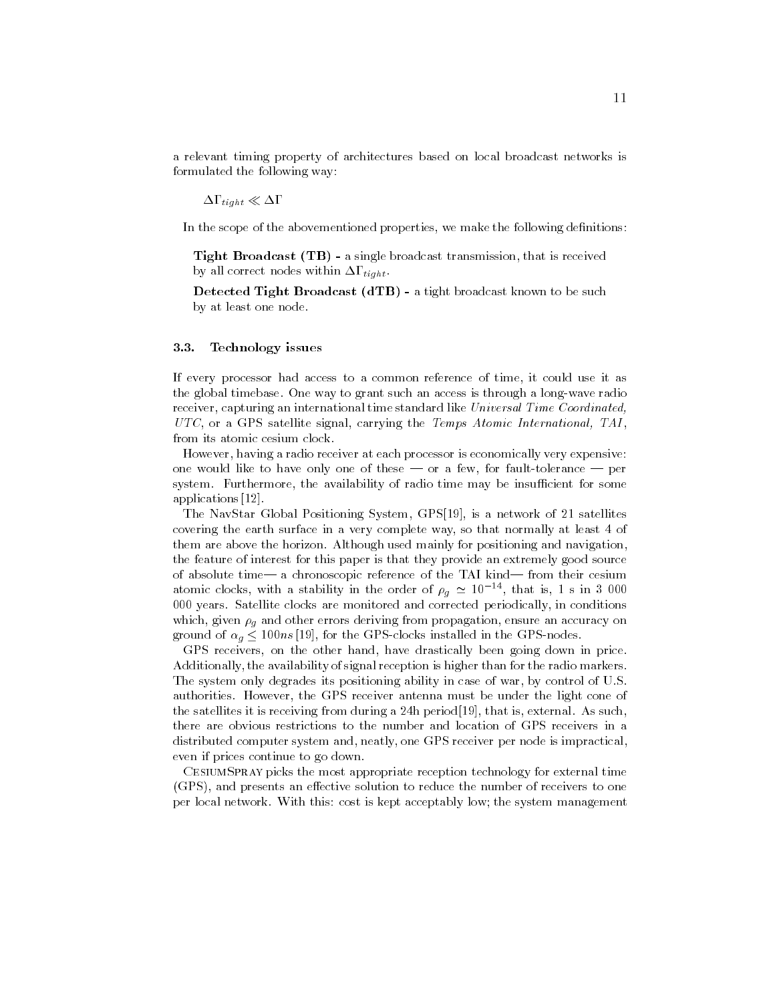a relevant timing property of architectures based on local broadcast networks is formulated the following way:

 $\cdots$  to give  $\cdots$ 

In the scope of the abovementioned properties, we make the following definitions:

Tight Broadcast (TB) - a single broadcast transmission, that is received by all correct nodes within  $\Delta\Gamma_{tight}$ .

Detected Tight Broadcast (dTB) - a tight broadcast known to be such by at least one node.

#### 3.3. Technology issues

If every processor had access to a common reference of time, it could use it as the global timebase. One way to grant such an access is through a long-wave radio receiver, capturing an international time standard like Universal Time Coordinated,  $UTC$ , or a GPS satellite signal, carrying the Temps Atomic International, TAI, from its atomic cesium clock.

However, having a radio receiver at each processor is economically very expensive: one would like to have only one of these  $-$  or a few, for fault-tolerance  $-$  per system. Furthermore, the availability of radio time may be insufficient for some applications [12].

The NavStar Global Positioning System, GPS[19], is a network of 21 satellites covering the earth surface in a very complete way, so that normally at least 4 of them are above the horizon. Although used mainly for positioning and navigation, the feature of interest for this paper is that they provide an extremely good source of absolute time- a chronoscopic reference of the TAI kind- from their cesium atomic clocks, with a stability in the order of  $\rho_q \simeq$  10  $^{++}$ , that is, 1 s in 3 000  $^-$ 000 years. Satellite clocks are monitored and corrected periodically, in conditions which, given g and other errors deriving from propagation, ensure an accuracy on  $\mathbf{g}$  is directed by  $\mathbf{g}$  . For the  $\mathbf{h}$  for the GPS-clocks installed in the GPS-clocks in

GPS receivers, on the other hand, have drastically been going down in price. Additionally, the availability of signal reception is higher than for the radio markers. The system only degrades its positioning ability in case of war, by control of U.S. authorities. However, the GPS receiver antenna must be under the light cone of the satellites it is receiving from during a 24h period[19], that is, external. As such, there are obvious restrictions to the number and location of GPS receivers in a distributed computer system and, neatly, one GPS receiver per node is impractical, even if prices continue to go down.

CesiumSpray picks the most appropriate reception technology for external time (GPS), and presents an effective solution to reduce the number of receivers to one per local network. With this: cost is kept acceptably low; the system management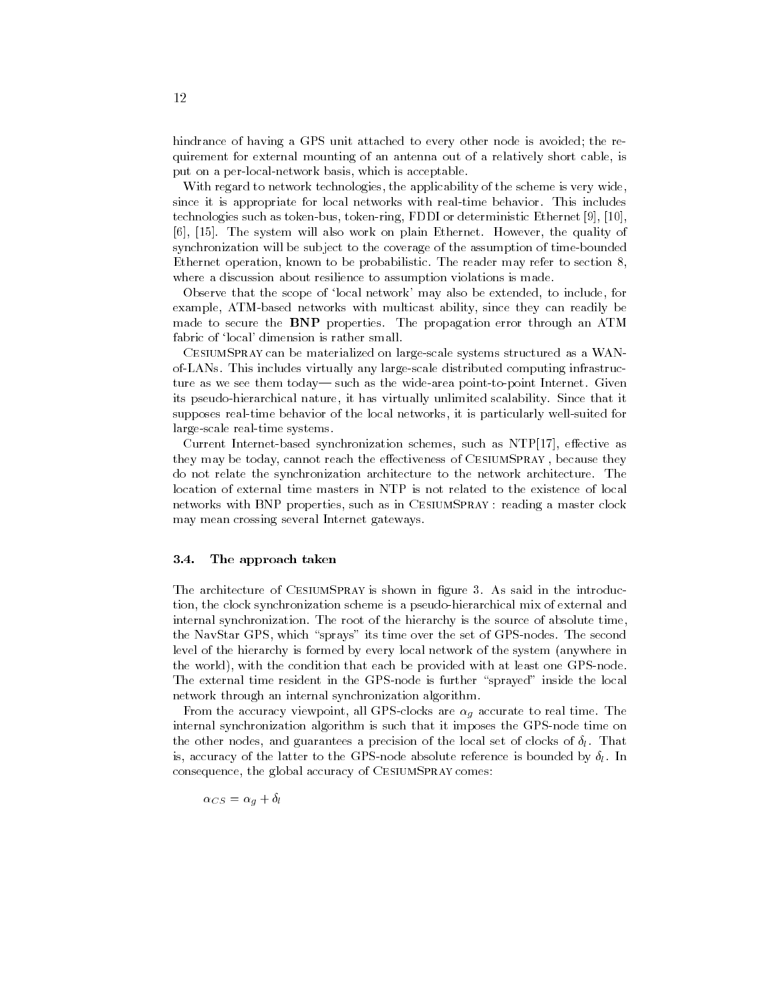hindrance of having a GPS unit attached to every other node is avoided; the requirement for external mounting of an antenna out of a relatively short cable, is put on a per-local-network basis, which is acceptable.

With regard to network technologies, the applicability of the scheme is very wide, since it is appropriate for local networks with real-time behavior. This includes technologies such as token-bus, token-ring, FDDI or deterministic Ethernet [9], [10], [6], [15]. The system will also work on plain Ethernet. However, the quality of synchronization will be subject to the coverage of the assumption of time-bounded Ethernet operation, known to be probabilistic. The reader may refer to section 8, where a discussion about resilience to assumption violations is made.

Observe that the scope of `local network' may also be extended, to include, for example, ATM-based networks with multicast ability, since they can readily be made to secure the BNP properties. The propagation error through an ATM fabric of 'local' dimension is rather small.

CesiumSpray can be materialized on large-scale systems structured as a WANof-LANs. This includes virtually any large-scale distributed computing infrastructure as we see them today— such as the wide-area point-to-point Internet. Given its pseudo-hierarchical nature, it has virtually unlimited scalability. Since that it supposes real-time behavior of the local networks, it is particularly well-suited for large-scale real-time systems.

Current Internet-based synchronization schemes, such as  $NTP[17]$ , effective as they may be today, cannot reach the effectiveness of CESIUMSPRAY, because they do not relate the synchronization architecture to the network architecture. The location of external time masters in NTP is not related to the existence of local networks with BNP properties, such as in CesiumSpray : reading a master clock may mean crossing several Internet gateways.

#### 3.4. The approach taken

The architecture of CESIUMSPRAY is shown in figure 3. As said in the introduction, the clock synchronization scheme is a pseudo-hierarchical mix of external and internal synchronization. The root of the hierarchy is the source of absolute time, the NavStar GPS, which \sprays" its time over the set of GPS-nodes. The second level of the hierarchy is formed by every local network of the system (anywhere in the world), with the condition that each be provided with at least one GPS-node. The external time resident in the GPS-node is further "sprayed" inside the local network through an internal synchronization algorithm.

From the accuracy viewpoint, all GPS-clocks are g accurate to real time. The internal synchronization algorithm is such that it imposes the GPS-node time on the other nodes, and guarantees a precision of the local set of clocks of l . That is, accuracy of the latter to the GPS-node absolute reference is bounded by l . In consequence, the global accuracy of CesiumSpray comes:

 $\sim$   $\sim$   $\mu$  +  $\sim$   $\mu$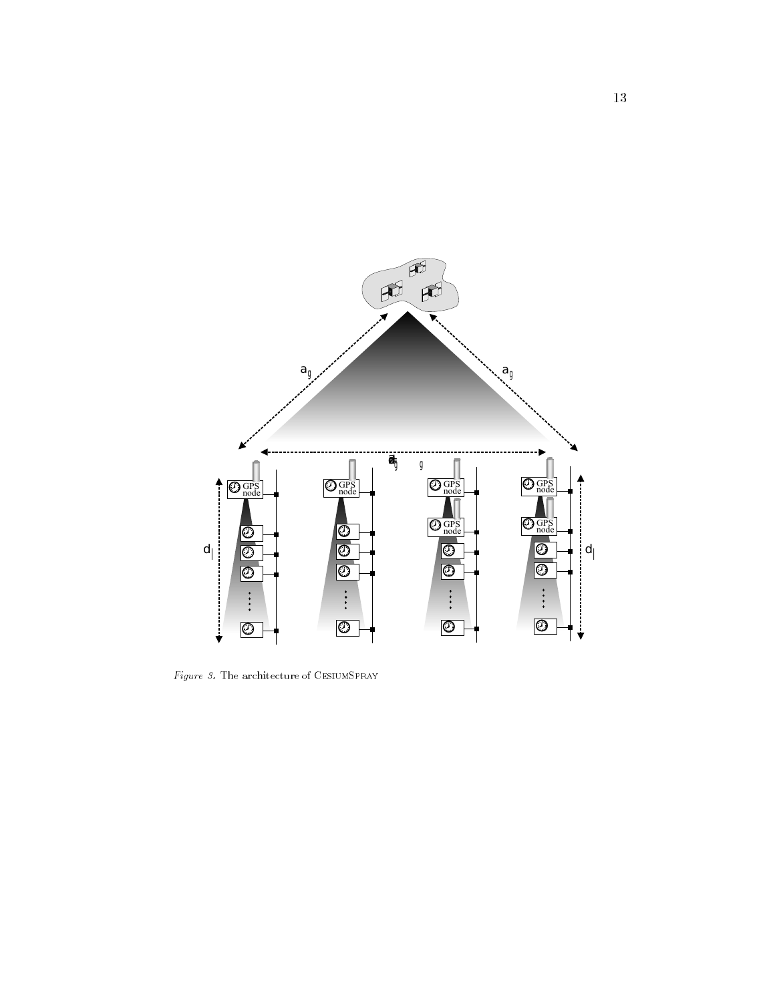

 $Figure\;\mathit{3}.$  The architecture of <code>CESIUMSPRAY</code>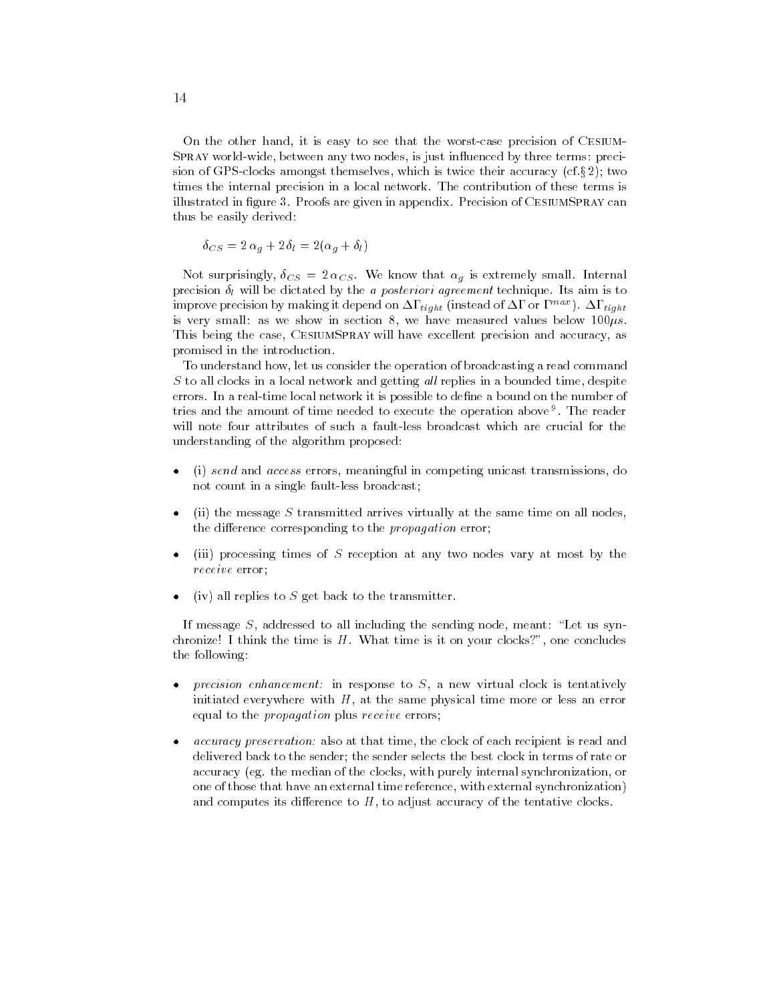On the other hand, it is easy to see that the worst-case precision of Cesium-Spray world-wide, between any two nodes, is just in
uenced by three terms: precision of GPS-clocks amongst themselves, which is twice their accuracy  $(cf.\S2)$ ; two times the internal precision in a local network. The contribution of these terms is illustrated in figure 3. Proofs are given in appendix. Precision of CESIUMSPRAY can thus be easily derived:

$$
\delta_{CS} = 2 \alpha_q + 2 \delta_l = 2(\alpha_q + \delta_l)
$$

 $\mathcal{L} \circ \mathcal{L}$  surprisingly,  $\mathcal{L} \circ \mathcal{L}$  ,  $\mathcal{L} \circ \mathcal{L}$  is extremely small. Internal  $\mathcal{L} \circ \mathcal{L}$ precision l will be dictated by the a posteriori agreement technique. Its aim is to improve precision by making it depend on  $\Delta t$   $_{tight}$  (instead of  $\Delta t$  or  $t$   $^{max}$  ).  $\Delta t$   $_{tiaht}$ is very small: as we show in section 8, we have measured values below  $100\mu s$ . This being the case, CesiumSpray will have excellent precision and accuracy, as promised in the introduction.

To understand how, let us consider the operation of broadcasting a read command S to all clocks in a local network and getting al l replies in a bounded time, despite errors. In a real-time local network it is possible to define a bound on the number of tries and the amount of time needed to execute the operation above <sup>9</sup> . The reader will note four attributes of such a fault-less broadcast which are crucial for the understanding of the algorithm proposed:

- (i) send and access errors, meaningful in competing unicast transmissions, do not count in a single fault-less broadcast;
- (ii) the message  $S$  transmitted arrives virtually at the same time on all nodes,  $\bullet$ the difference corresponding to the *propagation* error;
- $\bullet$ (iii) processing times of S reception at any two nodes vary at most by the receive error;
- $\bullet$  (iv) all replies to S get back to the transmitter.

If message  $S$ , addressed to all including the sending node, meant: "Let us synchronize! I think the time is H. What time is it on your clocks?", one concludes the following:

- $\bullet$  precision enhancement: in response to  $S$ , a new virtual clock is tentatively initiated everywhere with  $H$ , at the same physical time more or less an error equal to the propagation plus receive errors;
- accuracy preservation: also at that time, the clock of each recipient is read and delivered back to the sender; the sender selects the best clock in terms of rate or accuracy (eg. the median of the clocks, with purely internal synchronization, or one of those that have an external time reference, with external synchronization) and computes its difference to  $H$ , to adjust accuracy of the tentative clocks.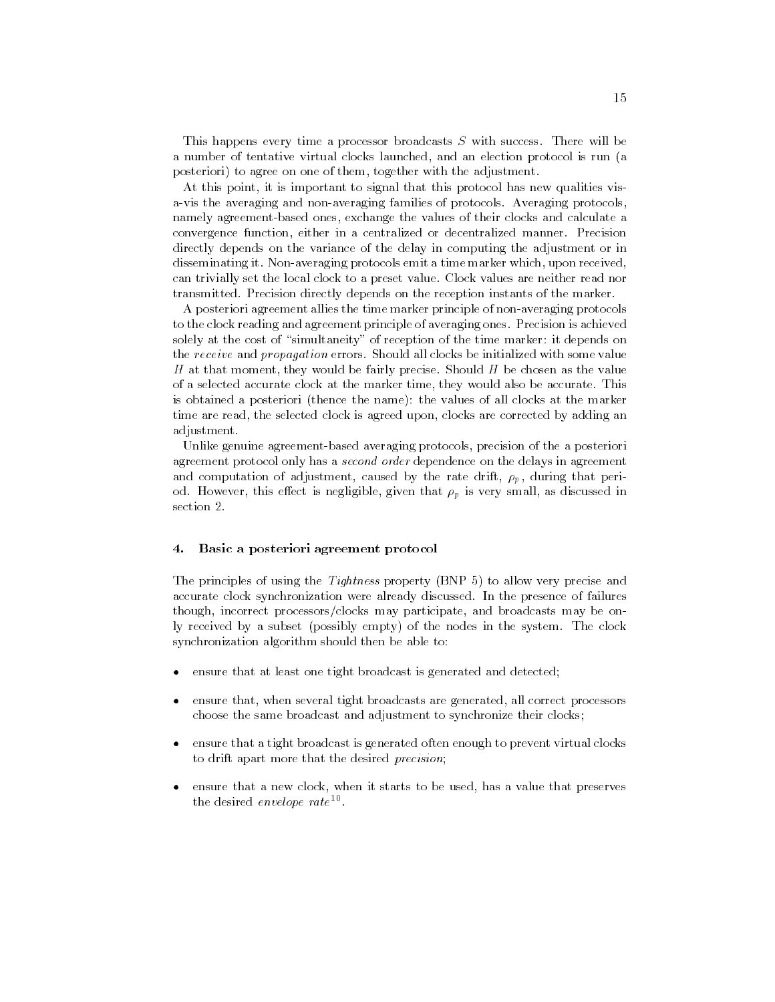This happens every time a processor broadcasts <sup>S</sup> with success. There will be a number of tentative virtual clocks launched, and an election protocol is run (a posteriori) to agree on one of them, together with the adjustment.

At this point, it is important to signal that this protocol has new qualities visa-vis the averaging and non-averaging families of protocols. Averaging protocols, namely agreement-based ones, exchange the values of their clocks and calculate a convergence function, either in a centralized or decentralized manner. Precision directly depends on the variance of the delay in computing the adjustment or in disseminating it. Non-averaging protocols emit a time marker which, upon received, can trivially set the local clock to a preset value. Clock values are neither read nor transmitted. Precision directly depends on the reception instants of the marker.

A posteriori agreement allies the time marker principle of non-averaging protocols to the clock reading and agreement principle of averaging ones. Precision is achieved solely at the cost of "simultaneity" of reception of the time marker: it depends on the receive and propagation errors. Should all clocks be initialized with some value H at that moment, they would be fairly precise. Should <sup>H</sup> be chosen as the value of a selected accurate clock at the marker time, they would also be accurate. This is obtained a posteriori (thence the name): the values of all clocks at the marker time are read, the selected clock is agreed upon, clocks are corrected by adding an adjustment.

Unlike genuine agreement-based averaging protocols, precision of the a posteriori agreement protocol only has a second order dependence on the delays in agreement and computation of adjustment, caused by the rate drift, pp; during that period. However, this eect is negligible, given that p is very small, as discussed in section 2.

#### 4. Basic a posteriori agreement protocol

The principles of using the *Tightness* property (BNP 5) to allow very precise and accurate clock synchronization were already discussed. In the presence of failures though, incorrect processors/clocks may participate, and broadcasts may be only received by a subset (possibly empty) of the nodes in the system. The clock synchronization algorithm should then be able to:

- ensure that at least one tight broadcast is generated and detected;
- ensure that, when several tight broadcasts are generated, all correct processors choose the same broadcast and adjustment to synchronize their clocks;
- ensure that a tight broadcast is generated often enough to prevent virtual clocks to drift apart more that the desired precision;
- ensure that a new clock, when it starts to be used, has a value that preserves the desired *envelope rate*  $\cdot$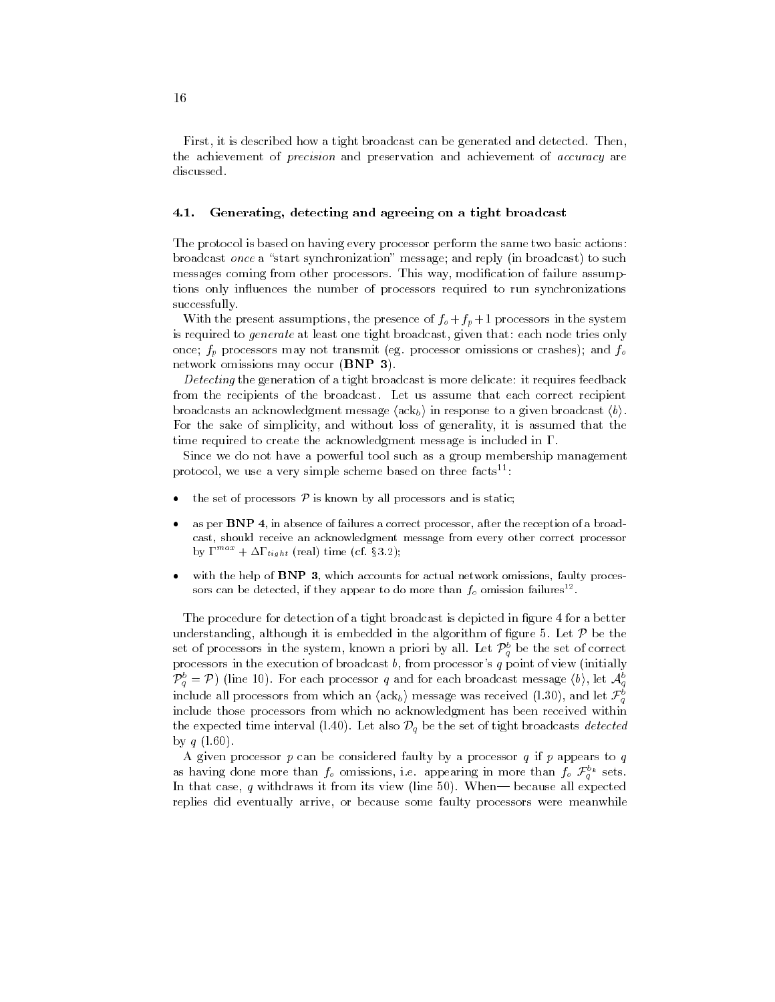First, it is described how a tight broadcast can be generated and detected. Then, the achievement of precision and preservation and achievement of accuracy are discussed.

#### 4.1. Generating, detecting and agreeing on a tight broadcast

The protocol is based on having every processor perform the same two basic actions: broadcast once a "start synchronization" message; and reply (in broadcast) to such messages coming from other processors. This way, modication of failure assumptions only influences the number of processors required to run synchronizations successfully.

 $\mathcal{L}_{\mathcal{A}}$  is the present assumptions, the presence of  $f(t)$  +  $f(t)$  +  $f(t)$  +  $f(t)$  is the system. is required to generate at least one tight broadcast, given that: each node tries only once; fp processors may not transmit (eg. processor omissions or crashes); and fo network omissions may occur (BNP 3).

Detecting the generation of a tight broadcast is more delicate: it requires feedback from the recipients of the broadcast. Let us assume that each correct recipient broadcasts an acknowledgment message  $\langle \text{ack}_b \rangle$  in response to a given broadcast  $\langle b \rangle$ . For the sake of simplicity, and without loss of generality, it is assumed that the time required to create the acknowledgment message is included in  $\Gamma$ .

Since we do not have a powerful tool such as a group membership management protocol, we use a very simple scheme based on three  $facts^{11}$ :

- the set of processors  $\mathcal P$  is known by all processors and is static;
- as per BNP 4, in absence of failures a correct processor, after the reception of a broadcast, should receive an acknowledgment message from every other correct processor by  $\Gamma^{max} + \Delta \Gamma_{tight}$  (real) time (cf. § 3.2);
- with the help of BNP 3, which accounts for actual network omissions, faulty processors can be detected, if they appear to do more than  $J_{\phi}$  omission failures".

The procedure for detection of a tight broadcast is depicted in figure 4 for a better understanding, although it is embedded in the algorithm of figure 5. Let  $P$  be the set of processors in the system, known a priori by all. Let  $\overline{P^*_q}$  be the set of correct processors in the execution of broadcast  $b$ , from processor's  $q$  point of view (initially  $P_q^* = P$ ) (line 10). For each processor q and for each broadcast message  $\langle b \rangle$ , let  $\mathcal{A}_q^*$ include all processors from which an  $\langle\mathrm{ack}_b\rangle$  message was received  $(1.30)$ , and let  ${\mathcal F}_q^*$ include those processors from which no acknowledgment has been received within the expected time interval (l.40). Let also Dq be the set of tight broadcasts detected by  $q(1.60)$ .

A given processor p can be considered faulty by a processor q if p appears to q as having done more than  $J_o$  omissions, i.e. appearing in more than  $J_o$   $\mathcal{F}_o^{\ast\kappa}$  sets. In that case,  $q$  withdraws it from its view (line 50). When— because all expected replies did eventually arrive, or because some faulty processors were meanwhile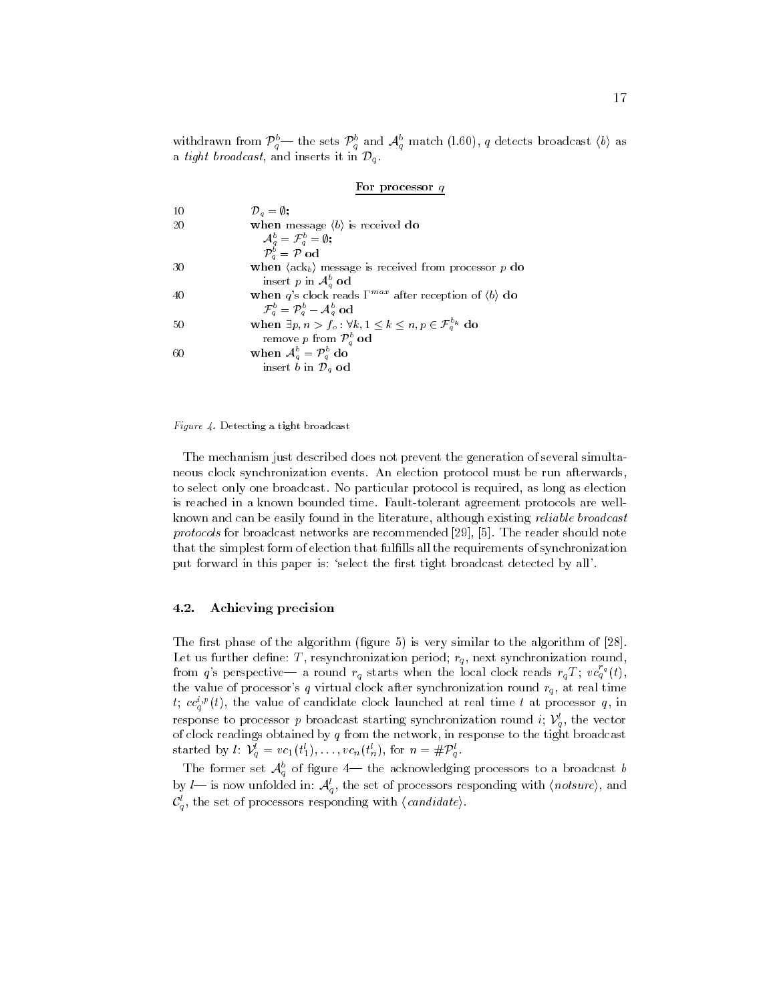withdrawn from  $P^*_q$  the sets  $P^*_q$  and  $A^*_q$  match (1.60), q detects broadcast (b) as a tight broadcast, and inserts it inserts it inserts it in Danmark . It is insert in Danmark . It is in Danmark

#### For processor <sup>q</sup>

| 10  | $\mathcal{D}_a = \emptyset$                                                          |
|-----|--------------------------------------------------------------------------------------|
| 20  | when message $\langle b \rangle$ is received do                                      |
|     | $\mathcal{A}_a^b = \mathcal{F}_a^b = \emptyset;$                                     |
|     | $\mathcal{P}_{a}^{\dot{b}} = \mathcal{P}$ od                                         |
| -30 | when $\langle \text{ack}_b \rangle$ message is received from processor p do          |
|     | insert p in $\mathcal{A}_a^b$ od                                                     |
| 40  | when q's clock reads $\Gamma^{max}$ after reception of $\langle b \rangle$ do        |
|     | $\mathcal{F}_a^b = \mathcal{P}_a^b - \mathcal{A}_a^b$ od                             |
| 50  | when $\exists p, n > f_o : \forall k, 1 \leq k \leq n, p \in \mathcal{F}_q^{b_k}$ do |
|     | remove p from $\mathcal{P}_{q}^{b}$ od                                               |
| -60 | when $\mathcal{A}_q^b = \mathcal{P}_q^b$ do                                          |
|     | insert b in $\mathcal{D}_q$ od                                                       |

Figure 4. Detecting a tight broadcast

The mechanism just described does not prevent the generation of several simultaneous clock synchronization events. An election protocol must be run afterwards, to select only one broadcast. No particular protocol is required, as long as election is reached in a known bounded time. Fault-tolerant agreement protocols are wellknown and can be easily found in the literature, although existing reliable broadcast protocols for broadcast networks are recommended [29], [5]. The reader should note that the simplest form of election that fulfills all the requirements of synchronization put forward in this paper is: 'select the first tight broadcast detected by all'.

### 4.2. Achieving precision

The first phase of the algorithm (figure 5) is very similar to the algorithm of  $[28]$ . Let us further dene: <sup>T</sup> , resynchronization period; rq , next synchronization round, from q's perspective— a round  $r_a$  starts when the local clock reads  $r_aT$ ;  $vc_a^{q}(t)$ , the value of processor's q virtual clock after synchronization round  $r_q$ , at real time  $t; c c_d^{\alpha}$  (t), the value of candidate clock launched at real time t at processor q, in response to processor p proadcast starting synchronization round  $v$ ;  $v_a$ , the vector  $\sim$ of clock readings obtained by  $q$  from the network, in response to the tight broadcast started by  $\iota: \nu_a = \nu c_1(t_1), \ldots, \nu c_n(t_n)$ , for  $n = \# \nu_a$ .

The former set  $A_{\sigma}^*$  of figure  $4-$  the acknowledging processors to a broadcast  $\theta$ by  $l$ — is now unfolded in:  $A_d$ , the set of processors responding with  $\langle \textit{noiseure} \rangle$ , and  ${\mathcal C}_q,$  the set of processors responding with  $\langle {\it can} a a a a e \rangle.$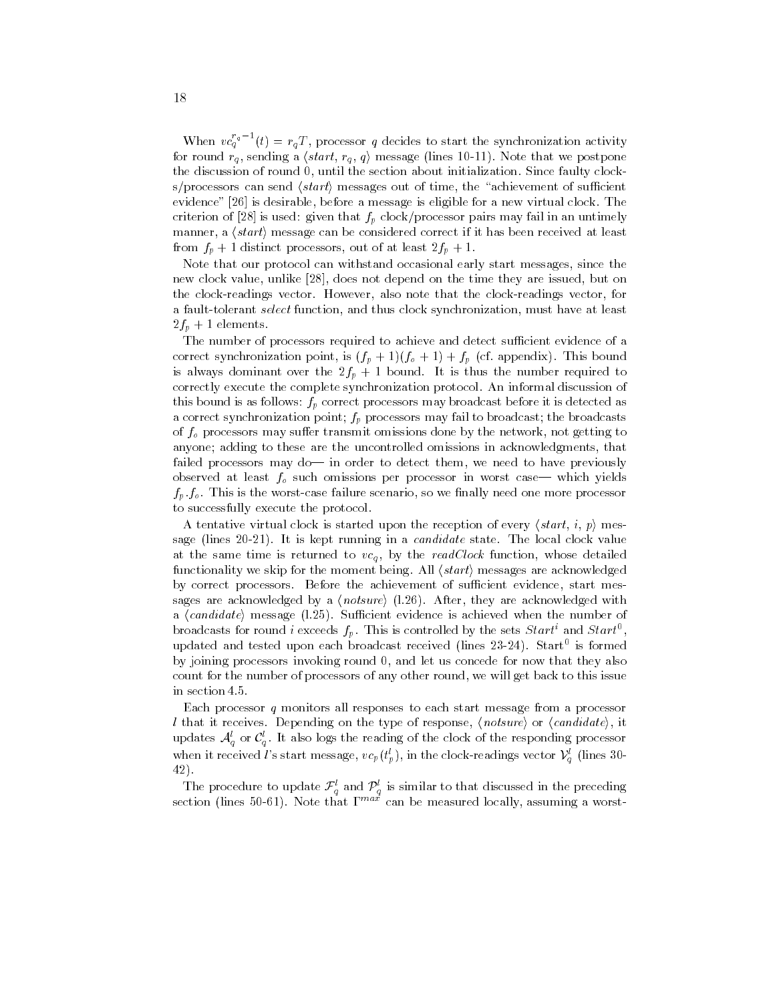When  $vc_q^q$   $\hat{t}$  (t) =  $r_qT$ , processor q decides to start the synchronization activity for round rq , sending a hstart, rq , qi message (lines 10-11). Note that we postpone the discussion of round 0, until the section about initialization. Since faulty clocks/processors can send  $\langle start \rangle$  messages out of time, the "achievement of sufficient evidence" [26] is desirable, before a message is eligible for a new virtual clock. The criterion of  $[28]$  is used: given that  $f_p$  erour, processer pairs may fail in an untimely manner, a  $\langle start \rangle$  message can be considered correct if it has been received at least  $f$  is the function of  $\mathcal{L}$  at least  $\mathcal{L}$  at least  $\mathcal{L}$   $\mathcal{L}$   $\mathcal{L}$   $\mathcal{L}$   $\mathcal{L}$   $\mathcal{L}$   $\mathcal{L}$   $\mathcal{L}$   $\mathcal{L}$   $\mathcal{L}$   $\mathcal{L}$   $\mathcal{L}$   $\mathcal{L}$   $\mathcal{L}$   $\mathcal{L}$   $\mathcal{L}$   $\mathcal{L}$   $\mathcal{L}$ 

Note that our protocol can withstand occasional early start messages, since the new clock value, unlike [28], does not depend on the time they are issued, but on the clock-readings vector. However, also note that the clock-readings vector, for a fault-tolerant select function, and thus clock synchronization, must have at least  $\blacksquare$  *y*  $\upsilon$  +  $\blacksquare$  executive.

The number of processors required to achieve and detect sufficient evidence of a correct synchronization point, is  $(f_0 + f_1(f_0) + f_1)$   $(f_1 + f_2)$  (signally the integration is always dominant over the 2fp + 1 bound. It is thus the number required to correctly execute the complete synchronization protocol. An informal discussion of this bound is as follows: fp correct processors may broadcast before it is detected as  $a$  correct symmetrization point;  $f_p$  processers may fail to broadcast; the broadcasts; of fo processors may suer transmit omissions done by the network, not getting to anyone; adding to these are the uncontrolled omissions in acknowledgments, that failed processors may do— in order to detect them, we need to have previously observed at least fo such omissions per processor in worst case| which yields fp :fo. This is the worst-case failure scenario, so we nally need one more processor to successfully execute the protocol.

A tentative virtual clock is started upon the reception of every  $\langle start, i, p \rangle$  message (lines 20-21). It is kept running in a candidate state. The local clock value at the same time is returned to vcq , by the readClock function, whose detailed functionality we skip for the moment being. All  $\langle start \rangle$  messages are acknowledged by correct processors. Before the achievement of sufficient evidence, start messages are acknowledged by a  $\langle \textit{notsure} \rangle$  (l.26). After, they are acknowledged with a  $\langle candidate \rangle$  message (1.25). Sufficient evidence is achieved when the number of broadcasts for round i exceeds  $f_n$ . This is controlled by the sets  $Start^c$  and  $Start^c$ , updated and tested upon each broadcast received (lines 23-24). Start0 is formed by joining processors invoking round 0, and let us concede for now that they also count for the number of processors of any other round, we will get back to this issue in section 4.5.

Each processor <sup>q</sup> monitors all responses to each start message from a processor l that it receives. Depending on the type of response, hnotsurei or hcandidatei, it updates  $\mathcal{A}_g$  or  $\mathcal{C}_g$ . It also logs the reading of the clock of the responding processor when it received l's start message,  $vc_p(t_p^t)$ , in the clock-readings vector  $\mathcal{V}_q^t$  (lines 30-42).

The procedure to update  $\mathcal{F}_q$  and  $\mathcal{F}_q$  is similar to that discussed in the preceding<br>section (lines 50-61). Note that  $\Gamma^{max}$  can be measured locally, assuming a worst-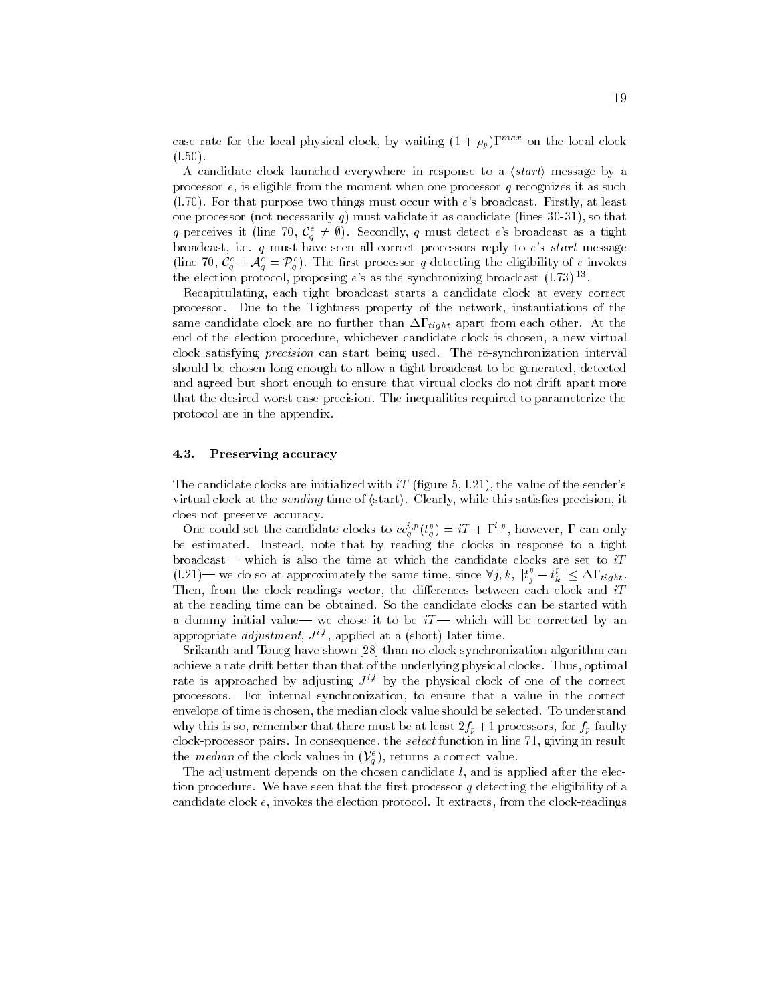case rate for the local physical clock, by waiting (1  $+$   $\rho_{n}$ )1  $^{max}$  on the local clock  $(1.50)$ .

A candidate clock launched everywhere in response to a  $\langle start \rangle$  message by a processor  $e$ , is eligible from the moment when one processor q recognizes it as such (l.70). For that purpose two things must occur with <sup>e</sup>'s broadcast. Firstly, at least one processor (not necessarily q) must validate it as candidate (lines  $30-31$ ), so that q perceives it (line 70,  $\mathcal{C}^e_q \neq \emptyset$ ). Secondly, q must detect e's broadcast as a tight broadcast, i.e.  $q$  must have seen all correct processors reply to  $e$ 's start message (line  $\tau_0$ ,  $C_q^+ + A_q^- = P_q^-$ ). The first processor q detecting the eligibility of e-invokes the election protocol, proposing e's as the synchronizing broadcast  $(1.73)^{13}$ .

Recapitulating, each tight broadcast starts a candidate clock at every correct processor. Due to the Tightness property of the network, instantiations of the same candidate clock are no further thank tight appear from each called the the end of the election procedure, whichever candidate clock is chosen, a new virtual clock satisfying precision can start being used. The re-synchronization interval should be chosen long enough to allow a tight broadcast to be generated, detected and agreed but short enough to ensure that virtual clocks do not drift apart more that the desired worst-case precision. The inequalities required to parameterize the protocol are in the appendix.

#### 4.3. Preserving accuracy

The candidate clocks are initialized with  $iT$  (figure 5, 1.21), the value of the sender's virtual clock at the *sending* time of  $\langle \text{start} \rangle$ . Clearly, while this satisfies precision, it does not preserve accuracy.

One could set the candidate clocks to  $cc_{\theta}^{c}$   $(t_{\theta}^{r}) = iT + \Gamma^{c}r$ , however, I can only be estimated. Instead, note that by reading the clocks in response to a tight broadcast— which is also the time at which the candidate clocks are set to  $iT$  $(1.21)$ — we do so at approximately the same time, since  $\forall j, k, \; |t_j^c - t_k^c| \leq \Delta \Gamma_{tight}$ . Then, from the clock-readings vector, the differences between each clock and  $iT$ at the reading time can be obtained. So the candidate clocks can be started with a dummy initial value— we chose it to be  $iT$ — which will be corrected by an appropriate *adjustment*,  $J^{i,l}$ , applied at a (short) later time.

Srikanth and Toueg have shown [28] than no clock synchronization algorithm can achieve a rate drift better than that of the underlying physical clocks. Thus, optimal rate is approached by adjusting  $J^{i,l}$  by the physical clock of one of the correct processors. For internal synchronization, to ensure that a value in the correct envelope of time is chosen, the median clock value should be selected. To understand why this is so, remember that there must be at least  $2f$  + 1 processors, for  $f$ p faulty clock-processor pairs. In consequence, the select function in line 71, giving in result the *median* of the clock values in  $(V_q)$ , returns a correct value.

The adjustment depends on the chosen candidate  $l$ , and is applied after the election procedure. We have seen that the first processor  $q$  detecting the eligibility of a candidate clock  $e$ , invokes the election protocol. It extracts, from the clock-readings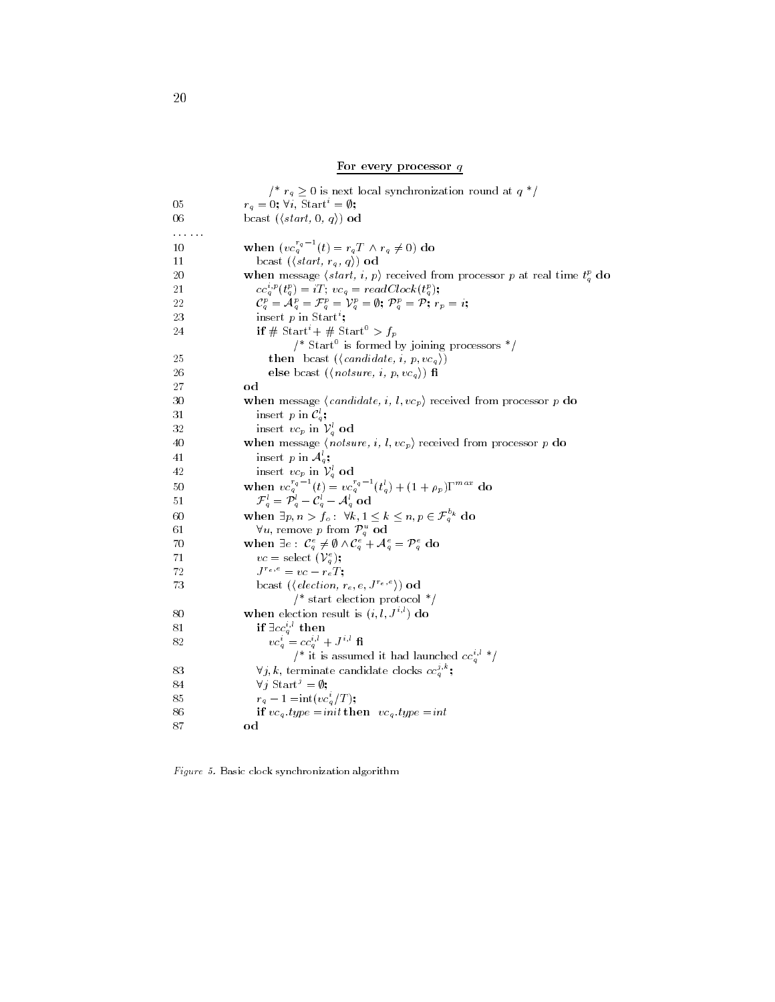### For every processor <sup>q</sup>

|             | /* $r_q \geq 0$ is next local synchronization round at $q^*/$                                                                    |
|-------------|----------------------------------------------------------------------------------------------------------------------------------|
| 05          | $r_q = 0; \forall i, \text{ Start}^i = \emptyset;$                                                                               |
| 06          | bcast $(\langle start, 0, q \rangle)$ od                                                                                         |
| .           |                                                                                                                                  |
| 10          | when $\left(v c_q^{r_q-1}(t) = r_q T \wedge r_q \neq 0\right)$ do                                                                |
| 11          | bcast ( $\langle start, r_q, q \rangle$ ) od                                                                                     |
| 20          | when message $\langle start, i, p \rangle$ received from processor p at real time $t_q^p$ do                                     |
| $2\sqrt{1}$ | $cc_q^{i,p}(t_q^p) = iT$ ; $vc_q = readClock(t_q^p)$ ;                                                                           |
| $2\sqrt{2}$ | $\mathcal{C}_q^p = \mathcal{A}_q^p = \mathcal{F}_q^p = \mathcal{V}_q^p = \emptyset; \ \mathcal{P}_q^p = \mathcal{P}; \ r_p = i;$ |
| 23          | insert $p$ in Start';                                                                                                            |
| 24          | if # Start <sup>i</sup> + # Start <sup>0</sup> > $f_p$                                                                           |
|             | /* Start <sup>0</sup> is formed by joining processors $*/$                                                                       |
| 25          | then beast ( $\langle candidate, i, p, vc_q \rangle$ )                                                                           |
| 26          | else bcast $(\langle \textit{notsure}, i, p, \textit{vc}_q \rangle)$ fi                                                          |
| 27          | od                                                                                                                               |
| 30          | when message $\langle candidate, i, l, vc_p \rangle$ received from processor p do                                                |
| 31          | insert p in $\mathcal{C}_q^l$ ;                                                                                                  |
| 32          | insert $vc_p$ in $\mathcal{V}_q^l$ od                                                                                            |
| 40          | when message (notsure, i, l, $vc_p$ ) received from processor p do                                                               |
| 41          | insert p in $\mathcal{A}_q^l$ ;                                                                                                  |
| 42          | insert $vc_p$ in $\mathcal{V}_q^l$ od                                                                                            |
| 50          | when $vc_q^{r_q-1}(t) = vc_q^{r_q-1}(t_q^l) + (1 + \rho_p)\Gamma^{max}$ do                                                       |
| 51          | $\mathcal{F}_a^l = \mathcal{P}_a^l - \mathcal{C}_a^l - \mathcal{A}_a^l$ od                                                       |
| 60          | when $\exists p, n > f_o: \forall k, 1 \leq k \leq n, p \in \mathcal{F}_q^{b_k}$ do                                              |
| 61          | $\forall u$ , remove p from $\mathcal{P}^u_q$ od                                                                                 |
| 70          | when $\exists e: \mathcal{C}_q^e \neq \emptyset \wedge \mathcal{C}_q^e + \mathcal{A}_q^e = \mathcal{P}_q^e$ do                   |
| 71          | $vc = select(V_q^e);$                                                                                                            |
| 72          | $J^{r_{e,e}} = vc - r_e T$ ;                                                                                                     |
| 73          | bcast ( $\langle$ election, $r_e, e, J^{r_{e,e}} \rangle$ ) od                                                                   |
|             | $/*$ start election protocol $*/$                                                                                                |
| 80          | when election result is $(i, l, J^{i,l})$ do                                                                                     |
| 81          | if $\exists cc_a^{i,l}$ then                                                                                                     |
| 82          | $vc_q^i = cc_q^{i,l} + J^{i,l}$ fi                                                                                               |
|             | /* it is assumed it had launched $cc_q^{i,l}$ */                                                                                 |
| 83          | $\forall j, k$ , terminate candidate clocks $cc_q^{j,k}$ ;                                                                       |
| 84          | $\forall j$ Start <sup><math>j = \emptyset</math></sup> ;                                                                        |
| 85          | $r_q - 1 = \text{int}(v c_q^i / T);$                                                                                             |
| 86          | if $vc_q. type = init$ then $vc_q. type = int$                                                                                   |
| 87          | od                                                                                                                               |

Figure 5. Basic clock synchronization algorithm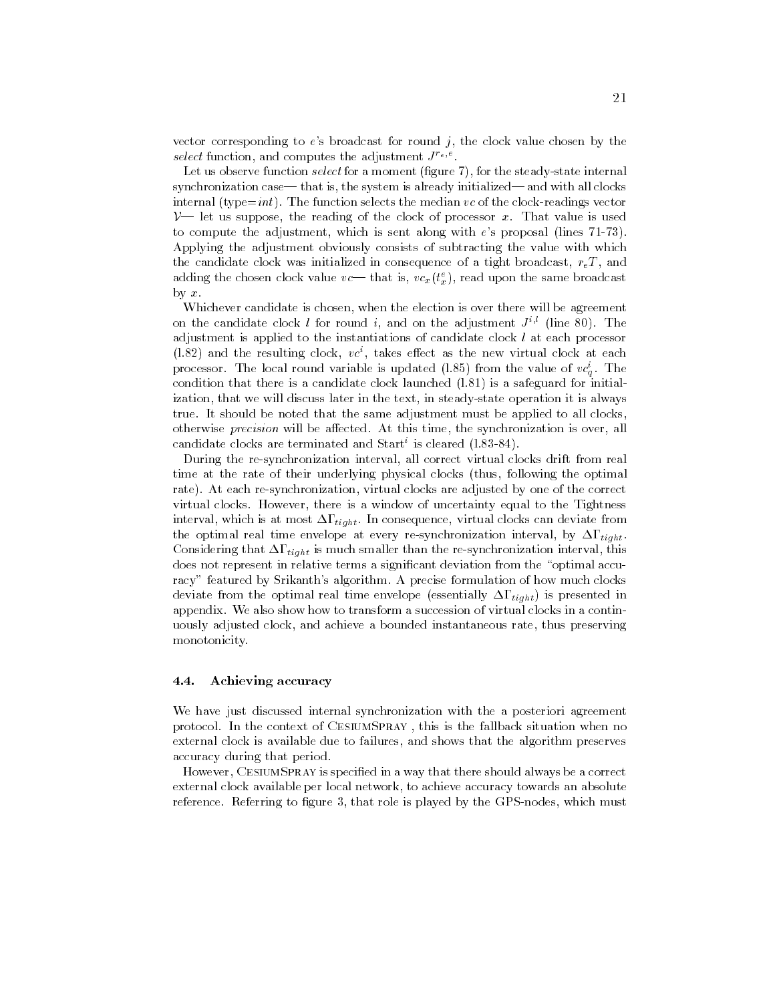vector corresponding to  $e$ 's broadcast for round  $j$ , the clock value chosen by the select function, and computes the adjustment  $J^{\text{reg}}$ .

Let us observe function *select* for a moment (figure 7), for the steady-state internal synchronization case— that is, the system is already initialized— and with all clocks internal (type= $int$ ). The function selects the median vc of the clock-readings vector  $V$ — let us suppose, the reading of the clock of processor x. That value is used to compute the adjustment, which is sent along with <sup>e</sup>'s proposal (lines 71-73). Applying the adjustment obviously consists of subtracting the value with which the candidate clock was initialized in consequence of a tight broadcast,  $r_eT$ , and adding the chosen clock value vc— that is,  $vc_x(t_x)$ , read upon the same broadcast by  $x$ .

Whichever candidate is chosen, when the election is over there will be agreement on the candidate clock l for round i, and on the adjustment  $J^{i,l}$  (line 80). The adjustment is applied to the instantiations of candidate clock  $l$  at each processor (1.82) and the resulting clock,  $vc$  , takes effect as the new virtual clock at each  $\hspace{0.1mm}$ processor. The local round variable is updated (1.85) from the value of  $vc_{g}^{\ast}$  . The condition that there is a candidate clock launched (l.81) is a safeguard for initialization, that we will discuss later in the text, in steady-state operation it is always true. It should be noted that the same adjustment must be applied to all clocks, otherwise *precision* will be affected. At this time, the synchronization is over, all candidate clocks are terminated and Starti is cleared (l.83-84).

During the re-synchronization interval, all correct virtual clocks drift from real time at the rate of their underlying physical clocks (thus, following the optimal rate). At each re-synchronization, virtual clocks are adjusted by one of the correct virtual clocks. However, there is a window of uncertainty equal to the Tightness interval, which is at most  $\Delta\Gamma_{tight}$ . In consequence, virtual clocks can deviate from the optimal real time envelope at every re-synchronization interval, by  $\Delta\Gamma_{tight}$ . Considering that tight is much smaller than the re-synchronization interval, this does not represent in relative terms a significant deviation from the "optimal accuracy" featured by Srikanth's algorithm. A precise formulation of how much clocks deviate from the optimal real time envelope (essentially  $\Delta\Gamma_{tight}$ ) is presented in appendix. We also show how to transform a succession of virtual clocks in a continuously adjusted clock, and achieve a bounded instantaneous rate, thus preserving monotonicity.

#### 4.4. Achieving accuracy

We have just discussed internal synchronization with the a posteriori agreement protocol. In the context of CesiumSpray , this is the fallback situation when no external clock is available due to failures, and shows that the algorithm preserves accuracy during that period.

However, CESIUMSPRAY is specified in a way that there should always be a correct external clock available per local network, to achieve accuracy towards an absolute reference. Referring to figure 3, that role is played by the GPS-nodes, which must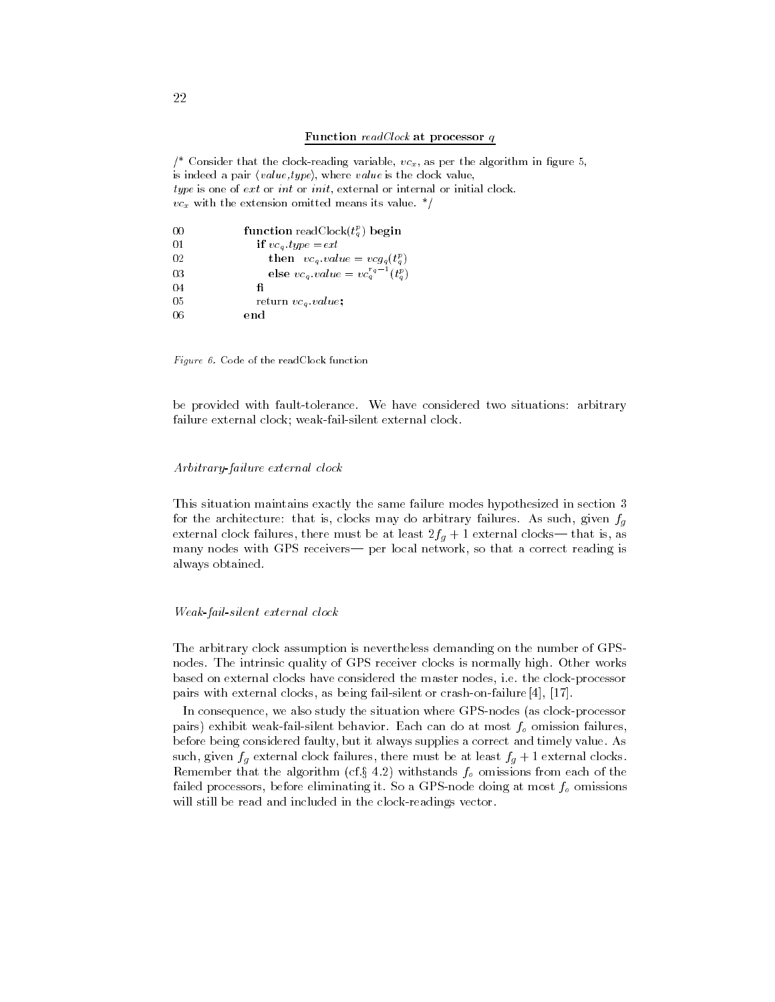#### Function readClock at processor <sup>q</sup>

/\* Consider that the clock-reading variable,  $vc_x$ , as per the algorithm in figure 5, is indeed a pair  $\langle value, type \rangle$ , where value is the clock value, type is one of  $ext$  or int or init, external or internal or initial clock. vc<sub>x</sub> with the extension omitted means its value. /

| 00             | function readClock $(t_q^p)$ begin      |
|----------------|-----------------------------------------|
| 01             | if $vc_g.type = ext$                    |
| 0 <sup>2</sup> | then $vc_q.value = vcg_q(t_q^p)$        |
| 03             | else $vc_q.value = vc_q^{r_q-1}(t_q^p)$ |
| 04             | fi                                      |
| 05             | return $vc_q.value;$                    |
| 06             | end                                     |

Figure 6. Code of the readClock function

be provided with fault-tolerance. We have considered two situations: arbitrary failure external clock; weak-fail-silent external clock.

#### Arbitrary-failure external clock

This situation maintains exactly the same failure modes hypothesized in section 3 for the architecture: that is, clocks may do arbitrary failures. As such, given  $f<sub>g</sub>$  $\epsilon$  chock failures, there must be at least  $2f$  + 1 external clocks  $\epsilon$  that is, as many nodes with GPS receivers- per local network, so that a correct reading is always obtained.

#### Weak-fail-silent external clock

The arbitrary clock assumption is nevertheless demanding on the number of GPSnodes. The intrinsic quality of GPS receiver clocks is normally high. Other works based on external clocks have considered the master nodes, i.e. the clock-processor pairs with external clocks, as being fail-silent or crash-on-failure [4], [17].

In consequence, we also study the situation where GPS-nodes (as clock-processor pairs) exhibit weak-fail-silent behavior. Each can do at most fo omission failures, before being considered faulty, but it always supplies a correct and timely value. As such, given fg external clock failures, there must be at least fg + 1 external clocks.  $R$ emember that the algorithm (cf. $x \rightarrow x$ ) withstands  $f(y)$  omissions from each of the failed processors, before eliminating it. So a GPS-node doing at most fo omissions will still be read and included in the clock-readings vector.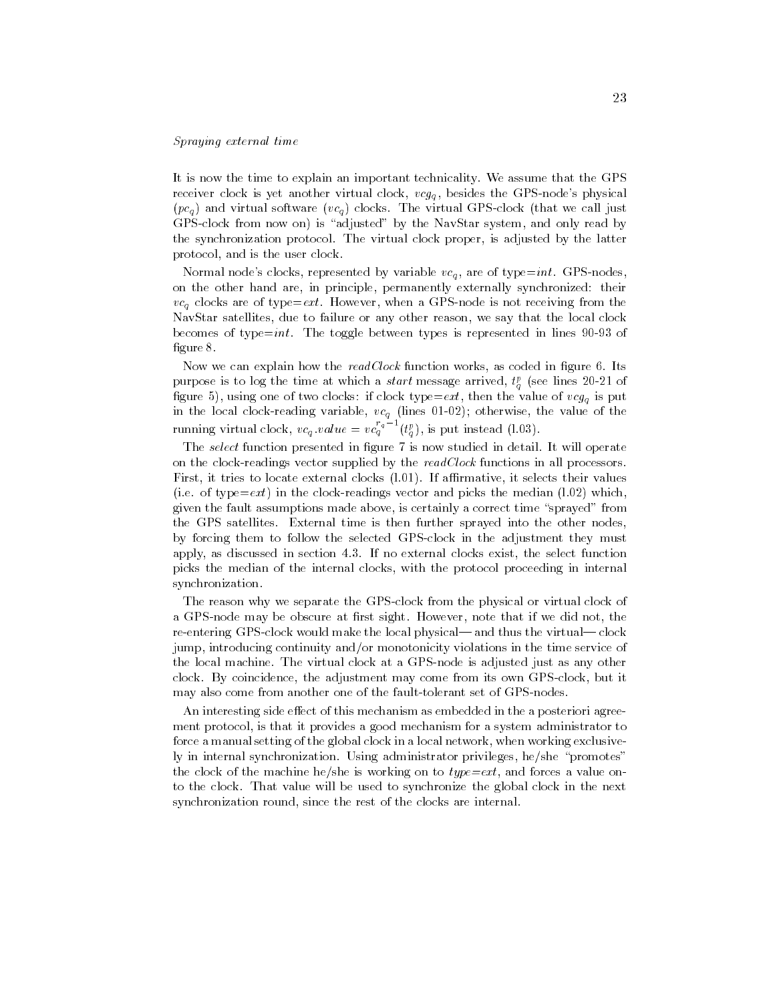#### Spraying external time

It is now the time to explain an important technicality. We assume that the GPS receiver clock is yet another virtual clock,  $veg_g$ , besides the GPS-node's physical  $(\mathcal{V}\cup\mathcal{G})$  and virtual software (ve $\mathcal{G})$  clocks. The virtual GPS-clock (that we call just GPS-clock from now on) is "adjusted" by the NavStar system, and only read by the synchronization protocol. The virtual clock proper, is adjusted by the latter protocol, and is the user clock.

Normal node's clocks, represented by variable  $vc_q$ , are of type=int. GPS-nodes, on the other hand are, in principle, permanently externally synchronized: their vcq clocks are of type=ext . However, when a GPS-node is not receiving from the NavStar satellites, due to failure or any other reason, we say that the local clock becomes of type=int. The toggle between types is represented in lines  $90-93$  of figure 8.

Now we can explain how the readClock function works, as coded in figure 6. Its purpose is to log the time at which a *start* message arrived,  $t_q^c$  (see lines 20-21 of gure 5), using one of two clocks: if clock type=ext , then the value of vcgq is put in the local clock-reading variable, vcq (lines 01-02); otherwise, the value of the running virtual clock,  $vc_q.value = vc_q^{q-1}(t_q^p)$ , is put instead (l.03).

The *select* function presented in figure 7 is now studied in detail. It will operate on the clock-readings vector supplied by the readClock functions in all processors. First, it tries to locate external clocks  $(1.01)$ . If affirmative, it selects their values (i.e. of type= $ext$ ) in the clock-readings vector and picks the median (l.02) which, given the fault assumptions made above, is certainly a correct time \sprayed" from the GPS satellites. External time is then further sprayed into the other nodes, by forcing them to follow the selected GPS-clock in the adjustment they must apply, as discussed in section 4.3. If no external clocks exist, the select function picks the median of the internal clocks, with the protocol proceeding in internal synchronization.

The reason why we separate the GPS-clock from the physical or virtual clock of a GPS-node may be obscure at first sight. However, note that if we did not, the re-entering GPS-clock would make the local physical— and thus the virtual—clock jump, introducing continuity and/or monotonicity violations in the time service of the local machine. The virtual clock at a GPS-node is adjusted just as any other clock. By coincidence, the adjustment may come from its own GPS-clock, but it may also come from another one of the fault-tolerant set of GPS-nodes.

An interesting side effect of this mechanism as embedded in the a posteriori agreement protocol, is that it provides a good mechanism for a system administrator to force a manual setting of the global clock in a local network, when working exclusively in internal synchronization. Using administrator privileges, he/she "promotes" the clock of the machine he/she is working on to  $type=ext$ , and forces a value onto the clock. That value will be used to synchronize the global clock in the next synchronization round, since the rest of the clocks are internal.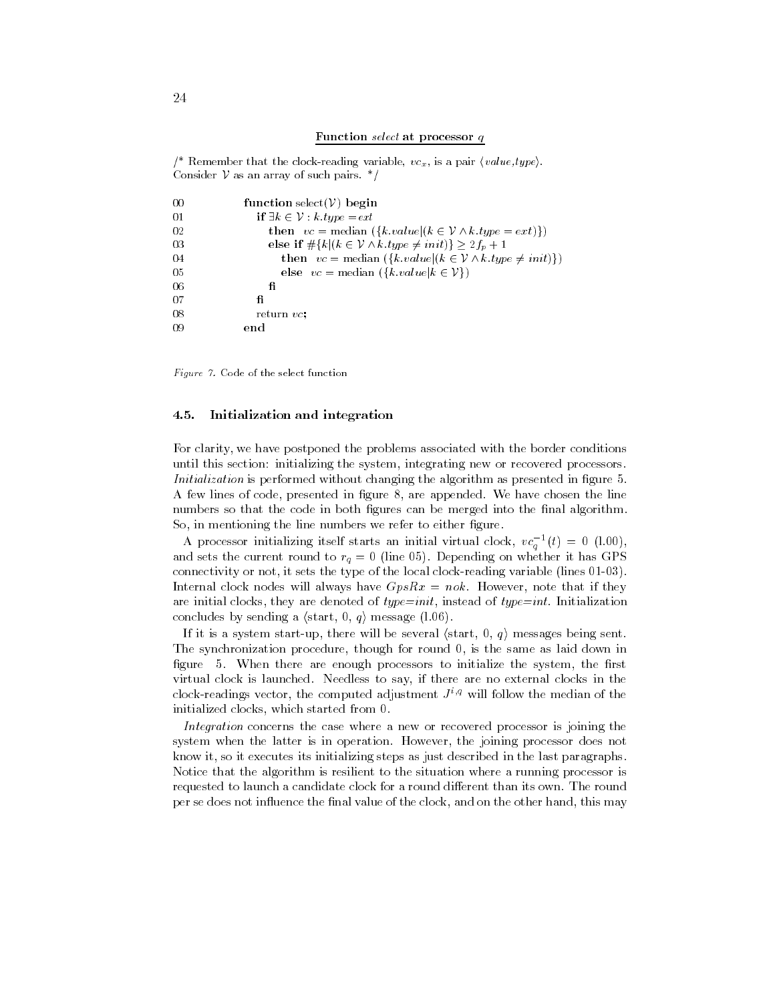#### Function select at processor <sup>q</sup>

/\* Remember that the clock-reading variable,  $vc_x$ , is a pair  $\langle value, type \rangle$ . Consider  $V$  as an array of such pairs.  $*/$ 

| 00 | function select( $V$ ) begin                                                                |
|----|---------------------------------------------------------------------------------------------|
| 01 | if $\exists k \in \mathcal{V} : k.\mathit{type} = \mathit{ext}$                             |
| 02 | then $vc =$ median $({k.value   (k \in \mathcal{V} \land k_type = ext)} )$                  |
| 03 | else if $\#\{k   (k \in \mathcal{V} \wedge k.\text{type} \neq \text{init})\} \geq 2f_p + 1$ |
| 04 | then $vc =$ median $({k.value   (k \in \mathcal{V} \land k_type \neq init)} )$              |
| 05 | else $vc =$ median $({k.value   k \in V})$                                                  |
| 06 | fi                                                                                          |
| 07 | fi                                                                                          |
| 08 | return $vc;$                                                                                |
| 09 | end                                                                                         |

Figure 7. Code of the select function

#### 4.5. Initialization and integration

For clarity, we have postponed the problems associated with the border conditions until this section: initializing the system, integrating new or recovered processors. Initialization is performed without changing the algorithm as presented in figure 5. A few lines of code, presented in gure 8, are appended. We have chosen the line numbers so that the code in both figures can be merged into the final algorithm. So, in mentioning the line numbers we refer to either figure.

A processor initializing itself starts an initial virtual clock,  $vc_g^{-1}(t) = 0$  (1.00), and sets the current round to rq = 0 (line 05). Depending on whether it has GPS connectivity or not, it sets the type of the local clock-reading variable (lines 01-03). Internal clock nodes will always have  $GpsRx = nok$ . However, note that if they are initial clocks, they are denoted of  $type=init$ , instead of  $type=int$ . Initialization concludes by sending a  $\langle \text{start}, 0, q \rangle$  message (l.06).

If it is a system start-up, there will be several  $\langle \text{start}, 0, q \rangle$  messages being sent. The synchronization procedure, though for round 0, is the same as laid down in figure 5. When there are enough processors to initialize the system, the first virtual clock is launched. Needless to say, if there are no external clocks in the clock-readings vector, the computed adjustment  $J^{i,q}$  will follow the median of the initialized clocks, which started from 0.

Integration concerns the case where a new or recovered processor is joining the system when the latter is in operation. However, the joining processor does not know it, so it executes its initializing steps as just described in the last paragraphs. Notice that the algorithm is resilient to the situation where a running processor is requested to launch a candidate clock for a round different than its own. The round per se does not in
uence the nal value of the clock, and on the other hand, this may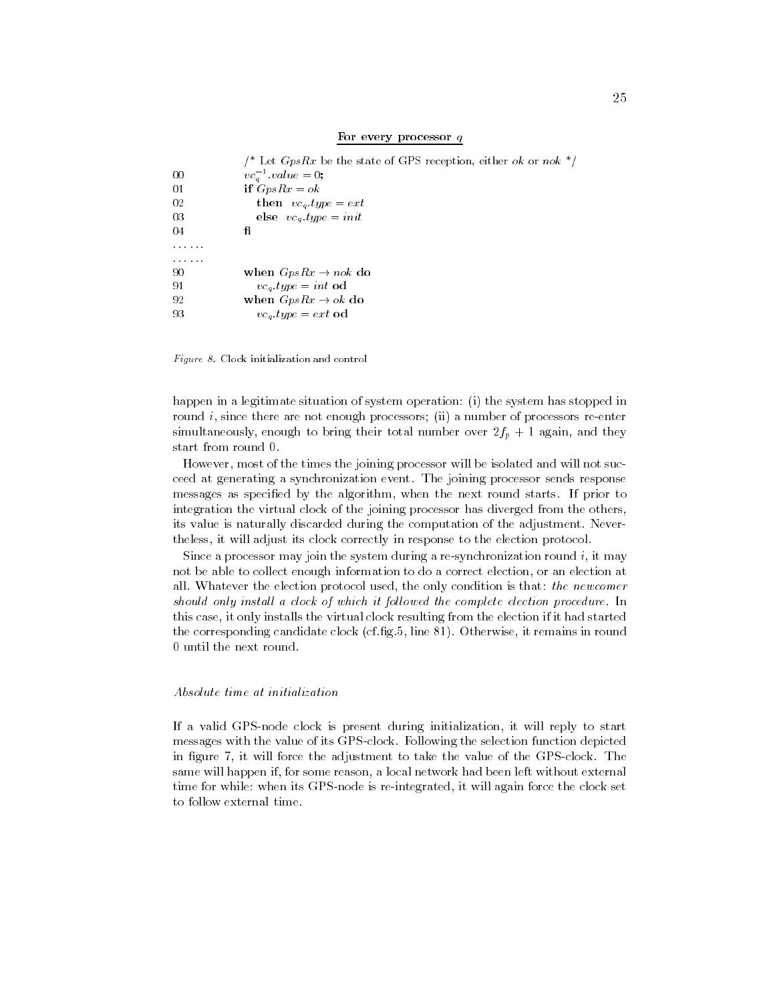|  | For every processor $q$ |  |  |
|--|-------------------------|--|--|
|--|-------------------------|--|--|

|                          | /* Let $GpsRx$ be the state of GPS reception, either ok or nok */ |
|--------------------------|-------------------------------------------------------------------|
| 00                       | $vc_{a}^{-1}.value = 0;$                                          |
| 01                       | if $GpsRx = ok$                                                   |
| 02                       | then $vc_a.type = ext$                                            |
| 03                       | else $vc_a.type = init$                                           |
| 04                       | fi                                                                |
| a shekara ta 19          |                                                                   |
| <b>Contract Contract</b> |                                                                   |
| 90                       | when $GpsRx \rightarrow nok$ do                                   |
| 91                       | $vc_a.type = int$ od                                              |
| 92                       | when $GpsRx \rightarrow ok$ do                                    |
| 93                       | $vc_a.type = ext$ od                                              |

Figure 8. Clock initialization and control

happen in a legitimate situation of system operation: (i) the system has stopped in round  $i$ , since there are not enough processors; (ii) a number of processors re-enter  $s$ imultaneously, enough to bring their total number over  $2/p + 1$  again, and they start from round 0.

However, most of the times the joining processor will be isolated and will not succeed at generating a synchronization event. The joining processor sends response messages as specied by the algorithm, when the next round starts. If prior to integration the virtual clock of the joining processor has diverged from the others, its value is naturally discarded during the computation of the adjustment. Nevertheless, it will adjust its clock correctly in response to the election protocol.

Since a processor may join the system during a re-synchronization round  $i$ , it may not be able to collect enough information to do a correct election, or an election at all. Whatever the election protocol used, the only condition is that: the newcomer should only install a clock of which it followed the complete election procedure. In this case, it only installs the virtual clock resulting from the election if it had started the corresponding candidate clock (cf.g.5, line 81). Otherwise, it remains in round 0 until the next round.

#### Absolute time at initialization

If a valid GPS-node clock is present during initialization, it will reply to start messages with the value of its GPS-clock. Following the selection function depicted in figure 7, it will force the adjustment to take the value of the GPS-clock. The same will happen if, for some reason, a local network had been left without external time for while: when its GPS-node is re-integrated, it will again force the clock set to follow external time.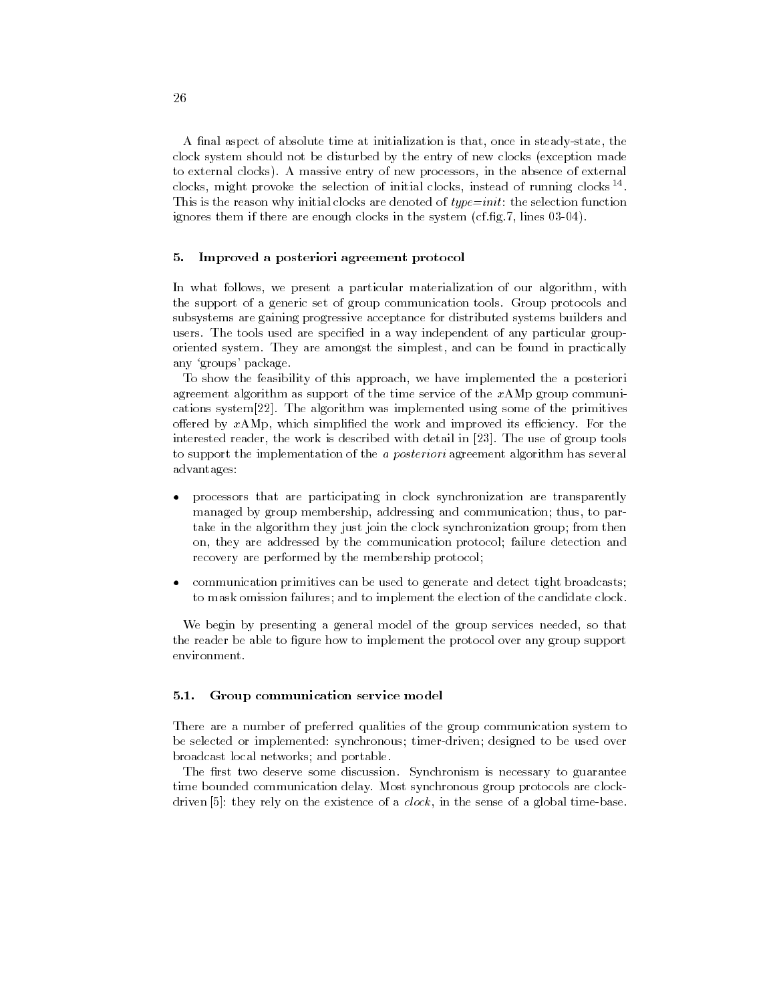A final aspect of absolute time at initialization is that, once in steady-state, the clock system should not be disturbed by the entry of new clocks (exception made to external clocks). A massive entry of new processors, in the absence of external clocks, might provoke the selection of initial clocks, instead of running clocks <sup>14</sup> . This is the reason why initial clocks are denoted of  $type=init$ : the selection function ignores them if there are enough clocks in the system (cf.fig.7, lines 03-04).

#### 5. 5. Improved a posteriori agreement protocol

In what follows, we present a particular materialization of our algorithm, with the support of a generic set of group communication tools. Group protocols and subsystems are gaining progressive acceptance for distributed systems builders and users. The tools used are specified in a way independent of any particular grouporiented system. They are amongst the simplest, and can be found in practically any `groups' package.

To show the feasibility of this approach, we have implemented the a posteriori agreement algorithm as support of the time service of the xAMp group communications system[22]. The algorithm was implemented using some of the primitives offered by  $xAMp$ , which simplified the work and improved its efficiency. For the interested reader, the work is described with detail in [23]. The use of group tools to support the implementation of the a posteriori agreement algorithm has several advantages:

- processors that are participating in clock synchronization are transparently managed by group membership, addressing and communication; thus, to partake in the algorithm they just join the clock synchronization group; from then on, they are addressed by the communication protocol; failure detection and recovery are performed by the membership protocol;
- communication primitives can be used to generate and detect tight broadcasts;  $\bullet$ to mask omission failures; and to implement the election of the candidate clock.

We begin by presenting a general model of the group services needed, so that the reader be able to figure how to implement the protocol over any group support environment.

### 5.1. Group communication service model

There are a number of preferred qualities of the group communication system to be selected or implemented: synchronous; timer-driven; designed to be used over broadcast local networks; and portable.

The first two deserve some discussion. Synchronism is necessary to guarantee time bounded communication delay. Most synchronous group protocols are clockdriven [5]: they rely on the existence of a *clock*, in the sense of a global time-base.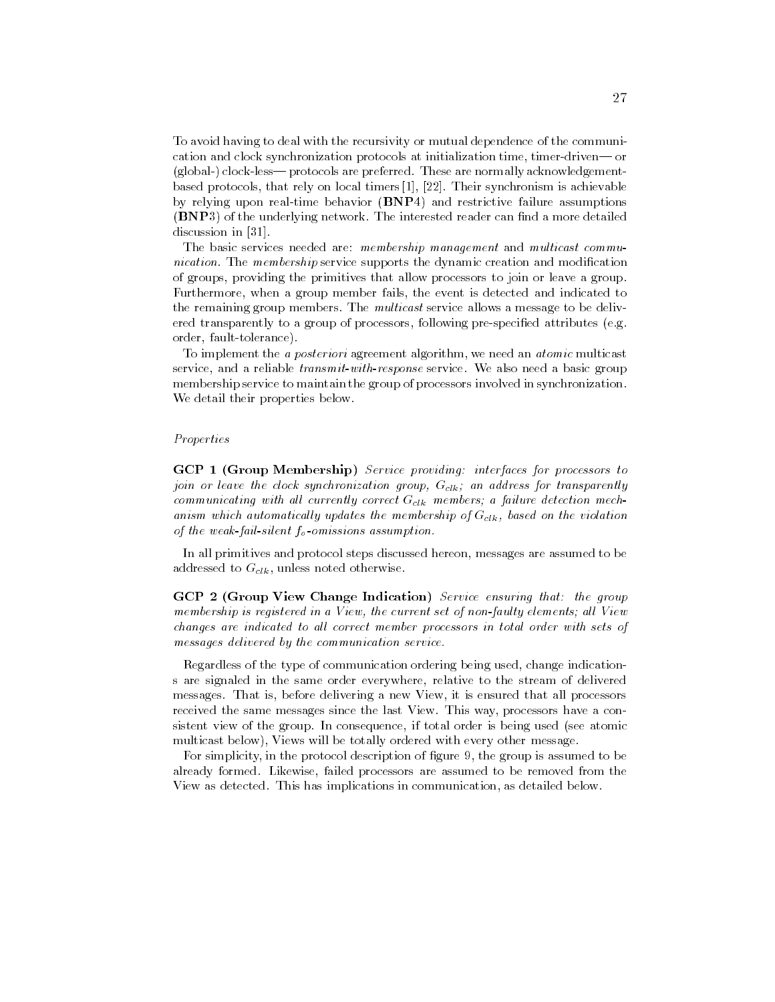To avoid having to deal with the recursivity or mutual dependence of the communication and clock synchronization protocols at initialization time, timer-driven| or  $(global-) clock-less$  protocols are preferred. These are normally acknowledgementbased protocols, that rely on local timers [1], [22]. Their synchronism is achievable by relying upon real-time behavior (BNP4) and restrictive failure assumptions (BNP3) of the underlying network. The interested reader can find a more detailed discussion in [31].

The basic services needed are: membership management and multicast communication. The membership service supports the dynamic creation and modification of groups, providing the primitives that allow processors to join or leave a group. Furthermore, when a group member fails, the event is detected and indicated to the remaining group members. The multicast service allows a message to be delivered transparently to a group of processors, following pre-specified attributes (e.g. order, fault-tolerance).

To implement the a posteriori agreement algorithm, we need an atomic multicast service, and a reliable *transmit-with-response* service. We also need a basic group membership service to maintain the group of processors involved in synchronization. We detail their properties below.

#### Properties

GCP 1 (Group Membership) Service providing: interfaces for processors to join or leave the clock synchronization group,  $G_{\text{clk}}$ ; an address for transparently communicating with al l currently correct Gclk members; a failure detection mechanism which automatically updates the membership of  $G_{\text{clk}}$ , based on the violation of the weak-fail-silent fo -omissions assumption.

In all primitives and protocol steps discussed hereon, messages are assumed to be addressed to  $G_{\text{clk}}$ , unless noted otherwise.

GCP 2 (Group View Change Indication) Service ensuring that: the group membership is registered in a View, the current set of non-faulty elements; all View changes are indicated to all correct member processors in total order with sets of messages delivered by the communication service.

Regardless of the type of communication ordering being used, change indications are signaled in the same order everywhere, relative to the stream of delivered messages. That is, before delivering a new View, it is ensured that all processors received the same messages since the last View. This way, processors have a consistent view of the group. In consequence, if total order is being used (see atomic multicast below), Views will be totally ordered with every other message.

For simplicity, in the protocol description of figure 9, the group is assumed to be already formed. Likewise, failed processors are assumed to be removed from the View as detected. This has implications in communication, as detailed below.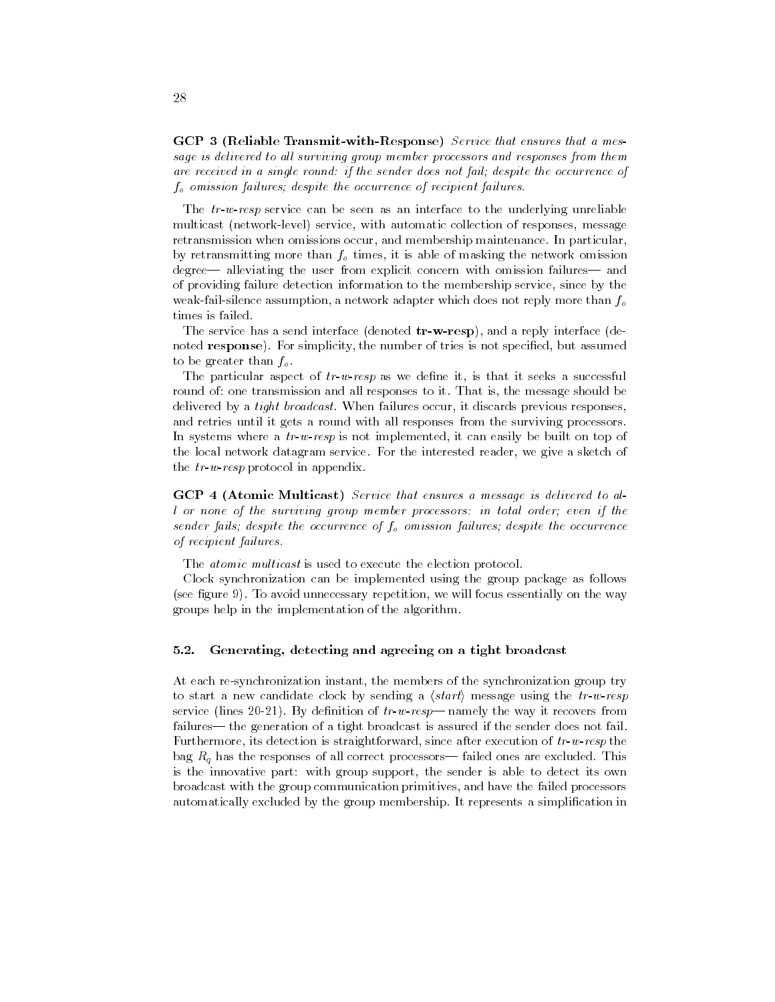GCP 3 (Reliable Transmit-with-Response) Service that ensures that a message is delivered to all surviving group member processors and responses from them are received in a single round: if the sender does not fail; despite the occurrence of fo omission failures; despite the occurrence of recipient failures.

The tr-w-resp service can be seen as an interface to the underlying unreliable multicast (network-level) service, with automatic collection of responses, message retransmission when omissions occur, and membership maintenance. In particular, by retransmitting more than fo times, it is able of masking the network omission degree- alleviating the user from explicit concern with omission failures- and of providing failure detection information to the membership service, since by the weak-fail-silence assumption, a network adapter which does not reply more than  $f_0$ times is failed.

The service has a send interface (denoted  ${\bf tr}-{\bf w}-{\bf resp}$ ), and a reply interface (denoted response). For simplicity, the number of tries is not specied, but assumed  $\mathbf{t}$  be greater than  $\mathbf{t}$ 

The particular aspect of  $tr-w-resp$  as we define it, is that it seeks a successful round of: one transmission and all responses to it. That is, the message should be delivered by a *tight broadcast*. When failures occur, it discards previous responses, and retries until it gets a round with all responses from the surviving processors. In systems where a tr-w-resp is not implemented, it can easily be built on top of the local network datagram service. For the interested reader, we give a sketch of the tr-w-resp protocol in appendix.

GCP 4 (Atomic Multicast) Service that ensures a message is delivered to all or none of the surviving group member processors: in total order; even if the sender fails; despite the occurrence of fo omission failures; despite the occurrence of recipient failures.

The atomic multicast is used to execute the election protocol.

Clock synchronization can be implemented using the group package as follows (see figure 9). To avoid unnecessary repetition, we will focus essentially on the way groups help in the implementation of the algorithm.

#### $5.2.$ 5.2. Generating, detecting and agreeing on a tight broadcast

At each re-synchronization instant, the members of the synchronization group try to start a new candidate clock by sending a  $\langle start \rangle$  message using the  $tr-w-resp$ service (lines 20-21). By definition of  $tr-w\text{-}resp$  namely the way it recovers from failures— the generation of a tight broadcast is assured if the sender does not fail. Furthermore, its detection is straightforward, since after execution of tr-w-resp the  $\mathcal{L}(\mathbf{x})$  responses of all correct processors  $\mathcal{L}(\mathbf{x})$  are excluded. This is the innovative part: with group support, the sender is able to detect its own broadcast with the group communication primitives, and have the failed processors automatically excluded by the group membership. It represents a simplication in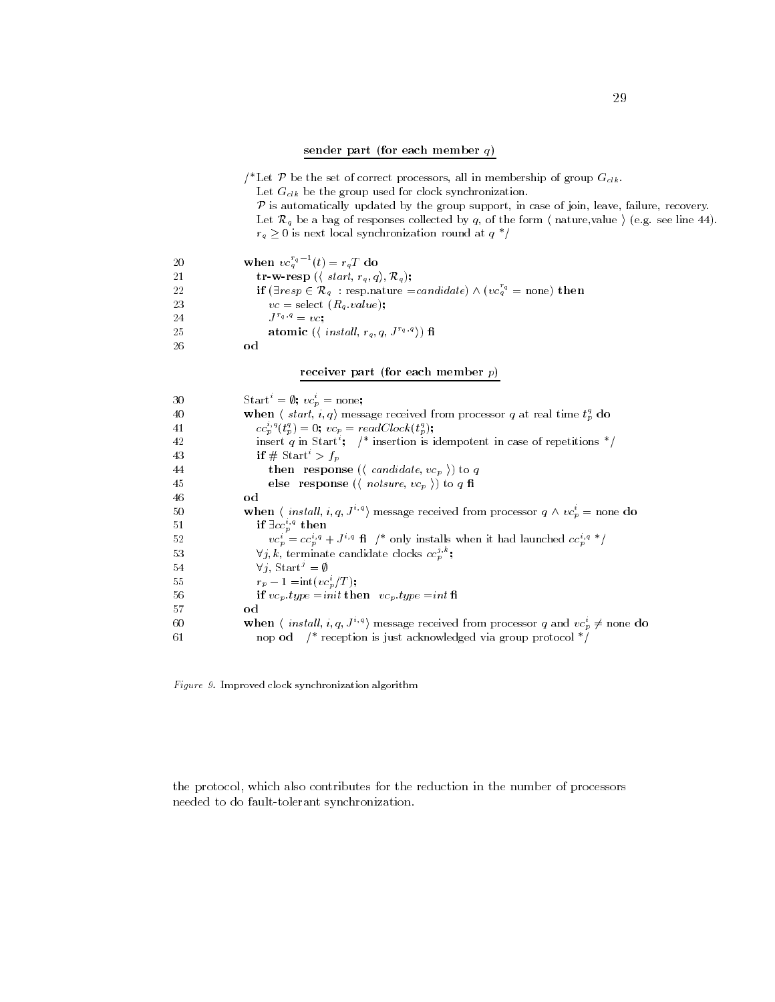|    | /*Let P be the set of correct processors, all in membership of group $G_{clk}$ .                                                                                                          |
|----|-------------------------------------------------------------------------------------------------------------------------------------------------------------------------------------------|
|    | Let $G_{clk}$ be the group used for clock synchronization.                                                                                                                                |
|    | $\mathcal P$ is automatically updated by the group support, in case of join, leave, failure, recovery.                                                                                    |
|    | Let $\mathcal{R}_q$ be a bag of responses collected by q, of the form $\langle$ nature, value $\rangle$ (e.g. see line 44).<br>$r_q \geq 0$ is next local synchronization round at $q^*/$ |
|    |                                                                                                                                                                                           |
| 20 | when $vc_q^{r_q-1}(t) = r_qT$ do                                                                                                                                                          |
| 21 | tr-w-resp ( $\langle \; start, r_q, q \rangle, \mathcal{R}_q$ );                                                                                                                          |
| 22 | <b>if</b> $(\exists resp \in \mathcal{R}_q : resp.nature = candidate) \wedge (vc_q^{r_q} = none)$ then                                                                                    |
| 23 | $vc = \text{select}(R_q.value);$                                                                                                                                                          |
| 24 | $J^{r_q, q} = v_c$ ;                                                                                                                                                                      |
| 25 | atomic ( $\langle$ install, $r_q, q, J^{r_q, q} \rangle$ ) fi                                                                                                                             |
| 26 | od                                                                                                                                                                                        |
|    | receiver part (for each member $p$ )                                                                                                                                                      |
|    |                                                                                                                                                                                           |
| 30 | Start <sup>i</sup> = $\emptyset$ ; $vc_p^i$ = none;                                                                                                                                       |
| 40 | when $\langle$ start, i, q) message received from processor q at real time $t_p^q$ do                                                                                                     |
| 41 | $cc_p^{i,q}(t_p^q) = 0; v c_p = readClock(t_p^q);$                                                                                                                                        |
| 42 | insert q in Start <sup>i</sup> ; $\frac{1}{2}$ insertion is idempotent in case of repetitions $\frac{1}{2}$                                                                               |
| 43 | if # Start' > $f_p$                                                                                                                                                                       |
| 44 | then response ( $\langle$ candidate, $vc_p$ $\rangle$ ) to q                                                                                                                              |
| 45 | else response ( $\langle$ notsure, $vc_p$ $\rangle$ ) to q fi                                                                                                                             |
| 46 | od                                                                                                                                                                                        |
| 50 | when $\langle$ <i>install</i> , <i>i</i> , <i>q</i> , $J^{i,q}$ message received from processor $q \wedge vc_p^i =$ none <b>do</b>                                                        |
| 51 | if $\exists cc_p^{i,q}$ then                                                                                                                                                              |
| 52 | $vc_p^i = cc_p^{i,q} + J^{i,q}$ fi /* only installs when it had launched $cc_p^{i,q}$ */                                                                                                  |
| 53 | $\forall j, k$ , terminate candidate clocks $cc_p^{j,k}$ ;                                                                                                                                |
| 54 | $\forall i. \text{Start}^j = \emptyset$                                                                                                                                                   |
| 55 | $r_p - 1 = \text{int}(v c_p^i / T);$                                                                                                                                                      |
| 56 | if $vc_p. type = init$ then $vc_p. type = int$ fi                                                                                                                                         |
| 57 | od                                                                                                                                                                                        |
| 60 | when $\langle$ <i>install, i, q, J<sup>i,q</sup></i> message received from processor q and $ve_p^i \neq$ none do                                                                          |
| 61 | nop od $\quad$ * reception is just acknowledged via group protocol */                                                                                                                     |

Figure 9. Improved clock synchronization algorithm

the protocol, which also contributes for the reduction in the number of processors needed to do fault-tolerant synchronization.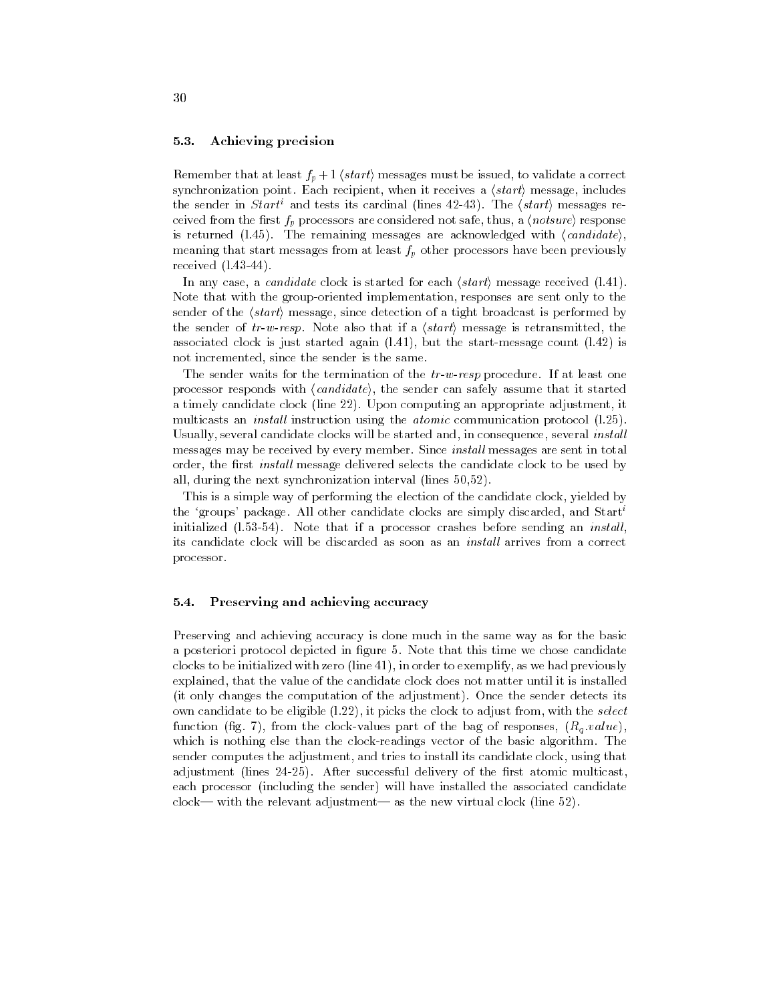#### 5.3. Achieving precision

 $R$  , the metal at least  $f$   $p$  +  $\pm$  (start) messages matrix be issued, to validate a correct synchronization point. Each recipient, when it receives a  $\langle start \rangle$  message, includes the sender in  $Start<sup>i</sup>$  and tests its cardinal (lines 42-43). The  $\langle start \rangle$  messages received from the rst fp processors are considered not safe, thus, a hnotsurei response is returned (1.45). The remaining messages are acknowledged with  $\langle candidate \rangle$ , meaning that start messages from at least fp other processors have been previously received (l.43-44).

In any case, a *candidate* clock is started for each  $\langle start \rangle$  message received (l.41). Note that with the group-oriented implementation, responses are sent only to the sender of the  $\langle start \rangle$  message, since detection of a tight broadcast is performed by the sender of tr-w-resp. Note also that if a  $\langle start \rangle$  message is retransmitted, the associated clock is just started again (l.41), but the start-message count (l.42) is not incremented, since the sender is the same.

The sender waits for the termination of the tr-w-resp procedure. If at least one processor responds with  $\langle candidate \rangle$ , the sender can safely assume that it started a timely candidate clock (line 22). Upon computing an appropriate adjustment, it multicasts an *install* instruction using the *atomic* communication protocol  $(1.25)$ . Usually, several candidate clocks will be started and, in consequence, several *install* messages may be received by every member. Since *install* messages are sent in total order, the first *install* message delivered selects the candidate clock to be used by all, during the next synchronization interval (lines 50,52).

This is a simple way of performing the election of the candidate clock, yielded by the `groups' package. All other candidate clocks are simply discarded, and Starti initialized  $(1.53-54)$ . Note that if a processor crashes before sending an *install*, its candidate clock will be discarded as soon as an *install* arrives from a correct processor.

#### 5.4. Preserving and achieving accuracy

Preserving and achieving accuracy is done much in the same way as for the basic a posteriori protocol depicted in gure 5. Note that this time we chose candidate clocks to be initialized with zero (line 41), in order to exemplify, as we had previously explained, that the value of the candidate clock does not matter until it is installed (it only changes the computation of the adjustment). Once the sender detects its own candidate to be eligible  $(1.22)$ , it picks the clock to adjust from, with the select function (g. 7), from the clock-values part of the bag of responses, (Rq :value), which is nothing else than the clock-readings vector of the basic algorithm. The sender computes the adjustment, and tries to install its candidate clock, using that adjustment (lines  $24-25$ ). After successful delivery of the first atomic multicast, each processor (including the sender) will have installed the associated candidate clock— with the relevant adjustment— as the new virtual clock (line  $52$ ).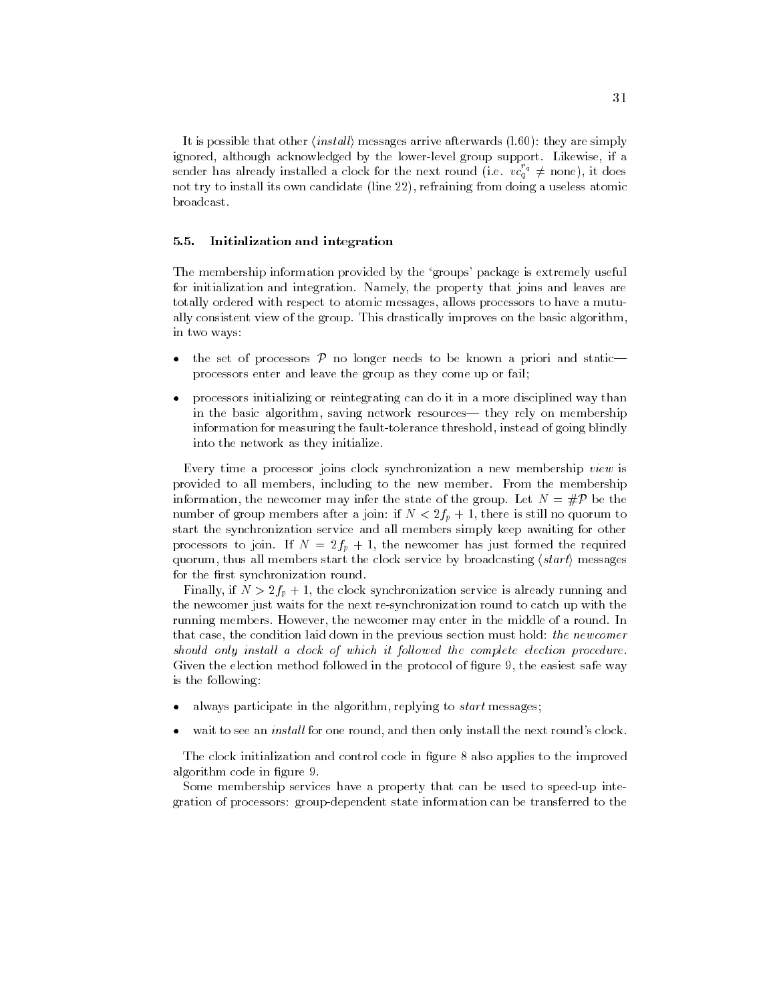It is possible that other  $\langle install \rangle$  messages arrive afterwards (l.60): they are simply ignored, although acknowledged by the lower-level group support. Likewise, if a sender has already installed a clock for the next round (i.e.  $vc_{\alpha}^{eq} \neq \text{none}$ ), it does not try to install its own candidate (line 22), refraining from doing a useless atomic broadcast.

#### 5.5. Initialization and integration

The membership information provided by the `groups' package is extremely useful for initialization and integration. Namely, the property that joins and leaves are totally ordered with respect to atomic messages, allows processors to haveamutually consistent view of the group. This drastically improves on the basic algorithm, in two ways:

- the set of processors  $P$  no longer needs to be known a priori and staticprocessors enter and leave the group as they come up or fail;
- processors initializing or reintegrating can do it in a more disciplined way than in the basic algorithm, saving network resources— they rely on membership information for measuring the fault-tolerance threshold, instead of going blindly into the network as they initialize.

Every time a processor joins clock synchronization a new membership view is provided to all members, including to the new member. From the membership information, the newcomer may infer the state of the group. Let  $N = \#P$  be the number of group members after a join. If  $N \leq 2f_p + 1$ , there is still no quorum to start the synchronization service and all members simply keep awaiting for other  $p$ rocessors to join. If  $\ldots$  =  $jp$  +  $i$  the newcomer has just formed the required quorum, thus all members start the clock service by broadcasting  $\langle start \rangle$  messages for the first synchronization round.

Finally, if  $N \geq 2f_p + 1$ , the clock synchromization service is already running and the newcomer just waits for the next re-synchronization round to catch up with the running members. However, the newcomer may enter in the middle of a round. In that case, the condition laid down in the previous section must hold: the newcomer should only install a clock of which it followed the complete election procedure. Given the election method followed in the protocol of figure 9, the easiest safe way is the following:

- always participate in the algorithm, replying to *start* messages;
- wait to see an *install* for one round, and then only install the next round's clock.

The clock initialization and control code in figure 8 also applies to the improved algorithm code in figure 9.

Some membership services have a property that can be used to speed-up integration of processors: group-dependent state information can be transferred to the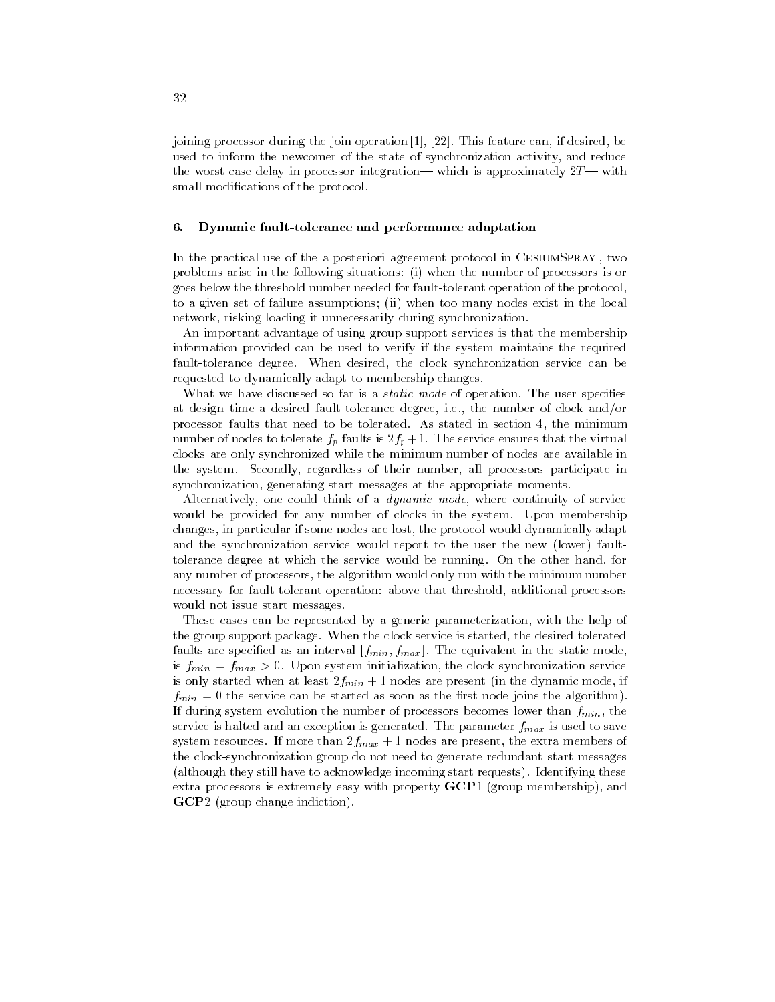joining processor during the join operation [1], [22]. This feature can, if desired, be used to inform the newcomer of the state of synchronization activity, and reduce the worst-case delay in processor integration— which is approximately  $2T$ — with small modications of the protocol.

#### 6. Dynamic fault-tolerance and performance adaptation

In the practical use of the a posteriori agreement protocol in CESIUMSPRAY, two problems arise in the following situations: (i) when the number of processors is or goes below the threshold number needed for fault-tolerant operation of the protocol, to a given set of failure assumptions; (ii) when too many nodes exist in the local network, risking loading it unnecessarily during synchronization.

An important advantage of using group support services is that the membership information provided can be used to verify if the system maintains the required fault-tolerance degree. When desired, the clock synchronization service can be requested to dynamically adapt to membership changes.

What we have discussed so far is a *static mode* of operation. The user specifies at design time a desired fault-tolerance degree, i.e., the number of clock and/or processor faults that need to be tolerated. As stated in section 4, the minimum number of nodes to tolerate  $f_p$  faults is  $\bullet f_p$  + 1. The service ensures that the virtual clocks are only synchronized while the minimum number of nodes are available in the system. Secondly, regardless of their number, all processors participate in synchronization, generating start messages at the appropriate moments.

Alternatively, one could think of a dynamic mode, where continuity of service would be provided for any number of clocks in the system. Upon membership changes, in particular if some nodes are lost, the protocol would dynamically adapt and the synchronization service would report to the user the new (lower) faulttolerance degree at which the service would be running. On the other hand, for any number of processors, the algorithm would only run with the minimum number necessary for fault-tolerant operation: above that threshold, additional processors would not issue start messages.

These cases can be represented by a generic parameterization, with the help of the group support package. When the clock service is started, the desired tolerated faults are specified as an interval  $[f_{min}, f_{max}]$ . The equivalent in the static mode,  $\sim$  fmm = fmax  $>$  0. Upon system infinition in the clock synchronization service  $\sim$  only started when at least 2 $f$ min + 1 nodes are present (in the dynamic mode) if fmin = 0 the service can be started as soon as the rst node joins the algorithm). If during system evolution the number of processors becomes lower than  $f_{min}$ , the service is halted and an exception is generated. The parameter fmax is used to save  $s$ ystem resources. If more than 2 $f_{\rm{HMS}}$  + 1 nodes are present, the extra members of the clock-synchronization group do not need to generate redundant start messages (although they still have to acknowledge incoming start requests). Identifying these extra processors is extremely easy with property GCP1 (group membership), and GCP2 (group change indiction).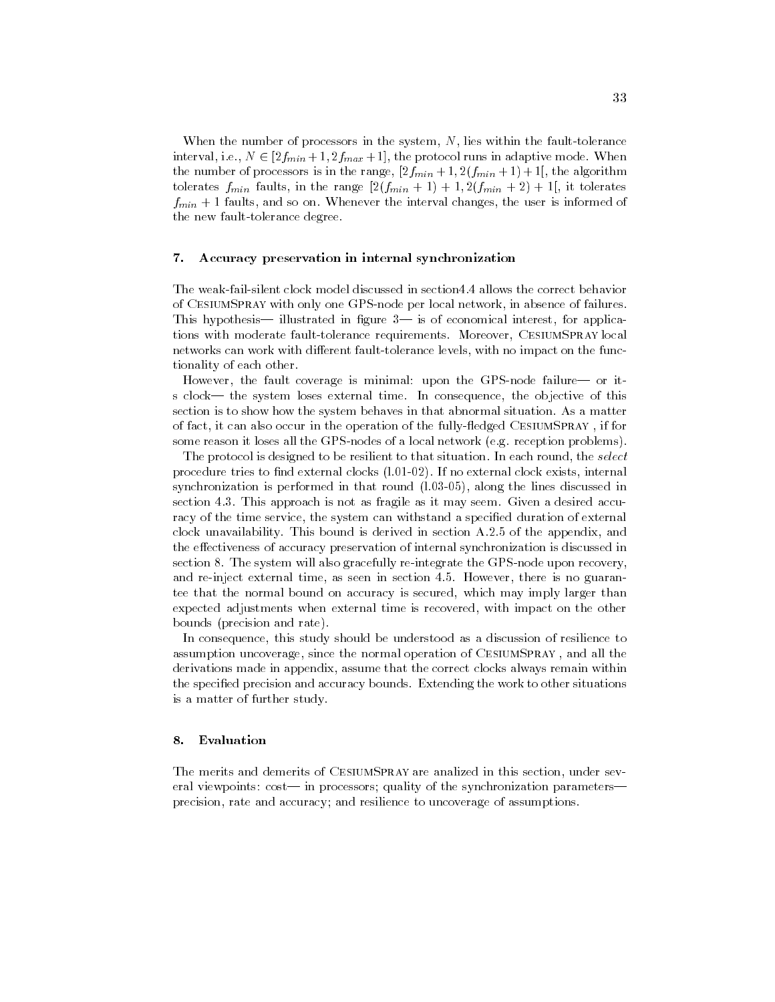When the number of processors in the system,  $N$ , lies within the fault-tolerance  $\cdots$  is the protocol  $\cdots$  i.e.,  $\cdots$   $\cdots$   $\cdots$   $\cdots$   $\cdots$   $\cdots$   $\cdots$  is a  $\cdots$   $\cdots$   $\cdots$   $\cdots$   $\cdots$   $\cdots$  $t_{\rm max}$  is interested to in the range,  $[2m_{th} + 1]$   $-1$ ,  $m_{th} + 1$ ,  $-1$ , the algorithm  $t$  tolerates  $f$   $m_{i1i}$  faults, in the range  $f$   $=$  ( $f$   $m_{i1i}$  +  $i$   $+$   $i$   $+$   $i$   $+$   $i$   $+$   $i$   $+$   $i$   $+$   $i$   $+$   $i$   $+$   $i$   $+$   $i$   $+$   $i$   $+$   $i$   $+$   $i$   $+$   $i$   $+$   $i$   $+$   $i$   $+$  fmin + 1 faults, and so on. Whenever the interval changes, the user is informed of the new fault-tolerance degree.

#### 7. Accuracy preservation in internal synchronization

The weak-fail-silent clock model discussed in section4.4 allows the correct behavior of CesiumSpray with only one GPS-node per local network, in absence of failures. This hypothesis— illustrated in figure  $3-$  is of economical interest, for applications with moderate fault-tolerance requirements. Moreover, CesiumSpray local networks can work with different fault-tolerance levels, with no impact on the functionality of each other.

However, the fault coverage is minimal: upon the GPS-node failure— or its clock— the system loses external time. In consequence, the objective of this section is to show how the system behaves in that abnormal situation. As a matter of fact, it can also occur in the operation of the fully-fledged CESIUMSPRAY, if for some reason it loses all the GPS-nodes of a local network (e.g. reception problems).

The protocol is designed to be resilient to that situation. In each round, the select procedure tries to find external clocks  $(1.01-02)$ . If no external clock exists, internal synchronization is performed in that round (l.03-05), along the lines discussed in section 4.3. This approach is not as fragile as it may seem. Given a desired accuracy of the time service, the system can withstand a specied duration of external clock unavailability. This bound is derived in section A.2.5 of the appendix, and the effectiveness of accuracy preservation of internal synchronization is discussed in section 8. The system will also gracefully re-integrate the GPS-node upon recovery, and re-inject external time, as seen in section 4.5. However, there is no guarantee that the normal bound on accuracy is secured, which may imply larger than expected adjustments when external time is recovered, with impact on the other bounds (precision and rate).

In consequence, this study should be understood as a discussion of resilience to assumption uncoverage, since the normal operation of CesiumSpray , and all the derivations made in appendix, assume that the correct clocks always remain within the specied precision and accuracy bounds. Extending the work to other situations is a matter of further study.

#### 8. Evaluation

The merits and demerits of CESIUMSPRAY are analized in this section, under several viewpoints:  $cost$  in processors; quality of the synchronization parametersprecision, rate and accuracy; and resilience to uncoverage of assumptions.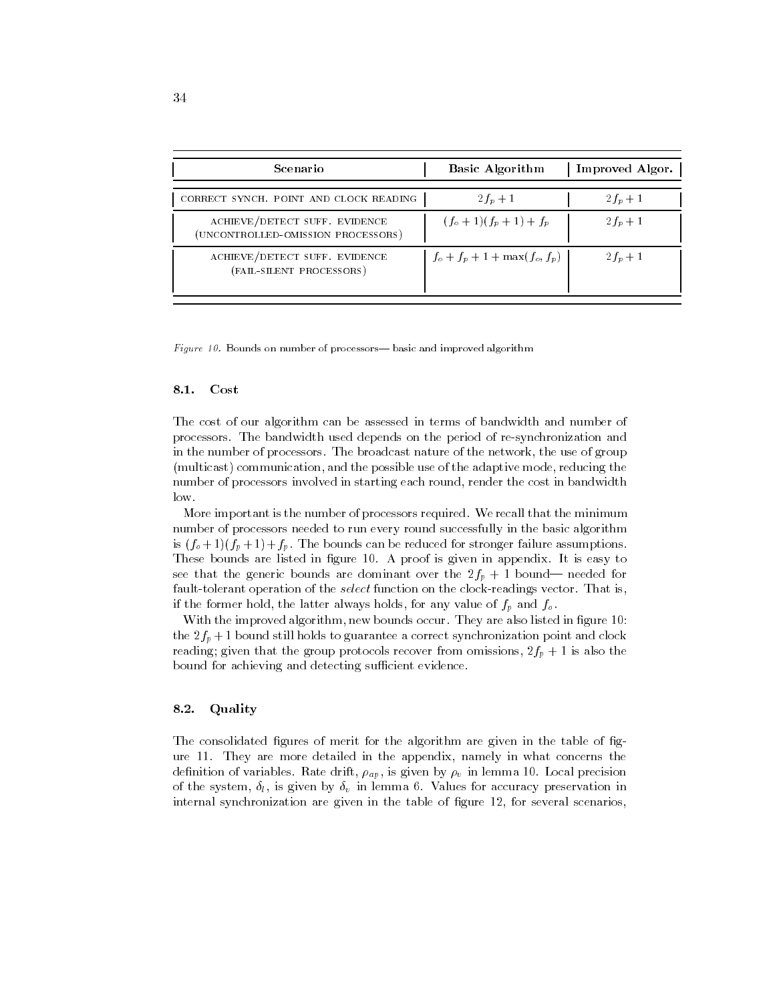| Scenario                                                           | <b>Basic Algorithm</b>           | Improved Algor. |
|--------------------------------------------------------------------|----------------------------------|-----------------|
| CORRECT SYNCH. POINT AND CLOCK READING                             | $2f_p + 1$                       | $2f_p + 1$      |
| ACHIEVE/DETECT SUFF. EVIDENCE<br>UNCONTROLLED-OMISSION PROCESSORS) | $(f_o+1)(f_p+1)+f_p$             | $2f_p + 1$      |
| ACHIEVE/DETECT SUFF. EVIDENCE<br>(FAIL-SILENT PROCESSORS)          | $f_o + f_p + 1 + \max(f_o, f_p)$ | $2f_p + 1$      |

Figure 10. Bounds on number of processors— basic and improved algorithm

#### 8.1. Cost

The cost of our algorithm can be assessed in terms of bandwidth and number of processors. The bandwidth used depends on the period of re-synchronization and in the number of processors. The broadcast nature of the network, the use of group (multicast) communication, and the possible use of the adaptive mode, reducing the number of processors involved in starting each round, render the cost in bandwidth  $\log$ 

More important is the number of processors required. We recall that the minimum number of processors needed to run every round successfully in the basic algorithm  $\sim$  (fo +  $\sim$ )(f) +  $\sim$ ) + fp. The bounds can be reduced for stronger failure assumptions. These bounds are listed in figure 10. A proof is given in appendix. It is easy to see that the generic bounds are dominant over the 2fp + 1 bound| needed for fault-tolerant operation of the select function on the clock-readings vector. That is,  $\mathbf{r}$  the former hold, the latter always holds, for any value of  $f_{0}$  . The same  $f_{0}$  .

With the improved algorithm, new bounds occur. They are also listed in figure 10: the 2fp + 1 bound still holds to guarantee a correct synchronization point and clock reading; given that the group protocols recover from omissions, 2fp + 1 is also the bound for achieving and detecting sufficient evidence.

#### 8.2. Quality

The consolidated figures of merit for the algorithm are given in the table of figure 11. They are more detailed in the appendix, namely in what concerns the denition of variables. Rate drift, ap , is given by v in lemma 10. Local precision of the system, l , is given by v in lemma 6. Values for accuracy preservation in internal synchronization are given in the table of figure 12, for several scenarios,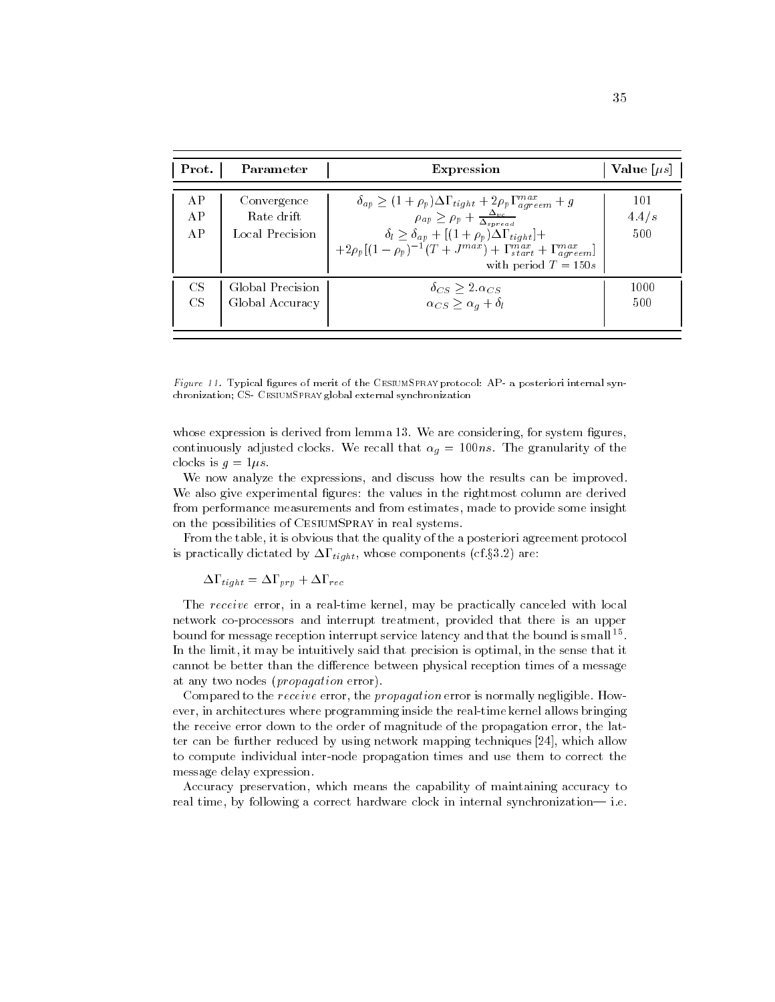| Prot.           | Parameter                                    | Expression                                                                                                                                                                                                                                                                                                                                       | Value $\mu s$       |
|-----------------|----------------------------------------------|--------------------------------------------------------------------------------------------------------------------------------------------------------------------------------------------------------------------------------------------------------------------------------------------------------------------------------------------------|---------------------|
| AP<br>AP<br>AP  | Convergence<br>Rate drift<br>Local Precision | $\delta_{ap} \geq (1+\rho_p)\Delta\Gamma_{tight} + 2\rho_p\Gamma_{agree}^{max} + g$<br>$\rho_{ap} \geq \rho_p + \frac{\Delta_{vc}}{\Delta_{s \text{ pread}}}$<br>$\delta_l \geq \delta_{ap} + [(1+\rho_p)\Delta\Gamma_{tight}] +$<br>$+2\rho_p[(1-\rho_p)^{-1}(T+J^{max})+\Gamma_{start}^{max}+\Gamma_{aareem}^{max}]$<br>with period $T = 150s$ | 101<br>4.4/s<br>500 |
| CS<br><b>CS</b> | Global Precision<br>Global Accuracy          | $\delta_{CS}$ > 2. $\alpha_{CS}$<br>$\alpha_{CS} \geq \alpha_q + \delta_l$                                                                                                                                                                                                                                                                       | 1000<br>500         |

Figure 11. Typical figures of merit of the CESIUMSPRAY protocol: AP- a posteriori internal synchronization; CS- CesiumSpray global external synchronization

whose expression is derived from lemma  $13$ . We are considering, for system figures, continuously adjusted clocks. We recall that go = 100nc. The granulary of the clocks is  $g = 1 \mu s$ .

We now analyze the expressions, and discuss how the results can be improved. We also give experimental figures: the values in the rightmost column are derived from performance measurements and from estimates, made to provide some insight on the possibilities of CesiumSpray in real systems.

From the table, it is obvious that the quality of the a posteriori agreement protocol is practically dictated by  $\Delta\Gamma_{tight}$ , whose components (cf.§3.2) are:

$$
\Delta\Gamma_{tight}=\Delta\Gamma_{prp}+\Delta\Gamma_{rec}
$$

The receive error, in a real-time kernel, may be practically canceled with local network co-processors and interrupt treatment, provided that there is an upper bound for message reception interrupt service latency and that the bound is small <sup>15</sup> . In the limit, it may be intuitively said that precision is optimal, in the sense that it cannot be better than the difference between physical reception times of a message at any two nodes (propagation error).

Compared to the receive error, the propagation error is normally negligible. However, in architectures where programming inside the real-time kernel allows bringing the receive error down to the order of magnitude of the propagation error, the latter can be further reduced by using network mapping techniques [24], which allow to compute individual inter-node propagation times and use them to correct the message delay expression.

Accuracy preservation, which means the capability of maintaining accuracy to real time, by following a correct hardware clock in internal synchronization— i.e.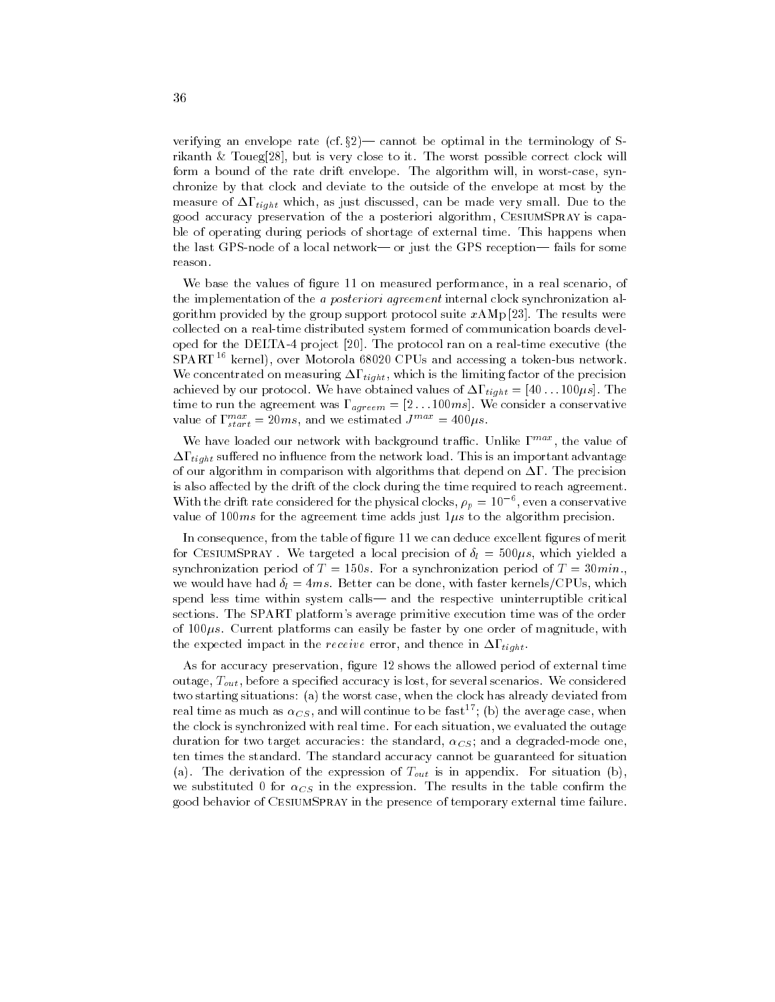verifying an envelope rate  $(cf.\S2)$  cannot be optimal in the terminology of Srikanth & Toueg[28], but is very close to it. The worst possible correct clock will form a bound of the rate drift envelope. The algorithm will, in worst-case, synchronize by that clock and deviate to the outside of the envelope at most by the measure of tight which, as just discussed, can be made very small. Due to the good accuracy preservation of the a posteriori algorithm, CesiumSpray is capable of operating during periods of shortage of external time. This happens when the last GPS-node of a local network— or just the GPS reception— fails for some reason.

We base the values of figure 11 on measured performance, in a real scenario, of the implementation of the a posteriori agreement internal clock synchronization algorithm provided by the group support protocol suite  $x \text{AMp}$  [23]. The results were collected on a real-time distributed system formed of communication boards developed for the DELTA-4 project [20]. The protocol ran on a real-time executive (the SPART <sup>16</sup> kernel), over Motorola 68020 CPUs and accessing a token-bus network. We concentrated on measuring  $\Delta \Gamma_{tight}$ , which is the limiting factor of the precision achieved by our protocol. We have obtained values of  $\blacksquare$   $\blacksquare$   $\blacksquare$   $\blacksquare$   $\blacksquare$   $\blacksquare$   $\blacksquare$   $\blacksquare$   $\blacksquare$   $\blacksquare$   $\blacksquare$   $\blacksquare$   $\blacksquare$   $\blacksquare$   $\blacksquare$   $\blacksquare$   $\blacksquare$   $\blacksquare$   $\blacksquare$   $\blacksquare$   $\blacksquare$   $\blacksquare$   $\blacksquare$   $\blacksquare$  time to run the agreement was agreem = [2 ::: <sup>100</sup>ms]. We consider a conservative value of  $\Gamma_{star}^{start} = 20ms$ , and we estimated  $J^{near} = 400 \mu s$ .

We have loaded our network with background traffic. Unlike  $\Gamma^{max}$ , the value of  $\mathbf u$ ence from the network load. This is an important advantage in intervals in indicate  $\mathbf \Omega$ of our algorithm in comparison with algorithms that depend on  $\Delta\Gamma$ . The precision is also affected by the drift of the clock during the time required to reach agreement. With the drift rate considered for the physical clocks,  $\rho_p = 10^{-5}$ , even a conservative value of 100ms for the agreement time adds just  $1\mu s$  to the algorithm precision.

In consequence, from the table of figure 11 we can deduce excellent figures of merit for CesiumSpray . We targeted a local precision of l = 500s, which yielded a synchronization period of  $T = 150s$ . For a synchronization period of  $T = 30min$ , we would have  $\epsilon$  and  $\epsilon$  = 4ms. Better can be done, with faster kernels  $\epsilon$  or  $\epsilon$  which spend less time within system calls— and the respective uninterruptible critical sections. The SPART platform's average primitive execution time was of the order of  $100\mu s$ . Current platforms can easily be faster by one order of magnitude, with the expected impact in the *receive* error, and thence in  $\Delta\Gamma_{tight}$ .

As for accuracy preservation, figure 12 shows the allowed period of external time outage,  $T_{out}$ , before a specified accuracy is lost, for several scenarios. We considered two starting situations: (a) the worst case, when the clock has already deviated from real time as much as  $\alpha_{CS}$  , and will continue to be fast  $^\circ$  ; (b) the average case, when the clock is synchronized with real time. For each situation, we evaluated the outage duration for two target accuracies: the standard, CS ; and a degraded-mode one, ten times the standard. The standard accuracy cannot be guaranteed for situation  $\{a\}$ . The derivation of the expression of  $\pm \eta \eta$ , as in appendix. For situation  $\{a\}$ , we substituted 0 for  $\omega_{\text{U},0}$  in the expression. The results in the table contribution good behavior of CesiumSpray in the presence of temporary external time failure.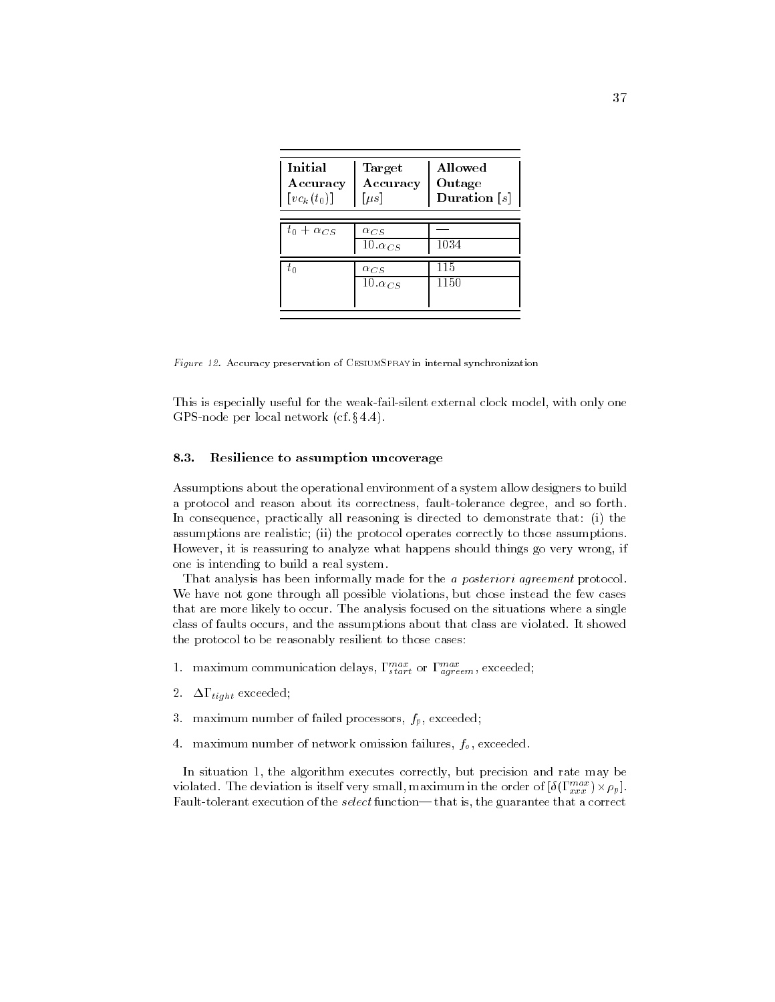| Initial<br>Accuracy<br>$[vc_{k}(t_{0})]$ | Target<br>Accuracy<br>$ \mu s $   | Allowed<br>Outage<br>Duration $[s]$ |
|------------------------------------------|-----------------------------------|-------------------------------------|
| $t_0 + \alpha_{CS}$                      | $\alpha_{CS}$<br>$10 \alpha_{CS}$ | 1034                                |
| $t_{\rm 0}$                              | $\alpha_{CS}$<br>$10 \alpha_{CS}$ | 115<br>1150                         |

Figure 12. Accuracy preservation of CesiumSpray in internal synchronization

This is especially useful for the weak-fail-silent external clock model, with only one GPS-node per local network  $(cf. § 4.4)$ .

#### 8.3. Resilience to assumption uncoverage

Assumptions about the operational environment of a system allow designers to build a protocol and reason about its correctness, fault-tolerance degree, and so forth. In consequence, practically all reasoning is directed to demonstrate that: (i) the assumptions are realistic; (ii) the protocol operates correctly to those assumptions. However, it is reassuring to analyze what happens should things go very wrong, if one is intending to build a real system.

That analysis has been informally made for the a posteriori agreement protocol. We have not gone through all possible violations, but chose instead the few cases that are more likely to occur. The analysis focused on the situations where a single class of faults occurs, and the assumptions about that class are violated. It showed the protocol to be reasonably resilient to those cases:

- 1. maximum communication delays,  $\Gamma_{star}^{star}$  or  $\Gamma_{aareem}^{max}$ , exceeded;
- $2.1$  times exceeding exceeding exceeding to  $\sim$
- 3. maximum number of failed processors,  $f_p$ , exceeded;
- 4. maximum number of network omission failures, fo , exceeded.

In situation 1, the algorithm executes correctly, but precision and rate may be violated. The deviation is itself very small, maximum in the order of  $[\delta(1\,xx\,x\,y)\times\rho_p]$  . Fault-tolerant execution of the *select* function— that is, the guarantee that a correct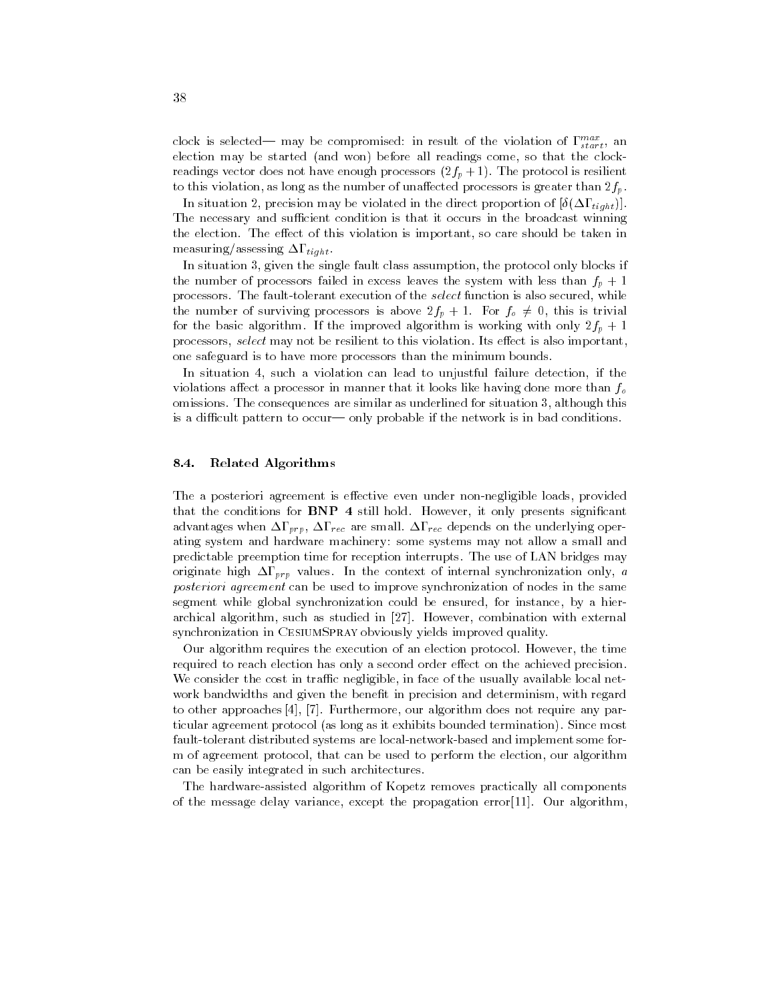clock is selected— may be compromised: in result of the violation of  $\Gamma_{start}^{start}$ , an election may be started (and won) before all readings come, so that the clockreadings vector does not have enough processors (2fp + 1). The protocol is resilient to this violation, as long as the number of unaffected processors is greater than  $2f_p$ .

In situation 2, precision may be violated in the direct proportion of  $[\delta(\Delta\Gamma_{tight})].$ The necessary and sufficient condition is that it occurs in the broadcast winning the election. The effect of this violation is important, so care should be taken in measuring/assessing  $\Delta\Gamma_{tight}$ .

In situation 3, given the single fault class assumption, the protocol only blocks if the number of processors failed in excess leaves the system with less than fp + 1 processors. The fault-tolerant execution of the select function is also secured, while  $\frac{1}{2}$  in the surviving processors is above 2fp + 1. For  $\frac{1}{2}$  ,  $\frac{1}{2}$  ,  $\frac{1}{2}$  ,  $\frac{1}{2}$  and is trivial for the basic algorithm. If the improved algorithm is working with only  $2f$  + 1 processors, select may not be resilient to this violation. Its effect is also important, one safeguard is to have more processors than the minimum bounds.

In situation 4, such a violation can lead to unjustful failure detection, if the violations affect a processor in manner that it looks like having done more than  $f_{\circ}$ omissions. The consequences are similar as underlined for situation 3, although this is a difficult pattern to occur— only probable if the network is in bad conditions.

#### 8.4. Related Algorithms

The a posteriori agreement is effective even under non-negligible loads, provided that the conditions for BNP 4 still hold. However, it only presents signicant advantages when  $\rho$  are small. The unit of underlying operation of underlying on the underlying operation of underlying operation of underlying operation of underlying operation of underlying operation on the underlying ating system and hardware machinery: some systems may not allow a small and predictable preemption time for reception interrupts. The use of LAN bridges may originate high prp values. In the context of internal synchronization only, <sup>a</sup> posteriori agreement can be used to improve synchronization of nodes in the same segment while global synchronization could be ensured, for instance, by a hierarchical algorithm, such as studied in [27]. However, combination with external synchronization in CESIUMSPRAY obviously yields improved quality.

Our algorithm requires the execution of an election protocol. However, the time required to reach election has only a second order effect on the achieved precision. We consider the cost in traffic negligible, in face of the usually available local network bandwidths and given the benefit in precision and determinism, with regard to other approaches [4], [7]. Furthermore, our algorithm does not require any particular agreement protocol (as long as it exhibits bounded termination). Since most fault-tolerant distributed systems are local-network-based and implement some form of agreement protocol, that can be used to perform the election, our algorithm can be easily integrated in such architectures.

The hardware-assisted algorithm of Kopetz removes practically all components of the message delay variance, except the propagation error[11]. Our algorithm,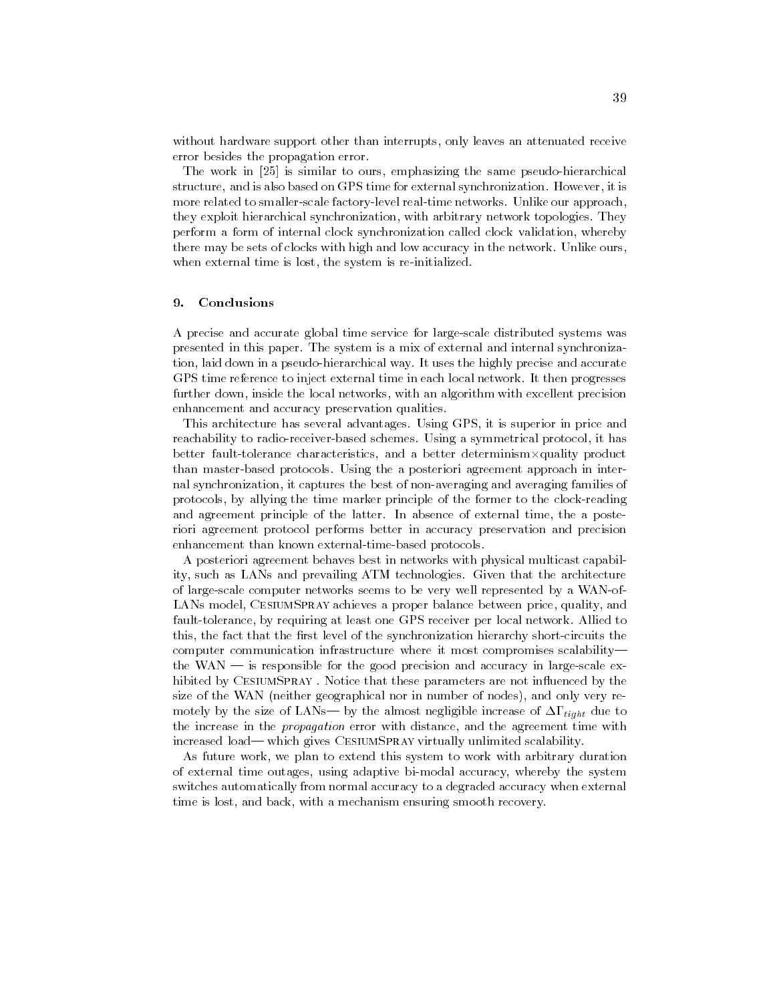without hardware support other than interrupts, only leaves an attenuated receive error besides the propagation error.

The work in [25] is similar to ours, emphasizing the same pseudo-hierarchical structure, and is also based on GPS time for external synchronization. However, it is more related to smaller-scale factory-level real-time networks. Unlike our approach, they exploit hierarchical synchronization, with arbitrary network topologies. They perform a form of internal clock synchronization called clock validation, whereby there may be sets of clocks with high and low accuracy in the network. Unlike ours, when external time is lost, the system is re-initialized.

#### $\overline{9}$ . Conclusions

A precise and accurate global time service for large-scale distributed systems was presented in this paper. The system is a mix of external and internal synchronization, laid down in a pseudo-hierarchical way. It uses the highly precise and accurate GPS time reference to inject external time in each local network. It then progresses further down, inside the local networks, with an algorithm with excellent precision enhancement and accuracy preservation qualities.

This architecture has several advantages. Using GPS, it is superior in price and reachability to radio-receiver-based schemes. Using a symmetrical protocol, it has better fault-tolerance characteristics, and a better determinism-quality product than master-based protocols. Using the a posteriori agreement approach in internal synchronization, it captures the best of non-averaging and averaging families of protocols, by allying the time marker principle of the former to the clock-reading and agreement principle of the latter. In absence of external time, the a posteriori agreement protocol performs better in accuracy preservation and precision enhancement than known external-time-based protocols.

A posteriori agreement behaves best in networks with physical multicast capability, such as LANs and prevailing ATM technologies. Given that the architecture of large-scale computer networks seems to be very well represented byaWAN-of-LANs model, CesiumSpray achieves a proper balance between price, quality, and fault-tolerance, by requiring at least one GPS receiver per local network. Allied to this, the fact that the first level of the synchronization hierarchy short-circuits the computer communication infrastructure where it most compromises scalability the  $WAN$  — is responsible for the good precision and accuracy in large-scale exhibited by CESIUMSPRAY. Notice that these parameters are not influenced by the size of the WAN (neither geographical nor in number of nodes), and only very remotely by the size of LANs| by the almost negligible increase of tight due to the increase in the propagation error with distance, and the agreement time with increased load— which gives CESIUMSPRAY virtually unlimited scalability.

As future work, we plan to extend this system to work with arbitrary duration of external time outages, using adaptive bi-modal accuracy, whereby the system switches automatically from normal accuracy to a degraded accuracy when external time is lost, and back, with a mechanism ensuring smooth recovery.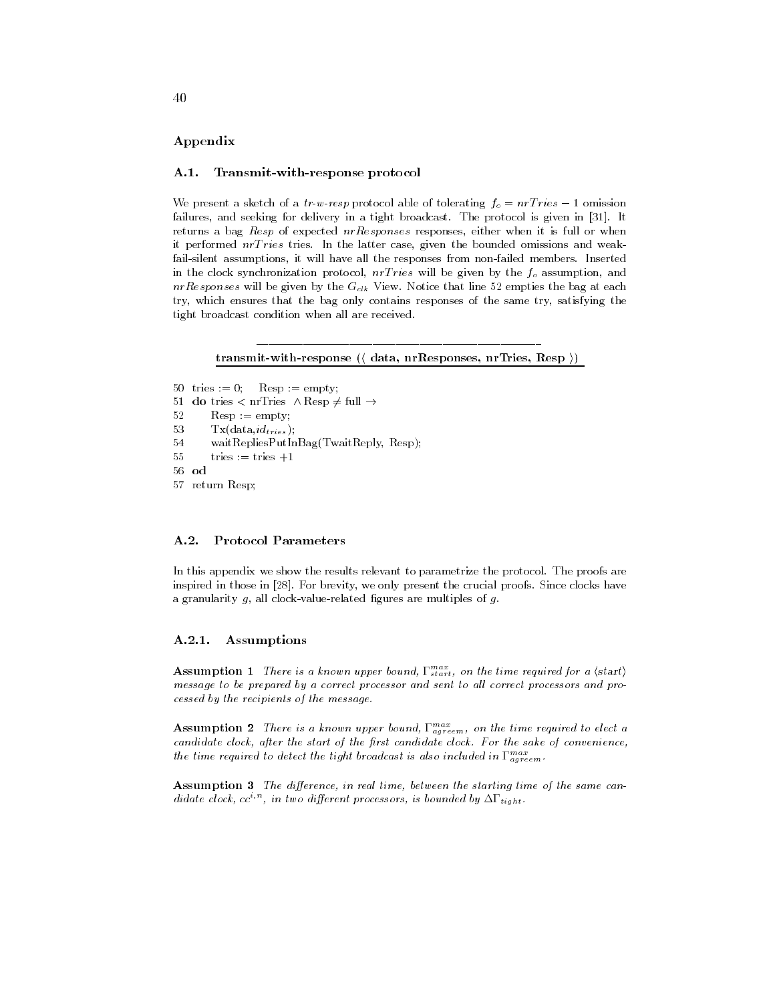#### Appendix

#### A.1. Transmit-with-response protocol

We present a sketch of a tr-w-resp protocol able of tolerating  $f_o = nrTries - 1$  omission failures, and seeking for delivery in a tight broadcast. The protocol is given in [31]. It returns a bag  $Resp$  of expected  $nrResponses$  responses, either when it is full or when it performed  $nrTries$  tries. In the latter case, given the bounded omissions and weakfail-silent assumptions, it will have all the responses from non-failed members. Inserted in the clock synchronization protocol,  $n \text{ } Tries$  will be given by the  $f_0$  assumption, and  $m$  responses will be given by the G $c_k$  View. Notice that into  $s$  compares the bag at each  $\ell$ try, which ensures that the bag only contains responses of the same try, satisfying the tight broadcast condition when all are received.

transmit-with-response ( $\langle$  data, nrResponses, nrTries, Resp  $\rangle$ )

```
50 tries := 0; Resp := empty;51 do tries \langle nrTries \land Resp \neq full \rightarrow52 Resp := \text{empty};
53 Tx(data, id_{tries});54 waitRepliesPutInBag(TwaitReply, Resp);
       tries := tries +155
56 od
57 return Resp;
```
#### A.2. Protocol Parameters

In this appendix we show the results relevant to parametrize the protocol. The proofs are inspired in those in [28]. For brevity, we only present the crucial proofs. Since clocks have a granularity  $g$ , all clock-value-related figures are multiples of  $g$ .

#### A.2.1. Assumptions

**Assumption 1** There is a known upper bound,  $\Gamma_{start}$ , on the time required for a (start) message to be prepared by a correct processor and sent to all correct processors and processed by the recipients of the message.

**Assumption 2** There is a known upper bound,  $\Gamma_{aareem}$ , on the time required to elect a  $c$  candidate clock, after the start of the first candidate clock. For the sake of convenience, the time required to detect the tight broadcast is also included in  $\Gamma_{aareem}^{m}$ .

Assumption 3 The difference, in real time, between the starting time of the same candidate clock,  $ce^{i,n}$ , in two different processors, is bounded by  $\Delta\Gamma_{tight}$ .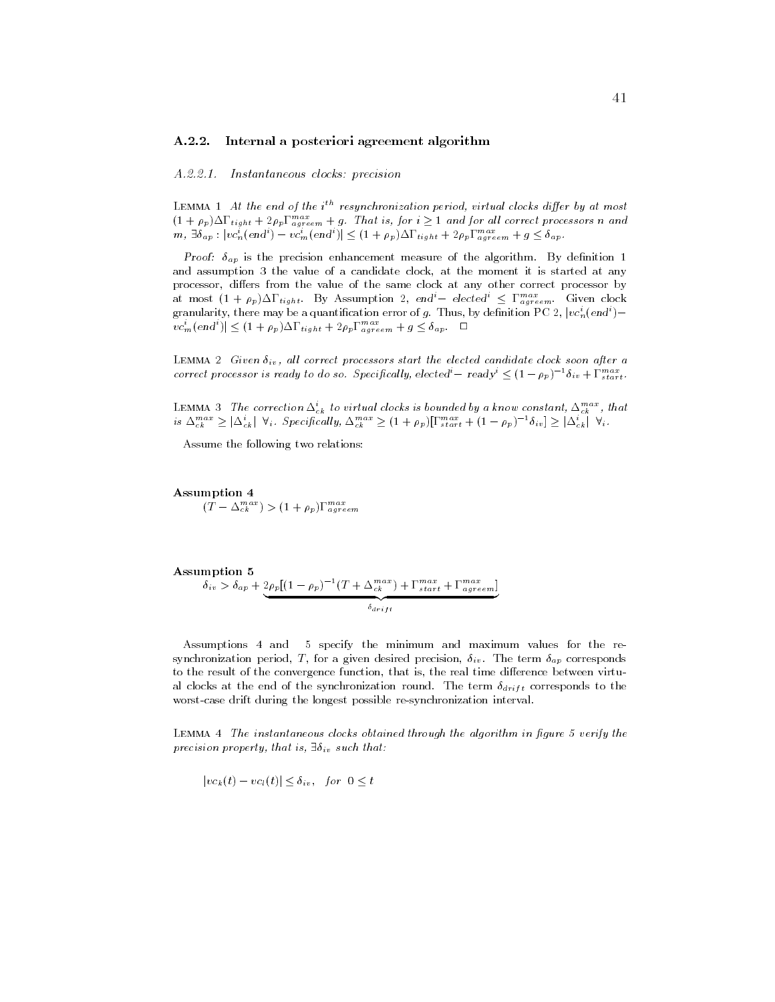#### A.2.2. Internal a posteriori agreement algorithm

#### A.2.2.1. Instantaneous clocks: precision

LEMMA 1 At the end of the i<sup>rre</sup> resynchronization period, virtual clocks differ by at most<br> $(1 + \rho_p)\Delta\Gamma_{tight} + 2\rho_p\Gamma_{aorem}^{max} + g$ . That is, for i  $\geq 1$  and for all correct processors n and  $m, \exists \delta_{ap} : |vc_n^{\dagger}(end^{\dagger}) - vc_m^{\dagger}(end^{\dagger})| \leq (1 + \rho_p)\Delta1_{tight} + 2\rho_p1_{agreen} + g \leq \delta_{ap}.$ 

Proof: ap is the precision enhancement measure of the algorithm. By denition 1 and assumption 3 the value of a candidate clock, at the moment it is started at any processor, differs from the value of the same clock at any other correct processor by at most  $(1 + \rho_p)\Delta 1_{tight}$ . By Assumption 2, end – elected  $\leq 1_{aarea}^{meem}$ . Given clock granularity, there may be a quantification error of g. Thus, by definition  $PU(2, |vc_n^{\prime}(end^{\prime}) \langle v \rangle_{m}^{m}(\text{end}^*) \leq (1 + \rho_p) \Delta 1_{tight} + 2 \rho_p 1_{agreen}^{m} + g \leq \delta_{ap}.$ 

LEMMA 2 Given  $o_{iv}$ , all correct processors start the elected candidate clock soon after a correct processor is ready to do so. Specifically, elected – ready  $\leq (1 - \rho_p)^{-1} \delta_{iv} + 1 \frac{\delta_{iv}}{\delta_{iv}}$ 

LEMMA 3 The correction  $\Delta_{ck}^*$  to virtual clocks is bounded by a know constant,  $\Delta_{ck}^{max}$ , that<br>is  $\Delta_{ck}^{max} \geq |\Delta_{ck}^i|$   $\forall_i$ . Specifically,  $\Delta_{ck}^{max} \geq (1 + \rho_p)[\Gamma_{start}^{max} + (1 - \rho_p)^{-1} \delta_{iv}] \geq |\Delta_{ck}^i|$   $\forall_i$ .

Assume the following two relations:

 $(T - \Delta_{ck}^{max}) > (1 + \rho_p) \Gamma_{agreen}^{max}$ 

Assumption 5  $\delta_{iv} > \delta_{ap} + 2\rho_p[(1-\rho_p)^{-1}(T+\Delta_{ck}^{max})+1_{start}^{max}+1_{agreen}]$ drif t

Assumptions 4 and 5 specify the minimum and maximum values for the resynchronization period, T, for a given desired precision,  $\delta_{iv}$ . The term  $\delta_{ap}$  corresponds to the result of the convergence function, that is, the real time difference between virtual clocks at the end of the synchronization round. The term  $\delta_{drift}$  corresponds to the worst-case drift during the longest possible re-synchronization interval.

Lemma 4 The instantaneous clocks obtained through the algorithm in gure 5 verify the precision property, that is,  $\exists \delta_{iv}$  such that:

 $|vc_k(t) - vc_l(t)| < \delta_{iv}$ , for  $0 \leq t$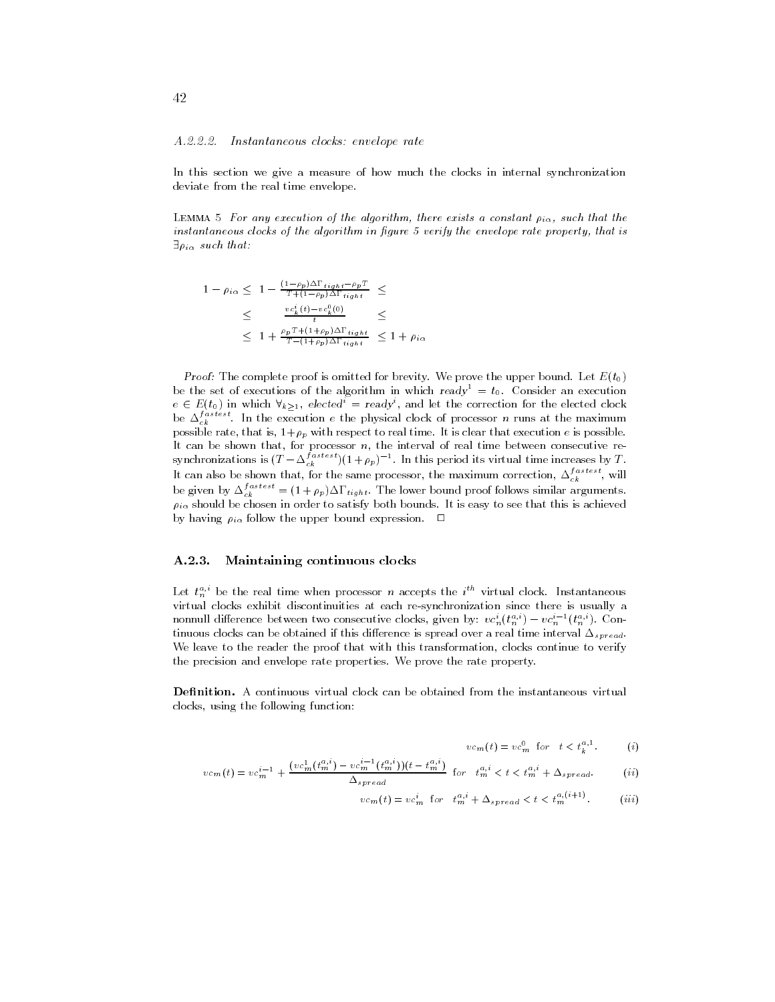#### A.2.2.2. Instantaneous clocks: envelope rate

In this section we give a measure of how much the clocks in internal synchronization deviate from the real time envelope.

LEMMA 5 For any execution of the algorithm, there exists a constant  $\rho_{i\alpha}$  , such that the instantaneous clocks of the algorithm in figure  $5$  verify the envelope rate property, that is  $=$   $\mu$  iii  $\alpha$  and  $\alpha$  that the set of  $\alpha$ 

$$
1 - \rho_{i\alpha} \leq 1 - \frac{(1 - \rho_p) \Delta \Gamma_{tight} - \rho_p T}{T + (1 - \rho_p) \Delta \Gamma_{tight}} \leq
$$
  
\n
$$
\leq \frac{v c_k^i(t) - v c_k^0(0)}{t} \leq
$$
  
\n
$$
\leq 1 + \frac{\rho_p T + (1 + \rho_p) \Delta \Gamma_{tight}}{T - (1 + \rho_p) \Delta \Gamma_{tight}} \leq 1 + \rho_{i\alpha}
$$

*Proof:* The complete proof is omitted for brevity. We prove the upper bound. Let  $E(t_0)$ be the set of executions of the algorithm in which ready<sup>1</sup> = t<sub>0</sub>. Consider an execution  $e \in E(t_0)$  in which  $\mathbb{V}_{k \geq 1}$ , elected = ready', and let the correction for the elected clock<br>be  $\Delta_{ck}^{fastest}$ . In the execution e the physical clock of processor *n* runs at the maximum possible rate, that is,  $1+\rho_p$  with respect to real time. It is clear that execution e is possible. synchronizations is  $(T - \Delta_{ck}^{fastes}) (1 + \rho_p)^{-1}$ . In this period its virtual time increases by T. It can also be shown that, for the same processor, the maximum correction,  $\Delta_{ck}^{Tasstest}$ , will be given by  $\Delta_{ck}^{lastess} = (1 + \rho_p)\Delta\Gamma_{tight}$ . The lower bound proof follows similar arguments. i should be chosen in order to satisfy both bounds. It is easy to see that this is achieved by having  $\rho_{i\alpha}$  follow the upper bound expression.  $\Box$ 

#### A.2.3. Maintaining continuous clocks

Let  $t_n^{\pi}$  be the real time when processor n accepts the i''' virtual clock. Instantaneous virtual clocks exhibit discontinuities at each re-synchronization since there is usually a nonnull difference between two consecutive clocks, given by:  $vc_n^*(t_n^{n+1}) - vc_n^{n-1}(t_n^{n+1})$ . Con-tinuous clocks can be obtained if this difference is spread over a real time interval  $\Delta_{spread}$ . We leave to the reader the proof that with this transformation, clocks continue to verify the precision and envelope rate properties. We prove the rate property.

**Definition.** A continuous virtual clock can be obtained from the instantaneous virtual clocks, using the following function:

$$
vc_m(t) = vc_m^0 \quad \text{for} \quad t < t_k^{a,1} \tag{i}
$$

$$
vc_m(t) = vc_m^{i-1} + \frac{(vc_m^1(t_m^{a,i}) - vc_m^{i-1}(t_m^{a,i}))(t - t_m^{a,i})}{\Delta\text{~sured}} \quad \text{for} \quad t_m^{a,i} < t < t_m^{a,i} + \Delta\text{~spread} \tag{ii}
$$

$$
vc_m(t) = vc_m^i \quad \text{for} \quad t_m^{a,i} + \Delta_{spread} < t < t_m^{a,(i+1)}.
$$

<sup>42</sup>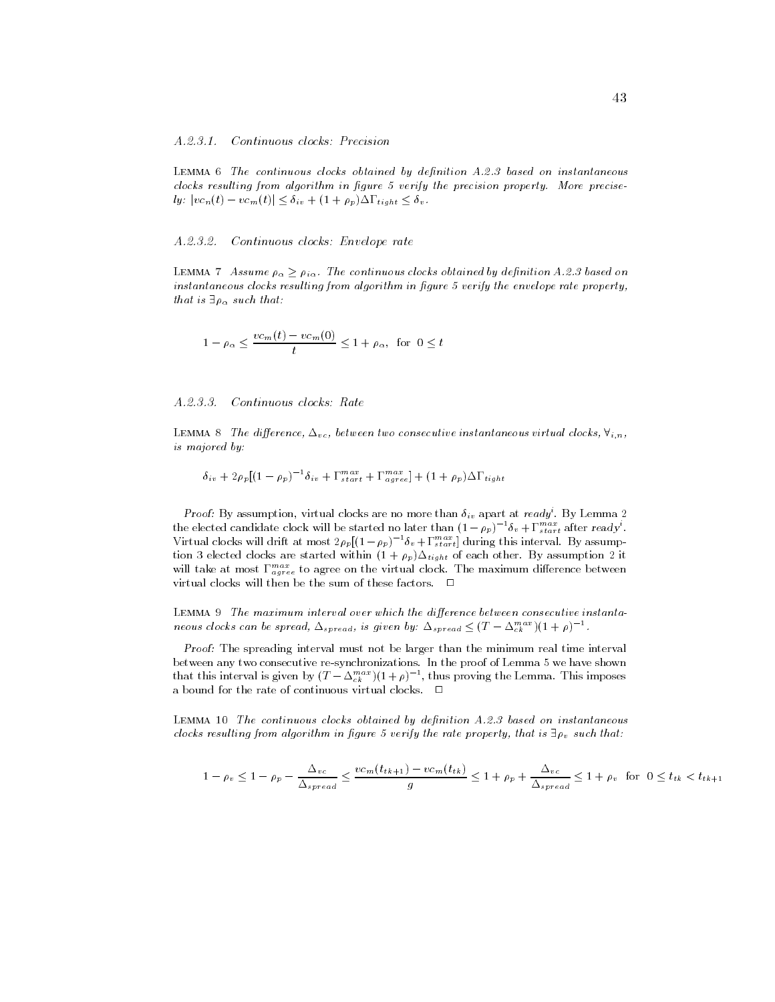#### $A.2.3.1.$ Continuous clocks: Precision

Lemma 6 The continuous clocks obtained by denition A.2.3 based on instantaneous  $clocks$  resulting from algorithm in figure  $5$  verify the precision property. More precise- $|ly: |vc_n(t) - vc_m(t)| \leq \delta_{iv} + (1 + \rho_p)\Delta\Gamma_{tight} \leq \delta_v.$ 

#### A.2.3.2. Continuous clocks: Envelope rate

LEMMA 1 Assume  $\rho_\alpha > \rho_{i\alpha}$  . The continuous clocks obtained by definition A.2.3 based on  $instantaneous clocks resulting from algorithm in figure 5 verify the envelope rate property,$ that is  $\exists \rho_{\alpha}$  such that:

$$
1 - \rho_{\alpha} \le \frac{v c_m(t) - v c_m(0)}{t} \le 1 + \rho_{\alpha}, \text{ for } 0 \le t
$$

#### A.2.3.3. Continuous clocks: Rate

LEMMA 8 The difference,  $\Delta_{vc}$ , between two consecutive instantaneous virtual clocks,  $\mathbf{v}_{i,n}$ , is majored by:

$$
\delta_{iv} + 2\rho_p [(1-\rho_p)^{-1} \delta_{iv} + \Gamma_{start}^{max} + \Gamma_{agree}^{max}] + (1+\rho_p) \Delta \Gamma_{tight}
$$

Proof: By assumption, virtual clocks are no more than  $\delta_{iv}$  apart at ready . By Lemma 2 the elected candidate clock will be started no later than  $(1-\rho_p)^{-1}\delta_v + \Gamma_{start}^{max}$  after ready.<br>Virtual clocks will drift at most  $2\rho_p[(1-\rho_p)^{-1}\delta_v + \Gamma_{start}^{max}]$  during this interval. By assumption 3 elected clocks are started within  $(1 + \rho_p)\Delta_{tight}$  of each other. By assumption 2 it will take at most  $1_{\,a\,g\,r\,e\,e}^{\,a\,c}$  to agree on the virtual clock. The maximum difference between virtual clocks will then be the sum of these factors.  $\Box$ 

Lemma 9 The maximum interval over which the dierence between consecutive instanta neous clocks can be spread,  $\Delta_{spread}$ , is given by:  $\Delta_{spread} \leq (T - \Delta_{ck}^{csc}) (1 + \rho)^{-1}$ .

Proof: The spreading interval must not be larger than the minimum real time interval that this interval is given by  $(T - \Delta_{ck}^{max})(1+\rho)^{-1}$ , thus proving the Lemma. This imposes a bound for the rate of continuous virtual clocks.  $\Box$ 

Lemma 10 The continuous clocks obtained by denition A.2.3 based on instantaneous clocks resulting from algorithm in figure 5 verify the rate property, that is  $\exists \rho_v$  such that:

$$
1 - \rho_v \le 1 - \rho_p - \frac{\Delta_{vc}}{\Delta_{spread}} \le \frac{vc_m(t_{tk+1}) - vc_m(t_{tk})}{g} \le 1 + \rho_p + \frac{\Delta_{vc}}{\Delta_{spread}} \le 1 + \rho_v \text{ for } 0 \le t_{tk} < t_{tk+1}
$$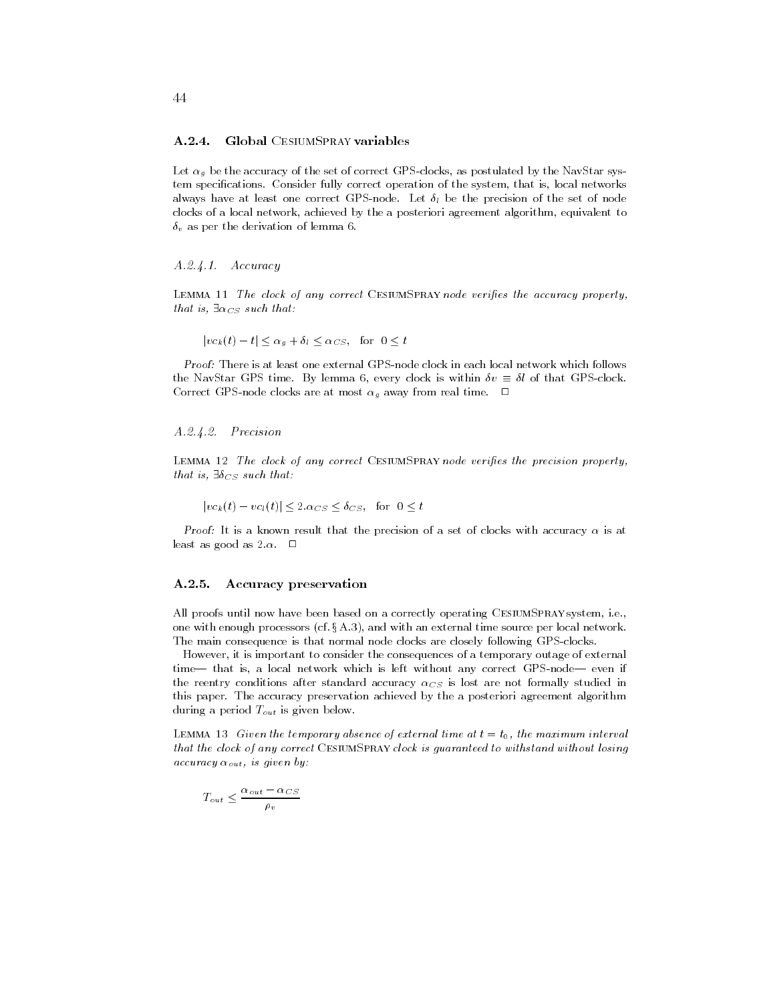#### A.2.4. Global CESIUMSPRAY variables

Let all set allowed accuracy of the set of correct GPS-clocks, as postulated by the NavStar system specications. Consider fully correct operation of the system, that is, local networks always have at least one correct GPS-node. Let  $\delta_l$  be the precision of the set of node clocks of a local network, achieved by the a posteriori agreement algorithm, equivalent to v as per the derivation of lemma 6.

#### A.2.4.1. Accuracy

Lemma 11 The clock of any correct CesiumSpray node veries the accuracy property, that is,  $\exists \alpha_{CS}$  such that:

 $|vc_k(t) - t| \leq \alpha_g + \delta_l \leq \alpha_{CS}$ , for  $0 \leq t$ 

Proof: There is at least one external GPS-node clock in each local network which follows the NavStar GPS time. By lemma 6, every clock is within  $\delta v \equiv \delta l$  of that GPS-clock. Correct GPS-node clocks are at most  $\alpha_q$  away from real time.  $\Box$ 

#### A.2.4.2. Precision

LEMMA 12 The clock of any correct CESIUMSPRAY hode verifies the precision property, that is,  $\exists \delta_{CS}$  such that:

$$
|vc_k(t) - vc_l(t)| \le 2. \alpha_{CS} \le \delta_{CS}, \text{ for } 0 \le t
$$

*Proof:* It is a known result that the precision of a set of clocks with accuracy  $\alpha$  is at least as good as  $2 \alpha$ .  $\Box$ 

#### A.2.5. Accuracy preservation

All proofs until now have been based on a correctly operating CesiumSpray system, i.e., one with enough processors (cf.  $\S$  A.3), and with an external time source per local network. The main consequence is that normal node clocks are closely following GPS-clocks.

However, it is important to consider the consequences of a temporary outage of external time- that is, a local network which is left without any correct GPS-node- even if the reentry conditions after standard accuracy  $\alpha_{CS}$  is lost are not formally studied in this paper. The accuracy preservation achieved by the a posteriori agreement algorithm during a period  $T_{out}$  is given below.

Lemma 15 Given the temporary absence of external time at  $t = t_0$ , the maximum interval that the clock of any correct CESIUMSPRAY clock is quaranteed to withstand without losing accuracy avail, is given by:

$$
T_{out} \leq \frac{\alpha_{out} - \alpha_{CS}}{\rho_v}
$$

<sup>44</sup>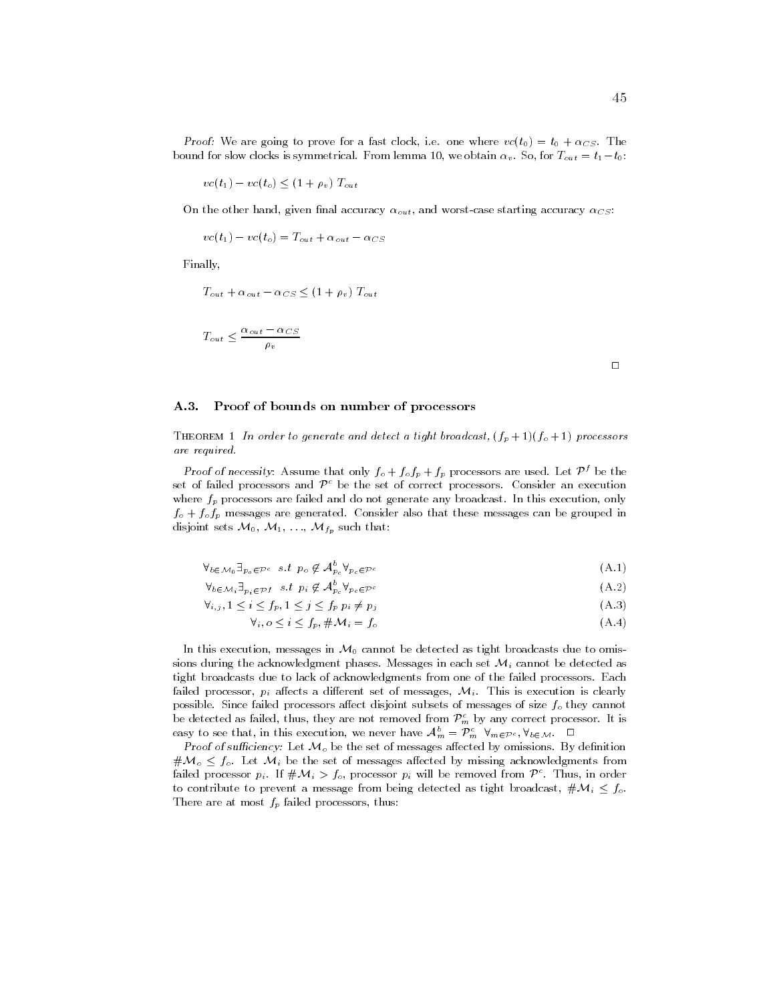Proof: We are going to prove for a fast clock, i.e. one where  $vc(t_0) = t_0 + \alpha_{CS}$ . The bound for slow clocks is symmetrical. From lemma 10, we obtain  $\alpha_v$ . So, for  $T_{out} = t_1 - t_0$ :

 $vc(t_1) - vc(t_o) \le (1 + \rho_v) T_{out}$ 

On the other hand, given final accuracy  $\alpha_{out}$ , and worst-case starting accuracy  $\alpha_{CS}$ :

 $vc(t_1) - vc(t_o) = T_{out} + \alpha_{out} - \alpha_{CS}$ 

Finally,

$$
T_{out} + \alpha_{out} - \alpha_{CS} \le (1 + \rho_v) T_{out}
$$

$$
T_{out} \leq \frac{\alpha_{out} - \alpha_{CS}}{\rho_v}
$$

 $\Box$ 

#### A.3. Proof of bounds on number of processors

**THEOREM 1** In order to generate and detect a tight broadcast,  $(f_p + 1)(f_o + 1)$  processors are required.

Proof of necessity: Assume that only  $f_o + f_o f_p + f_p$  processors are used. Let  $\mathcal{P}^f$  be the set of failed processors and  $\mathcal{P}^c$  be the set of correct processors. Consider an execution where  $f$ p processes are failed and do not generate any broadcast. In this execution, only fo <sup>+</sup> fofp messages are generated. Consider also that these messages can be grouped in disjoint sets  $\cdots$ ,  $\cdots$ ,  $\cdots$ ,  $\cdots$ ,  $\cdots$ ,  $\cdots$ 

$$
\forall_{b \in \mathcal{M}_0} \exists_{p_o \in \mathcal{P}^c} \quad s.t \quad p_o \notin \mathcal{A}_{p_c}^b \forall_{p_c \in \mathcal{P}^c} \tag{A.1}
$$

$$
\forall_{b \in \mathcal{M}_i} \exists_{p_i \in \mathcal{P}^f} \quad s.t \quad p_i \notin \mathcal{A}_{p_c}^b \forall_{p_c \in \mathcal{P}^c} \tag{A.2}
$$

$$
\forall_{i,j}, 1 \le i \le f_p, 1 \le j \le f_p \ p_i \ne p_j \tag{A.3}
$$

$$
\forall i, o \le i \le f_p, \# \mathcal{M}_i = f_o \tag{A.4}
$$

In this execution, messages in  $\mathcal{M}_0$  cannot be detected as tight broadcasts due to omissions during the acknowledgment phases. Messages in each set  $\mathcal{M}_i$  cannot be detected as tight broadcasts due to lack of acknowledgments from one of the failed processors. Each failed processor,  $p_i$  affects a different set of messages,  $\mathcal{M}_i$ . This is execution is clearly possible. Since failed processors affect disjoint subsets of messages of size  $f<sub>o</sub>$  they cannot be detected as failed, thus, they are not removed from  $\mathcal{V}_m^-$  by any correct processor. It is easy to see that, in this execution, we never have  $\mathcal{A}_m^* = \mathcal{F}_m^*$   $\forall_{m \in \mathcal{P}^c}$ ,  $\forall_{b \in \mathcal{M}}$ .  $\Box$ 

 $P$  roof of sumercha, Let  $P$ ,  $Q$  be the set of messages alreeted by omissions. By definition  $\mu$  ,  $\mu$  ,  $\mu$  is the set of the set of messages antocologic by missing acknowledgments from failed processor  $p_i$ . If  $\#\mathcal{M}_i > f_o$ , processor  $p_i$  will be removed from  $\mathcal{V}^c$ . Thus, in order to contribute to prevent a message from being detected as tight broadcast,  $\#\mathcal{M}_i \leq f_o$ .<br>There are at most  $f_p$  failed processors, thus: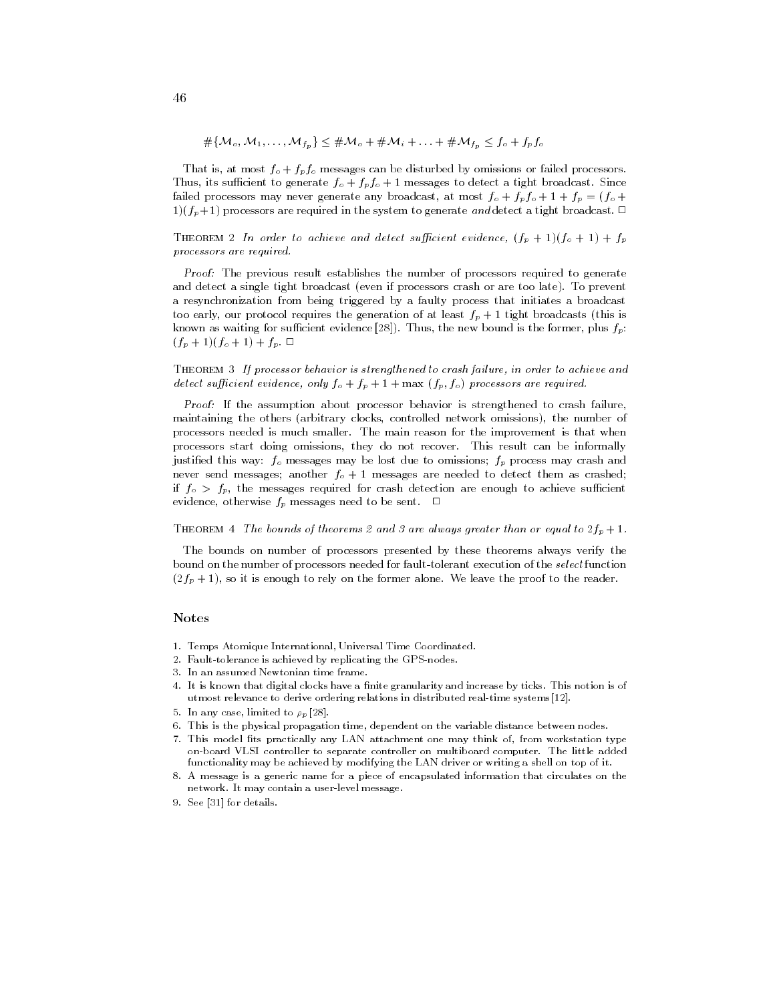$$
#\{\mathcal{M}_o, \mathcal{M}_1, \dots, \mathcal{M}_{f_p}\} \leq #\mathcal{M}_o + #\mathcal{M}_i + \dots + #\mathcal{M}_{f_p} \leq f_o + f_p f_o
$$

That is, at most  $f_{\phi} + f_{p}f_{\phi}$  messages can be disturbed by omissions or failed processors. Thus, its sufficient to generate  $f_o + f_p f_o + 1$  messages to detect a tight broadcast. Since failed processors may never generate any broadcast, at most  $f_o + f_p f_o + 1 + f_p = (f_o +$  $1)(f_p+1)$  processors are required in the system to generate and detect a tight broadcast.  $\Box$ 

**THEOREM 2** In order to achieve and detect sufficient evidence,  $(f_p + 1)(f_q + 1) + f_p$ processors are required.

Proof: The previous result establishes the number of processors required to generate and detect a single tight broadcast (even if processors crash or are too late). To prevent a resynchronization from being triggered by a faulty process that initiates a broadcast too early, our protocol requires the generation of at least  $f_p + 1$  tight broadcasts (this is known as waiting for sufficient evidence [28]). Thus, the new bound is the former, plus  $f_p$ :  $\{f_1, f_2, f_3, f_4, f_5, f_6, f_7, f_8, f_9, f_{10}, f_{110}, f_{120}, f_{130}, f_{140}, f_{150}, f_{160}, f_{170}, f_{180}, f_{190}, f_{100}\}$ 

#### Theorem 3 If processor behavior is strengthened to crash failure, in order to achieve and detect sufficient evidence, only  $f_o + f_p + 1 + \max(f_p, f_o)$  processors are required.

Proof: If the assumption about processor behavior is strengthened to crash failure, maintaining the others (arbitrary clocks, controlled network omissions), the number of processors needed is much smaller. The main reason for the improvement is that when processors start doing omissions, they do not recover. This result can be informally justified this way:  $f_0$  messages may be lost due to omissions;  $f_p$  process may crash and never send messages; another  $f_o + 1$  messages are needed to detect them as crashed;  $\frac{1}{10}$  /  $\frac{1}{2}$ , the messages required for crash detection are enough to achieve sumclement evidence, otherwise  $f_p$  messages need to be sent.  $\Box$ 

#### THEOREM 4 The bounds of theorems 2 and 3 are always greater than or equal to  $2f_p + 1$ .

The bounds on number of processors presented by these theorems always verify the bound on the number of processors needed for fault-tolerant execution of the select function  $\left( -j\right)$  +  $\left( -j\right)$  is the formulation of the former alone. We leave the proof to the reader.

#### **Notes**

- 1. Temps Atomique International, Universal Time Coordinated.
- 2. Fault-tolerance is achieved by replicating the GPS-nodes.
- 3. In an assumed Newtonian time frame.
- 4. It is known that digital clocks have a finite granularity and increase by ticks. This notion is of 4. It is known that digital clocks have a nite granularity and increase by ticks. This notion is of utmost relevance to derive ordering relations in distributed real-time systems [12].
- 5. In any case, limited to  $\rho_p$  [28].

9. See [31] for details.

- 6. This is the physical propagation time, dependent on the variable distance between nodes.
- 7. This model fits practically any LAN attachment one may think of, from workstation type on-board VLSI controller to separate controller on multiboard computer. The little added functionality may be achieved by modifying the LAN driver or writing a shell on top of it.
- 8. A message is a generic name for a piece of encapsulated information that circulates on the network. It may contain a user-level message.

<sup>46</sup>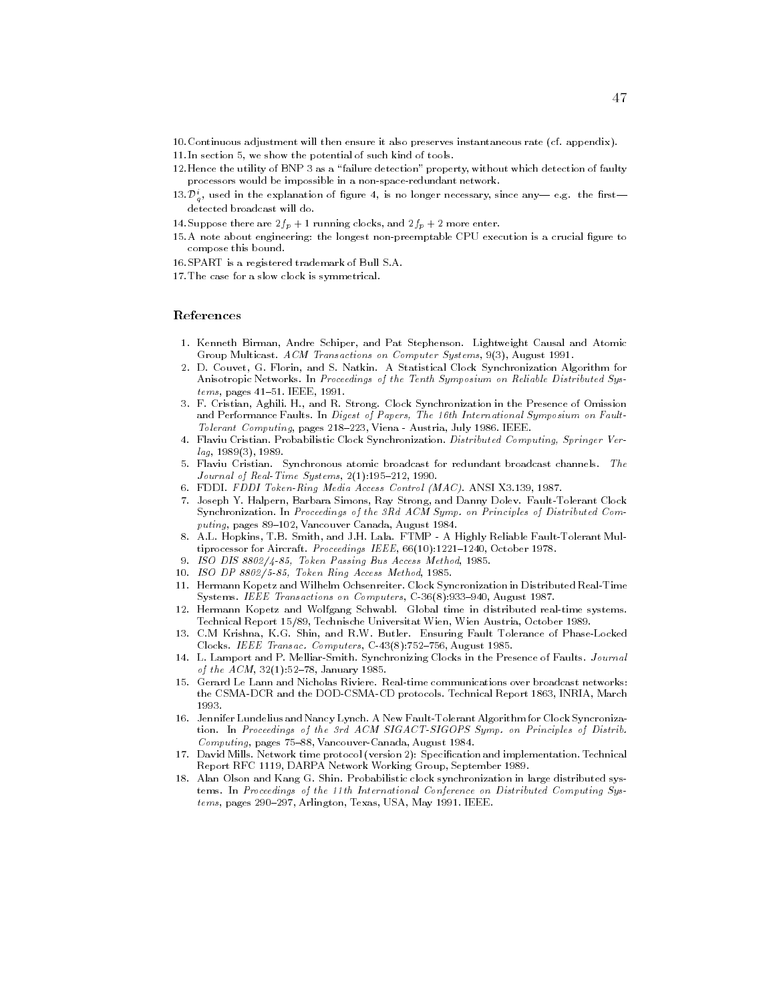- 10.Continuous adjustment will then ensure it also preserves instantaneous rate (cf. appendix).
- 11. In section 5, we show the potential of such kind of tools.
- 12.Hence the utility of BNP 3 as a \failure detection" property, without which detection of faulty processors would be impossible in a non-space-redundant network.
- 13.  $\nu_q$ , used in the explanation of figure 4, is no longer necessary, since any—e.g. the first detected broadcast will do.
- 14. Suppose there are  $2f_p + 1$  running clocks, and  $2f_p + 2$  more enter.
- 15. A note about engineering: the longest non-preemptable CPU execution is a crucial figure to compose this bound. compose the component of the bound.
- 16. SPART is a registered trademark of Bull S.A.
- 17.The case for a slow clock is symmetrical.

#### References

- 1. Kenneth Birman, Andre Schiper, and Pat Stephenson. Lightweight Causal and Atomic Group Multicast. ACM Transactions on Computer Systems, 9(3), August 1991.
- 2. D. Couvet, G. Florin, and S. Natkin. A Statistical Clock Synchronization Algorithm for Anisotropic Networks. In Proceedings of the Tenth Symposium on Reliable Distributed Sys $tems.$  pages  $41-51.$  IEEE, 1991. tems, pages 41, it is the state  $151.$  IEEE,  $151.$  IEEE,  $151.$  IEEE,  $151.$  IEEE,  $151.$  IEEE,  $151.$  IEEE,  $151.$  IEEE,  $151.$  IEEE,  $151.$  IEEE,  $151.$  IEEE,  $151.$  IEEE,  $151.$  IEEE,  $151.$  IEEE,  $151.$  IEEE,  $151.$
- 3. F. Cristian, Aghili. H., and R. Strong. Clock Synchronization in the Presence of Omission and Performance Faults. In Digest of Papers, The 16th International Symposium on Fault-Tolerant Computing, pages 218-223, Viena - Austria, July 1986. IEEE.
- 4. Flaviu Cristian. Probabilistic Clock Synchronization. Distributed Computing, Springer Verlag, 1989(3), 1989.
- 5. Flaviu Cristian. Synchronous atomic broadcast for redundant broadcast channels. The Journal of Real-Time Systems,  $2(1):195{-}212, 1990$ .
- 6. FDDI. FDDI Token-Ring Media Access Control (MAC). ANSI X3.139, 1987.
- 7. Joseph Y. Halpern, Barbara Simons, Ray Strong, and Danny Dolev. Fault-Tolerant Clock Synchronization. In Proceedings of the 3Rd ACM Symp. on Principles of Distributed Computing, pages 89-102, Vancouver Canada, August 1984.
- 8. A.L. Hopkins, T.B. Smith, and J.H. Lala. FTMP A Highly Reliable Fault-Tolerant Multiprocessor for Aircraft. Proceedings IEEE, 66(10):1221-1240, October 1978.
- 9. ISO DIS 8802/4-85, Token Passing Bus Access Method, 1985.
- 10. ISO DP 8802/5-85, Token Ring Access Method, 1985.
- 11. Hermann Kopetz and Wilhelm Ochsenreiter. Clock Syncronization in Distributed Real-Time Systems. IEEE Transactions on Computers, C-36(8):933-940, August 1987.
- 12. Hermann Kopetz and Wolfgang Schwabl. Global time in distributed real-time systems. Technical Report 15/89, Technische Universitat Wien, Wien Austria, October 1989.
- 13. C.M Krishna, K.G. Shin, and R.W. Butler. Ensuring Fault Tolerance of Phase-Locked Clocks. IEEE Transac. Computers, C-43(8):752-756, August 1985.
- 14. L. Lamport and P. Melliar-Smith. Synchronizing Clocks in the Presence of Faults. Journal of the  $A CM$ ,  $32(1):52{-}78$ , January 1985.
- 15. Gerard Le Lann and Nicholas Riviere. Real-time communications over broadcast networks: the CSMA-DCR and the DOD-CSMA-CD protocols. Technical Report 1863, INRIA, March 1993.
- 16. Jennifer Lundelius and Nancy Lynch. A New Fault-Tolerant Algorithm for Clock Syncronization. In Proceedings of the 3rd ACM SIGACT-SIGOPS Symp. on Principles of Distrib. Computing, pages 75-88, Vancouver-Canada, August 1984.
- 17. David Mills. Network time protocol (version 2): Specification and implementation. Technical Report RFC 1119, DARPA Network Working Group, September 1989.
- 18. Alan Olson and Kang G. Shin. Probabilistic clock synchronization in large distributed systems. In Proceedings of the 11th International Conference on Distributed Computing Sys $tems$ , pages 290-297, Arlington, Texas, USA, May 1991. IEEE.